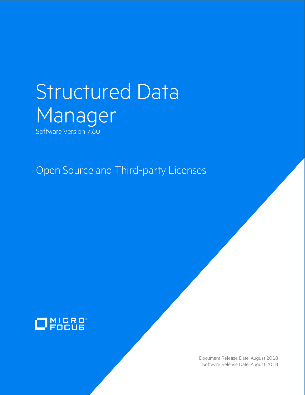# Structured Data Manager Software Version 7.60

Open Source and Third-party Licenses



Document Release Date: August 2018 Software Release Date: August 2018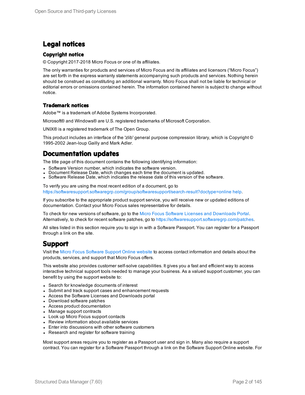### **Legal notices**

#### **Copyright notice**

© Copyright 2017-2018 Micro Focus or one of its affiliates.

The only warranties for products and services of Micro Focus and its affiliates and licensors ("Micro Focus") are set forth in the express warranty statements accompanying such products and services. Nothing herein should be construed as constituting an additional warranty. Micro Focus shall not be liable for technical or editorial errors or omissions contained herein. The information contained herein is subject to change without notice.

#### **Trademark notices**

Adobe™ is a trademark of Adobe Systems Incorporated.

Microsoft® and Windows® are U.S. registered trademarks of Microsoft Corporation.

UNIX® is a registered trademark of The Open Group.

This product includes an interface of the 'zlib' general purpose compression library, which is Copyright © 1995-2002 Jean-loup Gailly and Mark Adler.

### **Documentation updates**

The title page of this document contains the following identifying information:

- Software Version number, which indicates the software version.
- Document Release Date, which changes each time the document is updated.
- Software Release Date, which indicates the release date of this version of the software.

To verify you are using the most recent edition of a document, go to

[https://softwaresupport.softwaregrp.com/group/softwaresupport/search-result?doctype=online](https://softwaresupport.softwaregrp.com/group/softwaresupport/search-result?doctype=online help) help.

If you subscribe to the appropriate product support service, you will receive new or updated editions of documentation. Contact your Micro Focus sales representative for details.

To check for new versions of software, go to the Micro Focus Software Licenses and [Downloads](https://www.hpe.com/software/entitlements) Portal. Alternatively, to check for recent software patches, go to <https://softwaresupport.softwaregrp.com/patches>.

All sites listed in this section require you to sign in with a Software Passport. You can register for a Passport through a link on the site.

### **Support**

Visit the Micro Focus [Software](https://softwaresupport.softwaregrp.com/) Support Online website to access contact information and details about the products, services, and support that Micro Focus offers.

This website also provides customer self-solve capabilities. It gives you a fast and efficient way to access interactive technical support tools needed to manage your business. As a valued support customer, you can benefit by using the support website to:

- Search for knowledge documents of interest
- Submit and track support cases and enhancement requests
- Access the Software Licenses and Downloads portal
- Download software patches
- Access product documentation
- Manage support contracts
- Look up Micro Focus support contacts
- Review information about available services
- Enter into discussions with other software customers
- Research and register for software training

Most support areas require you to register as a Passport user and sign in. Many also require a support contract. You can register for a Software Passport through a link on the Software Support Online website. For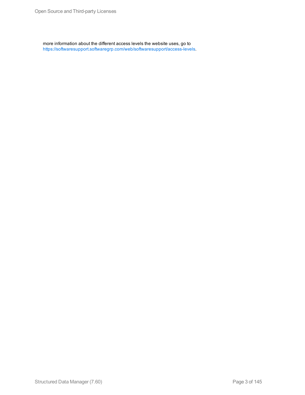more information about the different access levels the website uses, go to <https://softwaresupport.softwaregrp.com/web/softwaresupport/access-levels>.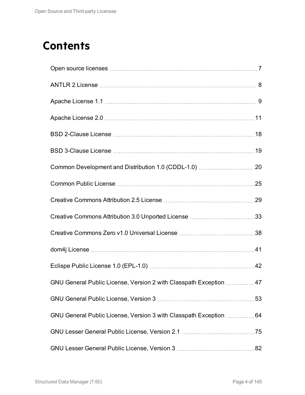# **Contents**

| Creative Commons Attribution 3.0 Unported License 33               |  |
|--------------------------------------------------------------------|--|
|                                                                    |  |
|                                                                    |  |
|                                                                    |  |
| GNU General Public License, Version 2 with Classpath Exception  47 |  |
|                                                                    |  |
| GNU General Public License, Version 3 with Classpath Exception  64 |  |
|                                                                    |  |
|                                                                    |  |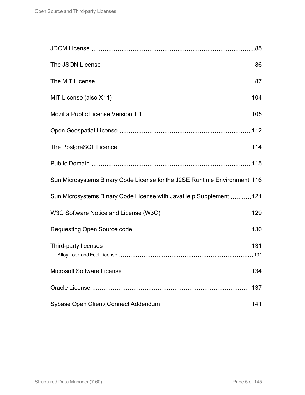| Sun Microsystems Binary Code License for the J2SE Runtime Environment 116 |      |
|---------------------------------------------------------------------------|------|
| Sun Microsystems Binary Code License with JavaHelp Supplement 121         |      |
|                                                                           |      |
|                                                                           |      |
|                                                                           |      |
|                                                                           | .134 |
|                                                                           |      |
|                                                                           |      |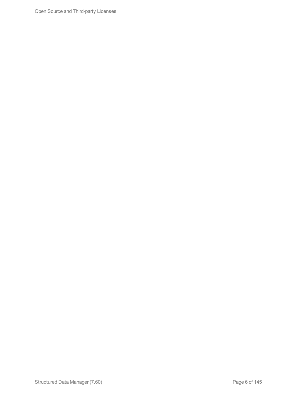Open Source and Third-party Licenses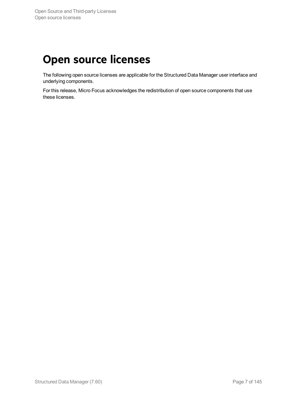# <span id="page-6-0"></span>**Open source licenses**

The following open source licenses are applicable for the Structured Data Manager user interface and underlying components.

For this release, Micro Focus acknowledges the redistribution of open source components that use these licenses.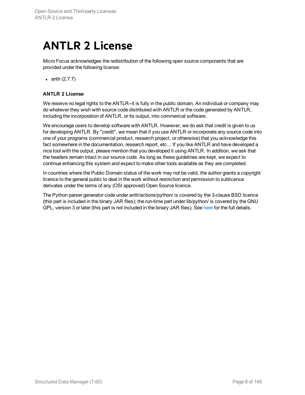# <span id="page-7-0"></span>**ANTLR 2 License**

Micro Focus acknowledges the redistribution of the following open source components that are provided under the following license:

 $\bullet$  antlr (2.7.7)

#### **ANTLR 2 License**

We reserve no legal rights to the ANTLR--it is fully in the public domain. An individual or company may do whatever they wish with source code distributed with ANTLR or the code generated by ANTLR, including the incorporation of ANTLR, or its output, into commerical software.

We encourage users to develop software with ANTLR. However, we do ask that credit is given to us for developing ANTLR. By "credit", we mean that if you use ANTLR or incorporate any source code into one of your programs (commercial product, research project, or otherwise) that you acknowledge this fact somewhere in the documentation, research report, etc... If you like ANTLR and have developed a nice tool with the output, please mention that you developed it using ANTLR. In addition, we ask that the headers remain intact in our source code. As long as these guidelines are kept, we expect to continue enhancing this system and expect to make other tools available as they are completed.

In countries where the Public Domain status of the work may not be valid, the author grants a copyright licence to the general public to deal in the work without restriction and permission to sublicence derivates under the terms of any (OSI approved) Open Source licence.

The Python parser generator code under antlr/actions/python/ is covered by the 3-clause BSD licence (this part is included in the binary JAR files); the run-time part under lib/python/ is covered by the GNU GPL, version 3 or later (this part is not included in the binary JAR files). See [here](https://bugs.debian.org/cgi-bin/bugreport.cgi?bug=750643#80%22) for the full details.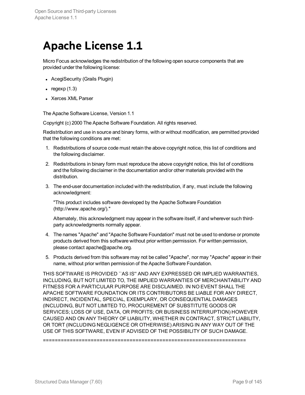### <span id="page-8-0"></span>**Apache License 1.1**

Micro Focus acknowledges the redistribution of the following open source components that are provided under the following license:

- AcegiSecurity (Grails Plugin)
- $\cdot$  regexp (1.3)
- Xerces XML Parser

The Apache Software License, Version 1.1

Copyright (c) 2000 The Apache Software Foundation. All rights reserved.

Redistribution and use in source and binary forms, with or without modification, are permitted provided that the following conditions are met:

- 1. Redistributions of source code must retain the above copyright notice, this list of conditions and the following disclaimer.
- 2. Redistributions in binary form must reproduce the above copyright notice, this list of conditions and the following disclaimer in the documentation and/or other materials provided with the distribution.
- 3. The end-user documentation included with the redistribution, if any, must include the following acknowledgment:

"This product includes software developed by the Apache Software Foundation (http://www.apache.org/)."

Alternately, this acknowledgment may appear in the software itself, if and wherever such thirdparty acknowledgments normally appear.

- 4. The names "Apache" and "Apache Software Foundation" must not be used to endorse or promote products derived from this software without prior written permission. For written permission, please contact apache@apache.org.
- 5. Products derived from this software may not be called "Apache", nor may "Apache" appear in their name, without prior written permission of the Apache Software Foundation.

THIS SOFTWARE IS PROVIDED ``AS IS'' AND ANY EXPRESSED OR IMPLIED WARRANTIES, INCLUDING, BUT NOT LIMITED TO, THE IMPLIED WARRANTIES OF MERCHANTABILITY AND FITNESS FOR A PARTICULAR PURPOSE ARE DISCLAIMED. IN NO EVENT SHALL THE APACHE SOFTWARE FOUNDATION OR ITS CONTRIBUTORS BE LIABLE FOR ANY DIRECT, INDIRECT, INCIDENTAL, SPECIAL, EXEMPLARY, OR CONSEQUENTIAL DAMAGES (INCLUDING, BUT NOT LIMITED TO, PROCUREMENT OF SUBSTITUTE GOODS OR SERVICES; LOSS OF USE, DATA, OR PROFITS; OR BUSINESS INTERRUPTION) HOWEVER CAUSED AND ON ANY THEORY OF LIABILITY, WHETHER IN CONTRACT, STRICT LIABILITY, OR TORT (INCLUDING NEGLIGENCE OR OTHERWISE) ARISING IN ANY WAY OUT OF THE USE OF THIS SOFTWARE, EVEN IF ADVISED OF THE POSSIBILITY OF SUCH DAMAGE.

====================================================================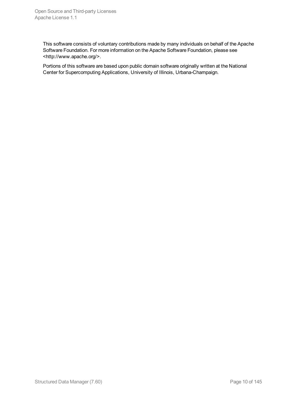This software consists of voluntary contributions made by many individuals on behalf of the Apache Software Foundation. For more information on the Apache Software Foundation, please see <http://www.apache.org/>.

Portions of this software are based upon public domain software originally written at the National Center for Supercomputing Applications, University of Illinois, Urbana-Champaign.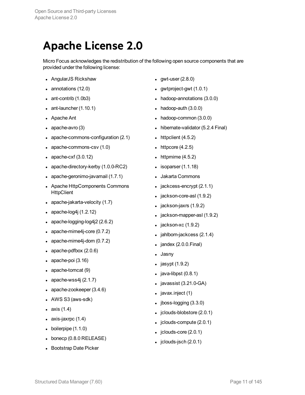## <span id="page-10-0"></span>**Apache License 2.0**

Micro Focus acknowledges the redistribution of the following open source components that are provided under the following license:

- AngularJS Rickshaw
- $\bullet$  annotations (12.0)
- $\bullet$  ant-contrib (1.0b3)
- $\bullet$  ant-launcher (1.10.1)
- Apache Ant
- $\bullet$  apache-avro (3)
- apache-commons-configuration (2.1)
- $\bullet$  apache-commons-csv  $(1.0)$
- $\bullet$  apache-cxf (3.0.12)
- apache-directory-kerby (1.0.0-RC2)
- <sup>l</sup> apache-geronimo-javamail (1.7.1)
- Apache HttpComponents Commons **HttpClient**
- $\bullet$  apache-jakarta-velocity (1.7)
- apache-log4j $(1.2.12)$
- apache-logging-log4j2 (2.6.2)
- $\bullet$  apache-mime4j-core (0.7.2)
- $\bullet$  apache-mime4j-dom (0.7.2)
- apache-pdfbox (2.0.6)
- $\bullet$  apache-poi  $(3.16)$
- $\bullet$  apache-tomcat  $(9)$
- apache-wss4j $(2.1.7)$
- $\bullet$  apache-zookeeper  $(3.4.6)$
- AWS S3 (aws-sdk)
- $\bullet$  axis (1.4)
- $\bullet$  axis-jaxrpc (1.4)
- $\bullet$  boilerpipe  $(1.1.0)$
- $\bullet$  bonecp (0.8.0 RELEASE)
- Bootstrap Date Picker
- $\bullet$  gwt-user (2.8.0)
- $\bullet$  gwtproject-gwt (1.0.1)
- hadoop-annotations  $(3.0.0)$
- $\bullet$  hadoop-auth  $(3.0.0)$
- $\bullet$  hadoop-common  $(3.0.0)$
- hibernate-validator  $(5.2.4$  Final)
- httpclient  $(4.5.2)$
- httpcore  $(4.2.5)$
- $\bullet$  httpmime  $(4.5.2)$
- $\bullet$  isoparser  $(1.1.18)$
- Jakarta Commons
- $\bullet$  jackcess-encrypt  $(2.1.1)$
- $\bullet$  jackson-core-asl  $(1.9.2)$
- $\bullet$  jackson-jaxrs (1.9.2)
- $\bullet$  jackson-mapper-asl  $(1.9.2)$
- $\bullet$  jackson-xc (1.9.2)
- $\bullet$  jahlborn-jackcess (2.1.4)
- $\bullet$  jandex (2.0.0. Final)
- Jasny
- $\bullet$  jasypt (1.9.2)
- $\bullet$  java-libpst  $(0.8.1)$
- $\bullet$  javassist (3.21.0-GA)
- $\bullet$  javax.inject (1)
- $\bullet$  jboss-logging  $(3.3.0)$
- $\bullet$  jclouds-blobstore (2.0.1)
- $\bullet$  jclouds-compute (2.0.1)
- $\bullet$  jclouds-core  $(2.0.1)$
- $\bullet$  jclouds-jsch (2.0.1)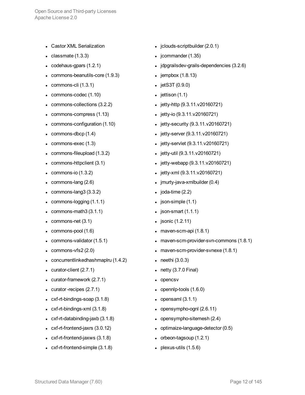- Castor XML Serialization
- $\bullet$  classmate  $(1.3.3)$
- $\bullet$  codehaus-gpars  $(1.2.1)$
- $\bullet$  commons-beanutils-core (1.9.3)
- $\bullet$  commons-cli (1.3.1)
- $\bullet$  commons-codec  $(1.10)$
- $\bullet$  commons-collections (3.2.2)
- $\bullet$  commons-compress (1.13)
- commons-configuration (1.10)
- $\bullet$  commons-dbcp  $(1.4)$
- $\bullet$  commons-exec (1.3)
- $\bullet$  commons-fileupload (1.3.2)
- commons-httpclient  $(3.1)$
- $\bullet$  commons-io (1.3.2)
- $\bullet$  commons-lang (2.6)
- commons-lang3  $(3.3.2)$
- commons-logging  $(1.1.1)$
- commons-math $3$  (3.1.1)
- $\bullet$  commons-net  $(3.1)$
- $\bullet$  commons-pool  $(1.6)$
- $\bullet$  commons-validator (1.5.1)
- $\bullet$  commons-vfs2 (2.0)
- $\bullet$  concurrentlinkedhashmaplru (1.4.2)
- $\bullet$  curator-client (2.7.1)
- $\bullet$  curator-framework (2.7.1)
- $\bullet$  curator -recipes (2.7.1)
- $\cdot$  cxf-rt-bindings-soap  $(3.1.8)$
- $\bullet$  cxf-rt-bindings-xml  $(3.1.8)$
- $\cdot$  cxf-rt-databinding-jaxb (3.1.8)
- $\bullet$  cxf-rt-frontend-jaxrs  $(3.0.12)$
- $\bullet$  cxf-rt-frontend-jaxws  $(3.1.8)$
- $cxf-rt-frontend-simple (3.1.8)$
- $\bullet$  jclouds-scriptbuilder (2.0.1)
- $\bullet$  jcommander (1.35)
- jdpgrailsdev-grails-dependencies (3.2.6)
- $\bullet$  jempbox (1.8.13)
- $\bullet$  jetS3T (0.9.0)
- $\bullet$  jettison  $(1.1)$
- $\bullet$  jetty-http (9.3.11.v20160721)
- $\bullet$  jetty-io (9.3.11.v20160721)
- $\bullet$  jetty-security (9.3.11.v20160721)
- $\bullet$  jetty-server (9.3.11.v20160721)
- $\bullet$  jetty-servlet (9.3.11.v20160721)
- jetty-util (9.3.11.v20160721)
- $\bullet$  jetty-webapp (9.3.11.v20160721)
- $\bullet$  jetty-xml (9.3.11.v20160721)
- $\bullet$  jmurty-java-xmlbuilder (0.4)
- $\bullet$  joda-time (2.2)
- $\bullet$  json-simple  $(1.1)$
- $\bullet$  json-smart  $(1.1.1)$
- jsonic  $(1.2.11)$
- $em$  maven-scm-api  $(1.8.1)$
- $\bullet$  maven-scm-provider-svn-commons (1.8.1)
- $\bullet$  maven-scm-provider-svnexe (1.8.1)
- $\bullet$  neethi (3.0.3)
- $\bullet$  netty (3.7.0 Final)
- opencsv
- $\bullet$  opennlp-tools  $(1.6.0)$
- $\bullet$  opensaml  $(3.1.1)$
- $\bullet$  opensympho-ognl  $(2.6.11)$
- $\bullet$  opensympho-sitemesh (2.4)
- $\bullet$  optimaize-language-detector (0.5)
- $\bullet$  orbeon-tagsoup  $(1.2.1)$
- plexus-utils  $(1.5.6)$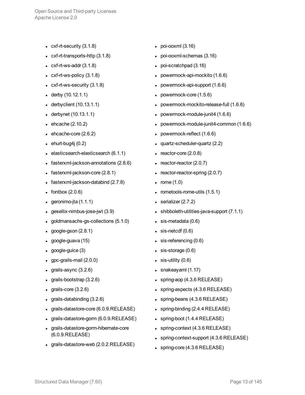- $\bullet$  cxf-rt-security  $(3.1.8)$
- $\bullet$  cxf-rt-transports-http  $(3.1.8)$
- $\bullet$  cxf-rt-ws-addr  $(3.1.8)$
- $cxf-tr-ws-policy (3.1.8)$
- $\bullet$  cxf-rt-ws-security  $(3.1.8)$
- $\bullet$  derby (10.12.1.1)
- derbyclient (10.13.1.1)
- derbynet (10.13.1.1)
- $\bullet$  ehcache (2.10.2)
- ehcache-core (2.6.2)
- ehurt-bug4j (0.2)
- elasticsearch-elasticsearch (6.1.1)
- fasterxml-jackson-annotations (2.8.6)
- fasterxml-jackson-core (2.8.1)
- $\bullet$  fasterxml-jackson-databind (2.7.8)
- $\bullet$  fontbox (2.0.6)
- $\bullet$  geronimo-jta  $(1.1.1)$
- gesellix-nimbus-jose-jwt (3.9)
- goldmansachs-gs-collections (5.1.0)
- google-gson (2.8.1)
- $\bullet$  google-guava (15)
- $\bullet$  google-guice  $(3)$
- <sup>l</sup> gpc-grails-mail (2.0.0)
- grails-async (3.2.6)
- grails-bootstrap (3.2.6)
- $\bullet$  grails-core  $(3.2.6)$
- $\bullet$  grails-databinding  $(3.2.6)$
- grails-datastore-core (6.0.9.RELEASE)
- grails-datastore-gorm (6.0.9.RELEASE)
- grails-datastore-gorm-hibernate-core (6.0.9.RELEASE)
- grails-datastore-web (2.0.2.RELEASE)
- $\bullet$  poi-ooxml  $(3.16)$
- $\bullet$  poi-ooxml-schemas (3.16)
- $\bullet$  poi-scratchpad  $(3.16)$
- $\bullet$  powermock-api-mockito (1.6.6)
- $\bullet$  powermock-api-support  $(1.6.6)$
- $\bullet$  powermock-core  $(1.5.6)$
- powermock-mockito-release-full (1.6.6)
- powermock-module-junit4  $(1.6.6)$
- powermock-module-junit4-common (1.6.6)
- powermock-reflect  $(1.6.6)$
- $\bullet$  quartz-scheduler-quartz (2.2)
- $\bullet$  reactor-core  $(2.0.8)$
- $\bullet$  reactor-reactor (2.0.7)
- $\bullet$  reactor-reactor-spring (2.0.7)
- $\bullet$  rome  $(1.0)$
- $\bullet$  rometools-rome-utils  $(1.5.1)$
- $\bullet$  serializer (2.7.2)
- $\bullet$  shibboleth-utilities-java-support (7.1.1)
- $\bullet$  sis-metadata (0.6)
- $\bullet$  sis-netcdf  $(0.6)$
- $\bullet$  sis-referencing  $(0.6)$
- $\bullet$  sis-storage (0.6)
- $\bullet$  sis-utility (0.6)
- $\bullet$  snakeayaml  $(1.17)$
- spring-aop (4.3.6 RELEASE)
- $\bullet$  spring-aspects (4.3.6 RELEASE)
- $\bullet$  spring-beans (4.3.6 RELEASE)
- $\bullet$  spring-binding (2.4.4 RELEASE)
- spring-boot (1.4.4 RELEASE)
- $\bullet$  spring-context (4.3.6 RELEASE)
- spring-context-support (4.3.6 RELEASE)
- $\bullet$  spring-core (4.3.6 RELEASE)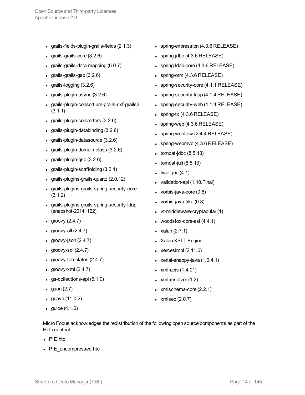- $\bullet$  grails-fields-plugin-grails-fields  $(2.1.3)$
- $\bullet$  grails-grails-core (3.2.6)
- $\bullet$  grails-grails-data-mapping  $(6.0.7)$
- $\bullet$  grails-grails-gsp (3.2.6)
- $\bullet$  grails-logging  $(3.2.6)$
- $\bullet$  grails-plugin-async  $(3.2.6)$
- grails-plugin-consortium-grails-cxf-grails3 (3.1.1)
- grails-plugin-converters (3.2.6)
- $\bullet$  grails-plugin-databinding  $(3.2.6)$
- $\bullet$  grails-plugin-datasource (3.2.6)
- $\bullet$  grails-plugin-domain-class  $(3.2.6)$
- $\bullet$  grails-plugin-gsp  $(3.2.6)$
- $\bullet$  grails-plugin-scaffolding  $(3.2.1)$
- grails-plugins-grails-quartz (2.0.12)
- grails-plugins-grails-spring-security-core (3.1.2)
- grails-plugins-grails-spring-security-Idap (snapshot-20141122)
- groovy  $(2.4.7)$
- $\bullet$  groovy-all  $(2.4.7)$
- $\bullet$  groovy-json (2.4.7)
- $\bullet$  groovy-sql  $(2.4.7)$
- groovy-templates  $(2.4.7)$
- $\bullet$  groovy-xml (2.4.7)
- $\bullet$  gs-collections-api  $(5.1.0)$
- $\bullet$  gson (2.7)
- $\bullet$  guava (11.0.2)
- $\bullet$  guice (4.1.0)
- $\bullet$  spring-expression (4.3.6 RELEASE)
- $\bullet$  spring-jdbc (4.3.6 RELEASE)
- $\bullet$  spring-Idap-core (4.3.6 RELEASE)
- $\bullet$  spring-orm (4.3.6 RELEASE)
- spring-security-core (4.1.1 RELEASE)
- spring-security-Idap (4.1.4 RELEASE)
- spring-security-web (4.1.4 RELEASE)
- spring-tx  $(4.3.6 \text{ RELEASE})$
- $\bullet$  spring-web (4.3.6 RELEASE)
- spring-webflow  $(2.4.4 \text{ RELEASE})$
- spring-webmvc  $(4.3.6 \text{ RELEASE})$
- $\bullet$  tomcat-jdbc  $(8.5.13)$
- $\bullet$  tomcat-juli (8.5.13)
- $\bullet$  twall-jna  $(4.1)$
- validation-api (1.10.Final)
- $\bullet$  vorbis-java-core (0.8)
- $\bullet$  vorbis-java-tika (0.8)
- $\bullet$  vt-middleware-cryptacular (1)
- $\bullet$  woodstox-core-asi  $(4.4.1)$
- $\bullet$  xalan (2.7.1)
- Xalan XSLT Engine
- $\bullet$  xercesimpl (2.11.0)
- $\bullet$  xerial-snappy-java (1.0.4.1)
- $\bullet$  xml-apis (1.4.01)
- $\bullet$  xml-resolver (1.2)
- $\bullet$  xmlschema-core (2.2.1)
- $\bullet$  xmlsec (2.0.7)

Micro Focus acknowledges the redistribution of the following open source components as part of the Help content.

- PIE.htc
- PIE\_uncompressed.htc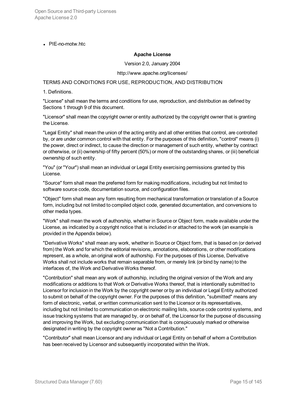#### • PIE-no-motw.htc

#### **Apache License**

Version 2.0, January 2004

http://www.apache.org/licenses/

TERMS AND CONDITIONS FOR USE, REPRODUCTION, AND DISTRIBUTION

1. Definitions.

"License" shall mean the terms and conditions for use, reproduction, and distribution as defined by Sections 1 through 9 of this document.

"Licensor" shall mean the copyright owner or entity authorized by the copyright owner that is granting the License.

"Legal Entity" shall mean the union of the acting entity and all other entities that control, are controlled by, or are under common control with that entity. For the purposes of this definition, "control" means (i) the power, direct or indirect, to cause the direction or management of such entity, whether by contract or otherwise, or (ii) ownership of fifty percent (50%) or more of the outstanding shares, or (iii) beneficial ownership of such entity.

"You" (or "Your") shall mean an individual or Legal Entity exercising permissions granted by this License.

"Source" form shall mean the preferred form for making modifications, including but not limited to software source code, documentation source, and configuration files.

"Object" form shall mean any form resulting from mechanical transformation or translation of a Source form, including but not limited to compiled object code, generated documentation, and conversions to other media types.

"Work" shall mean the work of authorship, whether in Source or Object form, made available under the License, as indicated by a copyright notice that is included in or attached to the work (an example is provided in the Appendix below).

"Derivative Works" shall mean any work, whether in Source or Object form, that is based on (or derived from) the Work and for which the editorial revisions, annotations, elaborations, or other modifications represent, as a whole, an original work of authorship. For the purposes of this License, Derivative Works shall not include works that remain separable from, or merely link (or bind by name) to the interfaces of, the Work and Derivative Works thereof.

"Contribution" shall mean any work of authorship, including the original version of the Work and any modifications or additions to that Work or Derivative Works thereof, that is intentionally submitted to Licensor for inclusion in the Work by the copyright owner or by an individual or Legal Entity authorized to submit on behalf of the copyright owner. For the purposes of this definition, "submitted" means any form of electronic, verbal, or written communication sent to the Licensor or its representatives, including but not limited to communication on electronic mailing lists, source code control systems, and issue tracking systems that are managed by, or on behalf of, the Licensor for the purpose of discussing and improving the Work, but excluding communication that is conspicuously marked or otherwise designated in writing by the copyright owner as "Not a Contribution."

"Contributor" shall mean Licensor and any individual or Legal Entity on behalf of whom a Contribution has been received by Licensor and subsequently incorporated within the Work.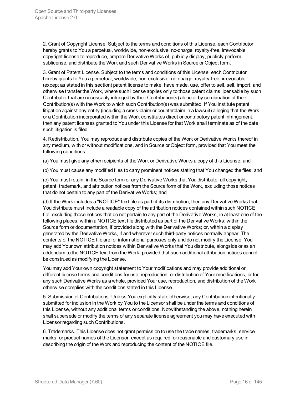2. Grant of Copyright License. Subject to the terms and conditions of this License, each Contributor hereby grants to You a perpetual, worldwide, non-exclusive, no-charge, royalty-free, irrevocable copyright license to reproduce, prepare Derivative Works of, publicly display, publicly perform, sublicense, and distribute the Work and such Derivative Works in Source or Object form.

3. Grant of Patent License. Subject to the terms and conditions of this License, each Contributor hereby grants to You a perpetual, worldwide, non-exclusive, no-charge, royalty-free, irrevocable (except as stated in this section) patent license to make, have made, use, offer to sell, sell, import, and otherwise transfer the Work, where such license applies only to those patent claims licensable by such Contributor that are necessarily infringed by their Contribution(s) alone or by combination of their Contribution(s) with the Work to which such Contribution(s) was submitted. If You institute patent litigation against any entity (including a cross-claim or counterclaim in a lawsuit) alleging that the Work or a Contribution incorporated within the Work constitutes direct or contributory patent infringement, then any patent licenses granted to You under this License for that Work shall terminate as of the date such litigation is filed.

4. Redistribution. You may reproduce and distribute copies of the Work or Derivative Works thereof in any medium, with or without modifications, and in Source or Object form, provided that You meet the following conditions:

(a) You must give any other recipients of the Work or Derivative Works a copy of this License; and

(b) You must cause any modified files to carry prominent notices stating that You changed the files; and

(c) You must retain, in the Source form of any Derivative Works that You distribute, all copyright, patent, trademark, and attribution notices from the Source form of the Work, excluding those notices that do not pertain to any part of the Derivative Works; and

(d) If the Work includes a "NOTICE" text file as part of its distribution, then any Derivative Works that You distribute must include a readable copy of the attribution notices contained within such NOTICE file, excluding those notices that do not pertain to any part of the Derivative Works, in at least one of the following places: within a NOTICE text file distributed as part of the Derivative Works; within the Source form or documentation, if provided along with the Derivative Works; or, within a display generated by the Derivative Works, if and wherever such third-party notices normally appear. The contents of the NOTICE file are for informational purposes only and do not modify the License. You may add Your own attribution notices within Derivative Works that You distribute, alongside or as an addendum to the NOTICE text from the Work, provided that such additional attribution notices cannot be construed as modifying the License.

You may add Your own copyright statement to Your modifications and may provide additional or different license terms and conditions for use, reproduction, or distribution of Your modifications, or for any such Derivative Works as a whole, provided Your use, reproduction, and distribution of the Work otherwise complies with the conditions stated in this License.

5. Submission of Contributions. Unless You explicitly state otherwise, any Contribution intentionally submitted for inclusion in the Work by You to the Licensor shall be under the terms and conditions of this License, without any additional terms or conditions. Notwithstanding the above, nothing herein shall supersede or modify the terms of any separate license agreement you may have executed with Licensor regarding such Contributions.

6. Trademarks. This License does not grant permission to use the trade names, trademarks, service marks, or product names of the Licensor, except as required for reasonable and customary use in describing the origin of the Work and reproducing the content of the NOTICE file.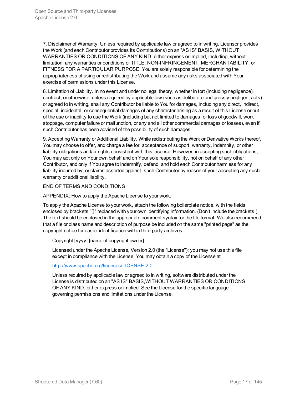7. Disclaimer of Warranty. Unless required by applicable law or agreed to in writing, Licensor provides the Work (and each Contributor provides its Contributions) on an "AS IS" BASIS, WITHOUT WARRANTIES OR CONDITIONS OF ANY KIND, either express or implied, including, without limitation, any warranties or conditions of TITLE, NON-INFRINGEMENT, MERCHANTABILITY, or FITNESS FOR A PARTICULAR PURPOSE. You are solely responsible for determining the appropriateness of using or redistributing the Work and assume any risks associated with Your exercise of permissions under this License.

8. Limitation of Liability. In no event and under no legal theory, whether in tort (including negligence), contract, or otherwise, unless required by applicable law (such as deliberate and grossly negligent acts) or agreed to in writing, shall any Contributor be liable to You for damages, including any direct, indirect, special, incidental, or consequential damages of any character arising as a result of this License or out of the use or inability to use the Work (including but not limited to damages for loss of goodwill, work stoppage, computer failure or malfunction, or any and all other commercial damages or losses), even if such Contributor has been advised of the possibility of such damages.

9. Accepting Warranty or Additional Liability. While redistributing the Work or Derivative Works thereof, You may choose to offer, and charge a fee for, acceptance of support, warranty, indemnity, or other liability obligations and/or rights consistent with this License. However, in accepting such obligations, You may act only on Your own behalf and on Your sole responsibility, not on behalf of any other Contributor, and only if You agree to indemnify, defend, and hold each Contributor harmless for any liability incurred by, or claims asserted against, such Contributor by reason of your accepting any such warranty or additional liability.

#### END OF TERMS AND CONDITIONS

APPENDIX: How to apply the Apache License to your work.

To apply the Apache License to your work, attach the following boilerplate notice, with the fields enclosed by brackets "[]" replaced with your own identifying information. (Don't include the brackets!) The text should be enclosed in the appropriate comment syntax for the file format. We also recommend that a file or class name and description of purpose be included on the same "printed page" as the copyright notice for easier identification within third-party archives.

Copyright [yyyy] [name of copyright owner]

Licensed under the Apache License, Version 2.0 (the "License"); you may not use this file except in compliance with the License. You may obtain a copy of the License at

#### <http://www.apache.org/licenses/LICENSE-2.0>

Unless required by applicable law or agreed to in writing, software distributed under the License is distributed on an "AS IS" BASIS,WITHOUT WARRANTIES OR CONDITIONS OF ANY KIND, either express or implied. See the License for the specific language governing permissions and limitations under the License.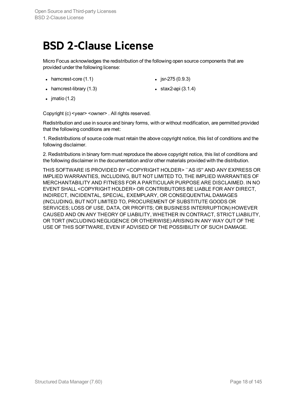### <span id="page-17-0"></span>**BSD 2-Clause License**

Micro Focus acknowledges the redistribution of the following open source components that are provided under the following license:

- $\bullet$  hamcrest-core  $(1.1)$
- hamcrest-library  $(1.3)$
- $\bullet$  jsr-275 (0.9.3)
- $\bullet$  stax2-api  $(3.1.4)$

 $\bullet$  jmatio (1.2)

Copyright (c) <year> <owner> . All rights reserved.

Redistribution and use in source and binary forms, with or without modification, are permitted provided that the following conditions are met:

1. Redistributions of source code must retain the above copyright notice, this list of conditions and the following disclaimer.

2. Redistributions in binary form must reproduce the above copyright notice, this list of conditions and the following disclaimer in the documentation and/or other materials provided with the distribution.

THIS SOFTWARE IS PROVIDED BY <COPYRIGHT HOLDER> ``AS IS'' AND ANY EXPRESS OR IMPLIED WARRANTIES, INCLUDING, BUT NOT LIMITED TO, THE IMPLIED WARRANTIES OF MERCHANTABILITY AND FITNESS FOR A PARTICULAR PURPOSE ARE DISCLAIMED. IN NO EVENT SHALL <COPYRIGHT HOLDER> OR CONTRIBUTORS BE LIABLE FOR ANY DIRECT, INDIRECT, INCIDENTAL, SPECIAL, EXEMPLARY, OR CONSEQUENTIAL DAMAGES (INCLUDING, BUT NOT LIMITED TO, PROCUREMENT OF SUBSTITUTE GOODS OR SERVICES; LOSS OF USE, DATA, OR PROFITS; OR BUSINESS INTERRUPTION) HOWEVER CAUSED AND ON ANY THEORY OF LIABILITY, WHETHER IN CONTRACT, STRICT LIABILITY, OR TORT (INCLUDING NEGLIGENCE OR OTHERWISE) ARISING IN ANY WAY OUT OF THE USE OF THIS SOFTWARE, EVEN IF ADVISED OF THE POSSIBILITY OF SUCH DAMAGE.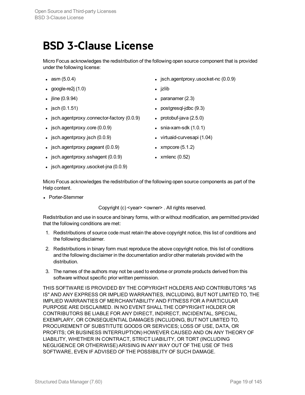### <span id="page-18-0"></span>**BSD 3-Clause License**

Micro Focus acknowledges the redistribution of the following open source component that is provided under the following license:

- $\bullet$  asm (5.0.4)
- $qooq$ le-re2j  $(1.0)$
- $\bullet$  jline (0.9.94)
- $\bullet$  jsch (0.1.51)
- jsch.agentproxy.connector-factory (0.0.9)
- $\bullet$  jsch.agentproxy.core  $(0.0.9)$
- $\bullet$  jsch.agentproxy.jsch  $(0.0.9)$
- jsch.agentproxy.pageant (0.0.9)
- $\bullet$  jsch.agentproxy.sshagent  $(0.0.9)$
- jsch.agentproxy.usocket-jna (0.0.9)
- jsch.agentproxy.usocket-nc (0.0.9)
- $\bullet$  jzlib
- $\bullet$  paranamer (2.3)
- $\bullet$  postgresql-jdbc (9.3)
- protobuf-java $(2.5.0)$
- $\bullet$  snia-xam-sdk  $(1.0.1)$
- virtuaid-curvesapi (1.04)
- $\bullet$  xmpcore (5.1.2)
- $\bullet$  xmlenc (0.52)

Micro Focus acknowledges the redistribution of the following open source components as part of the Help content.

• Porter-Stemmer

Copyright (c) <year> <owner> . All rights reserved.

Redistribution and use in source and binary forms, with or without modification, are permitted provided that the following conditions are met:

- 1. Redistributions of source code must retain the above copyright notice, this list of conditions and the following disclaimer.
- 2. Redistributions in binary form must reproduce the above copyright notice, this list of conditions and the following disclaimer in the documentation and/or other materials provided with the distribution.
- 3. The names of the authors may not be used to endorse or promote products derived from this software without specific prior written permission.

THIS SOFTWARE IS PROVIDED BY THE COPYRIGHT HOLDERS AND CONTRIBUTORS "AS IS" AND ANY EXPRESS OR IMPLIED WARRANTIES, INCLUDING, BUT NOT LIMITED TO, THE IMPLIED WARRANTIES OF MERCHANTABILITY AND FITNESS FOR A PARTICULAR PURPOSE ARE DISCLAIMED. IN NO EVENT SHALL THE COPYRIGHT HOLDER OR CONTRIBUTORS BE LIABLE FOR ANY DIRECT, INDIRECT, INCIDENTAL, SPECIAL, EXEMPLARY, OR CONSEQUENTIAL DAMAGES (INCLUDING, BUT NOT LIMITED TO, PROCUREMENT OF SUBSTITUTE GOODS OR SERVICES; LOSS OF USE, DATA, OR PROFITS; OR BUSINESS INTERRUPTION) HOWEVER CAUSED AND ON ANY THEORY OF LIABILITY, WHETHER IN CONTRACT, STRICT LIABILITY, OR TORT (INCLUDING NEGLIGENCE OR OTHERWISE) ARISING IN ANY WAY OUT OF THE USE OF THIS SOFTWARE, EVEN IF ADVISED OF THE POSSIBILITY OF SUCH DAMAGE.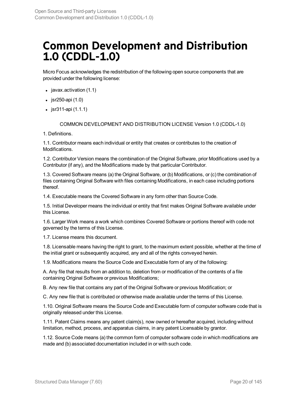### <span id="page-19-0"></span>**Common Development and Distribution 1.0 (CDDL-1.0)**

Micro Focus acknowledges the redistribution of the following open source components that are provided under the following license:

- $\bullet$  javax.activation (1.1)
- $\bullet$  jsr250-api (1.0)
- $\bullet$  jsr311-api (1.1.1)

COMMON DEVELOPMENT AND DISTRIBUTION LICENSE Version 1.0 (CDDL-1.0)

1. Definitions.

1.1. Contributor means each individual or entity that creates or contributes to the creation of Modifications.

1.2. Contributor Version means the combination of the Original Software, prior Modifications used by a Contributor (if any), and the Modifications made by that particular Contributor.

1.3. Covered Software means (a) the Original Software, or (b) Modifications, or (c) the combination of files containing Original Software with files containing Modifications, in each case including portions thereof.

1.4. Executable means the Covered Software in any form other than Source Code.

1.5. Initial Developer means the individual or entity that first makes Original Software available under this License.

1.6. Larger Work means a work which combines Covered Software or portions thereof with code not governed by the terms of this License.

1.7. License means this document.

1.8. Licensable means having the right to grant, to the maximum extent possible, whether at the time of the initial grant or subsequently acquired, any and all of the rights conveyed herein.

1.9. Modifications means the Source Code and Executable form of any of the following:

A. Any file that results from an addition to, deletion from or modification of the contents of a file containing Original Software or previous Modifications;

B. Any new file that contains any part of the Original Software or previous Modification; or

C. Any new file that is contributed or otherwise made available under the terms of this License.

1.10. Original Software means the Source Code and Executable form of computer software code that is originally released under this License.

1.11. Patent Claims means any patent claim(s), now owned or hereafter acquired, including without limitation, method, process, and apparatus claims, in any patent Licensable by grantor.

1.12. Source Code means (a) the common form of computer software code in which modifications are made and (b) associated documentation included in or with such code.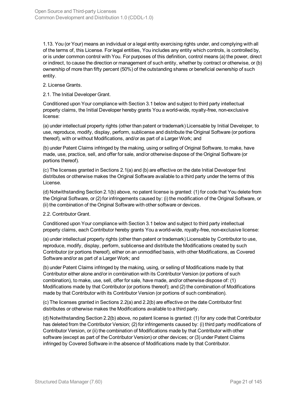1.13. You (or Your) means an individual or a legal entity exercising rights under, and complying with all of the terms of, this License. For legal entities, You includes any entity which controls, is controlled by, or is under common control with You. For purposes of this definition, control means (a) the power, direct or indirect, to cause the direction or management of such entity, whether by contract or otherwise, or (b) ownership of more than fifty percent (50%) of the outstanding shares or beneficial ownership of such entity.

2. License Grants.

2.1. The Initial Developer Grant.

Conditioned upon Your compliance with Section 3.1 below and subject to third party intellectual property claims, the Initial Developer hereby grants You a world-wide, royalty-free, non-exclusive license:

(a) under intellectual property rights (other than patent or trademark) Licensable by Initial Developer, to use, reproduce, modify, display, perform, sublicense and distribute the Original Software (or portions thereof), with or without Modifications, and/or as part of a Larger Work; and

(b) under Patent Claims infringed by the making, using or selling of Original Software, to make, have made, use, practice, sell, and offer for sale, and/or otherwise dispose of the Original Software (or portions thereof).

(c) The licenses granted in Sections 2.1(a) and (b) are effective on the date Initial Developer first distributes or otherwise makes the Original Software available to a third party under the terms of this License.

(d) Notwithstanding Section 2.1(b) above, no patent license is granted: (1) for code that You delete from the Original Software, or (2) for infringements caused by: (i) the modification of the Original Software, or (ii) the combination of the Original Software with other software or devices.

2.2. Contributor Grant.

Conditioned upon Your compliance with Section 3.1 below and subject to third party intellectual property claims, each Contributor hereby grants You a world-wide, royalty-free, non-exclusive license:

(a) under intellectual property rights (other than patent or trademark) Licensable by Contributor to use, reproduce, modify, display, perform, sublicense and distribute the Modifications created by such Contributor (or portions thereof), either on an unmodified basis, with other Modifications, as Covered Software and/or as part of a Larger Work; and

(b) under Patent Claims infringed by the making, using, or selling of Modifications made by that Contributor either alone and/or in combination with its Contributor Version (or portions of such combination), to make, use, sell, offer for sale, have made, and/or otherwise dispose of: (1) Modifications made by that Contributor (or portions thereof); and (2) the combination of Modifications made by that Contributor with its Contributor Version (or portions of such combination).

(c) The licenses granted in Sections 2.2(a) and 2.2(b) are effective on the date Contributor first distributes or otherwise makes the Modifications available to a third party.

(d) Notwithstanding Section 2.2(b) above, no patent license is granted: (1) for any code that Contributor has deleted from the Contributor Version; (2) for infringements caused by: (i) third party modifications of Contributor Version, or (ii) the combination of Modifications made by that Contributor with other software (except as part of the Contributor Version) or other devices; or (3) under Patent Claims infringed by Covered Software in the absence of Modifications made by that Contributor.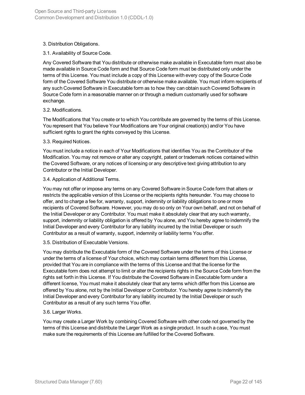#### 3. Distribution Obligations.

3.1. Availability of Source Code.

Any Covered Software that You distribute or otherwise make available in Executable form must also be made available in Source Code form and that Source Code form must be distributed only under the terms of this License. You must include a copy of this License with every copy of the Source Code form of the Covered Software You distribute or otherwise make available. You must inform recipients of any such Covered Software in Executable form as to how they can obtain such Covered Software in Source Code form in a reasonable manner on or through a medium customarily used for software exchange.

#### 3.2. Modifications.

The Modifications that You create or to which You contribute are governed by the terms of this License. You represent that You believe Your Modifications are Your original creation(s) and/or You have sufficient rights to grant the rights conveyed by this License.

#### 3.3. Required Notices.

You must include a notice in each of Your Modifications that identifies You as the Contributor of the Modification. You may not remove or alter any copyright, patent or trademark notices contained within the Covered Software, or any notices of licensing or any descriptive text giving attribution to any Contributor or the Initial Developer.

#### 3.4. Application of Additional Terms.

You may not offer or impose any terms on any Covered Software in Source Code form that alters or restricts the applicable version of this License or the recipients rights hereunder. You may choose to offer, and to charge a fee for, warranty, support, indemnity or liability obligations to one or more recipients of Covered Software. However, you may do so only on Your own behalf, and not on behalf of the Initial Developer or any Contributor. You must make it absolutely clear that any such warranty, support, indemnity or liability obligation is offered by You alone, and You hereby agree to indemnify the Initial Developer and every Contributor for any liability incurred by the Initial Developer or such Contributor as a result of warranty, support, indemnity or liability terms You offer.

#### 3.5. Distribution of Executable Versions.

You may distribute the Executable form of the Covered Software under the terms of this License or under the terms of a license of Your choice, which may contain terms different from this License, provided that You are in compliance with the terms of this License and that the license for the Executable form does not attempt to limit or alter the recipients rights in the Source Code form from the rights set forth in this License. If You distribute the Covered Software in Executable form under a different license, You must make it absolutely clear that any terms which differ from this License are offered by You alone, not by the Initial Developer or Contributor. You hereby agree to indemnify the Initial Developer and every Contributor for any liability incurred by the Initial Developer or such Contributor as a result of any such terms You offer.

#### 3.6. Larger Works.

You may create a Larger Work by combining Covered Software with other code not governed by the terms of this License and distribute the Larger Work as a single product. In such a case, You must make sure the requirements of this License are fulfilled for the Covered Software.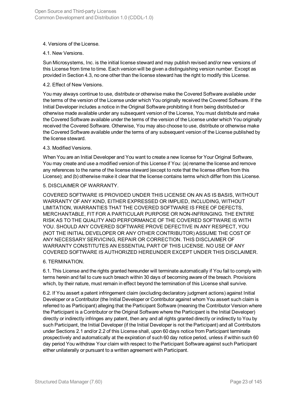#### 4. Versions of the License.

#### 4.1. New Versions.

Sun Microsystems, Inc. is the initial license steward and may publish revised and/or new versions of this License from time to time. Each version will be given a distinguishing version number. Except as provided in Section 4.3, no one other than the license steward has the right to modify this License.

#### 4.2. Effect of New Versions.

You may always continue to use, distribute or otherwise make the Covered Software available under the terms of the version of the License under which You originally received the Covered Software. If the Initial Developer includes a notice in the Original Software prohibiting it from being distributed or otherwise made available under any subsequent version of the License, You must distribute and make the Covered Software available under the terms of the version of the License under which You originally received the Covered Software. Otherwise, You may also choose to use, distribute or otherwise make the Covered Software available under the terms of any subsequent version of the License published by the license steward.

#### 4.3. Modified Versions.

When You are an Initial Developer and You want to create a new license for Your Original Software, You may create and use a modified version of this License if You: (a) rename the license and remove any references to the name of the license steward (except to note that the license differs from this License); and (b) otherwise make it clear that the license contains terms which differ from this License.

#### 5. DISCLAIMER OF WARRANTY.

COVERED SOFTWARE IS PROVIDED UNDER THIS LICENSE ON AN AS IS BASIS, WITHOUT WARRANTY OF ANY KIND, EITHER EXPRESSED OR IMPLIED, INCLUDING, WITHOUT LIMITATION, WARRANTIES THAT THE COVERED SOFTWARE IS FREE OF DEFECTS, MERCHANTABLE, FIT FOR A PARTICULAR PURPOSE OR NON-INFRINGING. THE ENTIRE RISK AS TO THE QUALITY AND PERFORMANCE OF THE COVERED SOFTWARE IS WITH YOU. SHOULD ANY COVERED SOFTWARE PROVE DEFECTIVE IN ANY RESPECT, YOU (NOT THE INITIAL DEVELOPER OR ANY OTHER CONTRIBUTOR) ASSUME THE COST OF ANY NECESSARY SERVICING, REPAIR OR CORRECTION. THIS DISCLAIMER OF WARRANTY CONSTITUTES AN ESSENTIAL PART OF THIS LICENSE. NO USE OF ANY COVERED SOFTWARE IS AUTHORIZED HEREUNDER EXCEPT UNDER THIS DISCLAIMER.

#### 6. TERMINATION.

6.1. This License and the rights granted hereunder will terminate automatically if You fail to comply with terms herein and fail to cure such breach within 30 days of becoming aware of the breach. Provisions which, by their nature, must remain in effect beyond the termination of this License shall survive.

6.2. If You assert a patent infringement claim (excluding declaratory judgment actions) against Initial Developer or a Contributor (the Initial Developer or Contributor against whom You assert such claim is referred to as Participant) alleging that the Participant Software (meaning the Contributor Version where the Participant is a Contributor or the Original Software where the Participant is the Initial Developer) directly or indirectly infringes any patent, then any and all rights granted directly or indirectly to You by such Participant, the Initial Developer (if the Initial Developer is not the Participant) and all Contributors under Sections 2.1 and/or 2.2 of this License shall, upon 60 days notice from Participant terminate prospectively and automatically at the expiration of such 60 day notice period, unless if within such 60 day period You withdraw Your claim with respect to the Participant Software against such Participant either unilaterally or pursuant to a written agreement with Participant.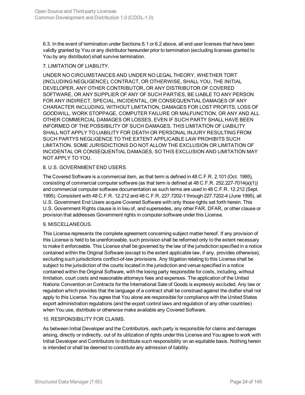6.3. In the event of termination under Sections 6.1 or 6.2 above, all end user licenses that have been validly granted by You or any distributor hereunder prior to termination (excluding licenses granted to You by any distributor) shall survive termination.

#### 7. LIMITATION OF LIABILITY.

UNDER NO CIRCUMSTANCES AND UNDER NO LEGAL THEORY, WHETHER TORT (INCLUDING NEGLIGENCE), CONTRACT, OR OTHERWISE, SHALL YOU, THE INITIAL DEVELOPER, ANY OTHER CONTRIBUTOR, OR ANY DISTRIBUTOR OF COVERED SOFTWARE, OR ANY SUPPLIER OF ANY OF SUCH PARTIES, BE LIABLE TO ANY PERSON FOR ANY INDIRECT, SPECIAL, INCIDENTAL, OR CONSEQUENTIAL DAMAGES OF ANY CHARACTER INCLUDING, WITHOUT LIMITATION, DAMAGES FOR LOST PROFITS, LOSS OF GOODWILL, WORK STOPPAGE, COMPUTER FAILURE OR MALFUNCTION, OR ANY AND ALL OTHER COMMERCIAL DAMAGES OR LOSSES, EVEN IF SUCH PARTY SHALL HAVE BEEN INFORMED OF THE POSSIBILITY OF SUCH DAMAGES. THIS LIMITATION OF LIABILITY SHALL NOT APPLY TO LIABILITY FOR DEATH OR PERSONAL INJURY RESULTING FROM SUCH PARTYS NEGLIGENCE TO THE EXTENT APPLICABLE LAW PROHIBITS SUCH LIMITATION. SOME JURISDICTIONS DO NOT ALLOW THE EXCLUSION OR LIMITATION OF INCIDENTAL OR CONSEQUENTIAL DAMAGES, SO THIS EXCLUSION AND LIMITATION MAY NOT APPLY TO YOU.

#### 8. U.S. GOVERNMENT END USERS.

The Covered Software is a commercial item, as that term is defined in 48 C.F.R. 2.101 (Oct. 1995), consisting of commercial computer software (as that term is defined at 48 C.F.R. 252.227-7014(a)(1)) and commercial computer software documentation as such terms are used in 48 C.F.R. 12.212 (Sept. 1995). Consistent with 48 C.F.R. 12.212 and 48 C.F.R. 227.7202-1 through 227.7202-4 (June 1995), all U.S. Government End Users acquire Covered Software with only those rights set forth herein. This U.S. Government Rights clause is in lieu of, and supersedes, any other FAR, DFAR, or other clause or provision that addresses Government rights in computer software under this License.

#### 9. MISCELLANEOUS.

This License represents the complete agreement concerning subject matter hereof. If any provision of this License is held to be unenforceable, such provision shall be reformed only to the extent necessary to make it enforceable. This License shall be governed by the law of the jurisdiction specified in a notice contained within the Original Software (except to the extent applicable law, if any, provides otherwise), excluding such jurisdictions conflict-of-law provisions. Any litigation relating to this License shall be subject to the jurisdiction of the courts located in the jurisdiction and venue specified in a notice contained within the Original Software, with the losing party responsible for costs, including, without limitation, court costs and reasonable attorneys fees and expenses. The application of the United Nations Convention on Contracts for the International Sale of Goods is expressly excluded. Any law or regulation which provides that the language of a contract shall be construed against the drafter shall not apply to this License. You agree that You alone are responsible for compliance with the United States export administration regulations (and the export control laws and regulation of any other countries) when You use, distribute or otherwise make available any Covered Software.

#### 10. RESPONSIBILITY FOR CLAIMS.

As between Initial Developer and the Contributors, each party is responsible for claims and damages arising, directly or indirectly, out of its utilization of rights under this License and You agree to work with Initial Developer and Contributors to distribute such responsibility on an equitable basis. Nothing herein is intended or shall be deemed to constitute any admission of liability.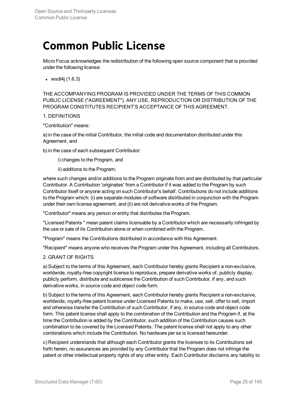### <span id="page-24-0"></span>**Common Public License**

Micro Focus acknowledges the redistribution of the following open source component that is provided under the following license:

 $\bullet$  wsdl4j (1.6.3)

THE ACCOMPANYING PROGRAM IS PROVIDED UNDER THE TERMS OF THIS COMMON PUBLIC LICENSE ("AGREEMENT"). ANY USE, REPRODUCTION OR DISTRIBUTION OF THE PROGRAM CONSTITUTES RECIPIENT'S ACCEPTANCE OF THIS AGREEMENT.

#### 1. DEFINITIONS

"Contribution" means:

a) in the case of the initial Contributor, the initial code and documentation distributed under this Agreement, and

b) in the case of each subsequent Contributor:

- i) changes to the Program, and
- ii) additions to the Program;

where such changes and/or additions to the Program originate from and are distributed by that particular Contributor. A Contribution 'originates' from a Contributor if it was added to the Program by such Contributor itself or anyone acting on such Contributor's behalf. Contributions do not include additions to the Program which: (i) are separate modules of software distributed in conjunction with the Program under their own license agreement, and (ii) are not derivative works of the Program.

"Contributor" means any person or entity that distributes the Program.

"Licensed Patents " mean patent claims licensable by a Contributor which are necessarily infringed by the use or sale of its Contribution alone or when combined with the Program.

"Program" means the Contributions distributed in accordance with this Agreement.

"Recipient" means anyone who receives the Program under this Agreement, including all Contributors.

#### 2. GRANT OF RIGHTS

a) Subject to the terms of this Agreement, each Contributor hereby grants Recipient a non-exclusive, worldwide, royalty-free copyright license to reproduce, prepare derivative works of, publicly display, publicly perform, distribute and sublicense the Contribution of such Contributor, if any, and such derivative works, in source code and object code form.

b) Subject to the terms of this Agreement, each Contributor hereby grants Recipient a non-exclusive, worldwide, royalty-free patent license under Licensed Patents to make, use, sell, offer to sell, import and otherwise transfer the Contribution of such Contributor, if any, in source code and object code form. This patent license shall apply to the combination of the Contribution and the Program if, at the time the Contribution is added by the Contributor, such addition of the Contribution causes such combination to be covered by the Licensed Patents. The patent license shall not apply to any other combinations which include the Contribution. No hardware per se is licensed hereunder.

c) Recipient understands that although each Contributor grants the licenses to its Contributions set forth herein, no assurances are provided by any Contributor that the Program does not infringe the patent or other intellectual property rights of any other entity. Each Contributor disclaims any liability to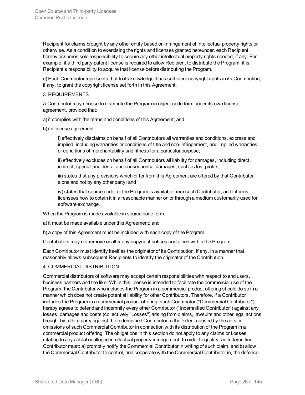Recipient for claims brought by any other entity based on infringement of intellectual property rights or otherwise. As a condition to exercising the rights and licenses granted hereunder, each Recipient hereby assumes sole responsibility to secure any other intellectual property rights needed, if any. For example, if a third party patent license is required to allow Recipient to distribute the Program, it is Recipient's responsibility to acquire that license before distributing the Program.

d) Each Contributor represents that to its knowledge it has sufficient copyright rights in its Contribution, if any, to grant the copyright license set forth in this Agreement.

#### 3. REQUIREMENTS

A Contributor may choose to distribute the Program in object code form under its own license agreement, provided that:

a) it complies with the terms and conditions of this Agreement; and

b) its license agreement:

i) effectively disclaims on behalf of all Contributors all warranties and conditions, express and implied, including warranties or conditions of title and non-infringement, and implied warranties or conditions of merchantability and fitness for a particular purpose;

ii) effectively excludes on behalf of all Contributors all liability for damages, including direct, indirect, special, incidental and consequential damages, such as lost profits;

iii) states that any provisions which differ from this Agreement are offered by that Contributor alone and not by any other party; and

iv) states that source code for the Program is available from such Contributor, and informs licensees how to obtain it in a reasonable manner on or through a medium customarily used for software exchange.

When the Program is made available in source code form:

- a) it must be made available under this Agreement; and
- b) a copy of this Agreement must be included with each copy of the Program.

Contributors may not remove or alter any copyright notices contained within the Program.

Each Contributor must identify itself as the originator of its Contribution, if any, in a manner that reasonably allows subsequent Recipients to identify the originator of the Contribution.

#### 4. COMMERCIAL DISTRIBUTION

Commercial distributors of software may accept certain responsibilities with respect to end users, business partners and the like. While this license is intended to facilitate the commercial use of the Program, the Contributor who includes the Program in a commercial product offering should do so in a manner which does not create potential liability for other Contributors. Therefore, if a Contributor includes the Program in a commercial product offering, such Contributor ("Commercial Contributor") hereby agrees to defend and indemnify every other Contributor ("Indemnified Contributor") against any losses, damages and costs (collectively "Losses") arising from claims, lawsuits and other legal actions brought by a third party against the Indemnified Contributor to the extent caused by the acts or omissions of such Commercial Contributor in connection with its distribution of the Program in a commercial product offering. The obligations in this section do not apply to any claims or Losses relating to any actual or alleged intellectual property infringement. In order to qualify, an Indemnified Contributor must: a) promptly notify the Commercial Contributor in writing of such claim, and b) allow the Commercial Contributor to control, and cooperate with the Commercial Contributor in, the defense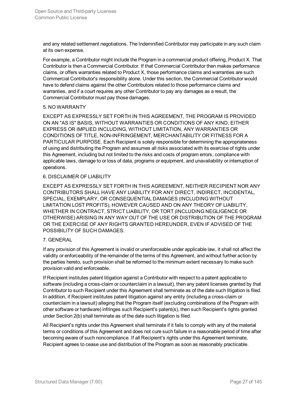and any related settlement negotiations. The Indemnified Contributor may participate in any such claim at its own expense.

For example, a Contributor might include the Program in a commercial product offering, Product X. That Contributor is then a Commercial Contributor. If that Commercial Contributor then makes performance claims, or offers warranties related to Product X, those performance claims and warranties are such Commercial Contributor's responsibility alone. Under this section, the Commercial Contributor would have to defend claims against the other Contributors related to those performance claims and warranties, and if a court requires any other Contributor to pay any damages as a result, the Commercial Contributor must pay those damages.

#### 5. NO WARRANTY

EXCEPT AS EXPRESSLY SET FORTH IN THIS AGREEMENT, THE PROGRAM IS PROVIDED ON AN "AS IS" BASIS, WITHOUT WARRANTIES OR CONDITIONS OF ANY KIND, EITHER EXPRESS OR IMPLIED INCLUDING, WITHOUT LIMITATION, ANY WARRANTIES OR CONDITIONS OF TITLE, NON-INFRINGEMENT, MERCHANTABILITY OR FITNESS FOR A PARTICULAR PURPOSE. Each Recipient is solely responsible for determining the appropriateness of using and distributing the Program and assumes all risks associated with its exercise of rights under this Agreement, including but not limited to the risks and costs of program errors, compliance with applicable laws, damage to or loss of data, programs or equipment, and unavailability or interruption of operations.

#### 6. DISCLAIMER OF LIABILITY

EXCEPT AS EXPRESSLY SET FORTH IN THIS AGREEMENT, NEITHER RECIPIENT NOR ANY CONTRIBUTORS SHALL HAVE ANY LIABILITY FOR ANY DIRECT, INDIRECT, INCIDENTAL, SPECIAL, EXEMPLARY, OR CONSEQUENTIAL DAMAGES (INCLUDING WITHOUT LIMITATION LOST PROFITS), HOWEVER CAUSED AND ON ANY THEORY OF LIABILITY, WHETHER IN CONTRACT, STRICT LIABILITY, OR TORT (INCLUDING NEGLIGENCE OR OTHERWISE) ARISING IN ANY WAY OUT OF THE USE OR DISTRIBUTION OF THE PROGRAM OR THE EXERCISE OF ANY RIGHTS GRANTED HEREUNDER, EVEN IF ADVISED OF THE POSSIBILITY OF SUCH DAMAGES.

#### 7. GENERAL

If any provision of this Agreement is invalid or unenforceable under applicable law, it shall not affect the validity or enforceability of the remainder of the terms of this Agreement, and without further action by the parties hereto, such provision shall be reformed to the minimum extent necessary to make such provision valid and enforceable.

If Recipient institutes patent litigation against a Contributor with respect to a patent applicable to software (including a cross-claim or counterclaim in a lawsuit), then any patent licenses granted by that Contributor to such Recipient under this Agreement shall terminate as of the date such litigation is filed. In addition, if Recipient institutes patent litigation against any entity (including a cross-claim or counterclaim in a lawsuit) alleging that the Program itself (excluding combinations of the Program with other software or hardware) infringes such Recipient's patent(s), then such Recipient's rights granted under Section 2(b) shall terminate as of the date such litigation is filed.

All Recipient's rights under this Agreement shall terminate if it fails to comply with any of the material terms or conditions of this Agreement and does not cure such failure in a reasonable period of time after becoming aware of such noncompliance. If all Recipient's rights under this Agreement terminate, Recipient agrees to cease use and distribution of the Program as soon as reasonably practicable.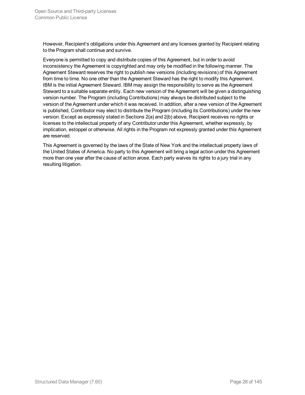However, Recipient's obligations under this Agreement and any licenses granted by Recipient relating to the Program shall continue and survive.

Everyone is permitted to copy and distribute copies of this Agreement, but in order to avoid inconsistency the Agreement is copyrighted and may only be modified in the following manner. The Agreement Steward reserves the right to publish new versions (including revisions) of this Agreement from time to time. No one other than the Agreement Steward has the right to modify this Agreement. IBM is the initial Agreement Steward. IBM may assign the responsibility to serve as the Agreement Steward to a suitable separate entity. Each new version of the Agreement will be given a distinguishing version number. The Program (including Contributions) may always be distributed subject to the version of the Agreement under which it was received. In addition, after a new version of the Agreement is published, Contributor may elect to distribute the Program (including its Contributions) under the new version. Except as expressly stated in Sections 2(a) and 2(b) above, Recipient receives no rights or licenses to the intellectual property of any Contributor under this Agreement, whether expressly, by implication, estoppel or otherwise. All rights in the Program not expressly granted under this Agreement are reserved.

This Agreement is governed by the laws of the State of New York and the intellectual property laws of the United States of America. No party to this Agreement will bring a legal action under this Agreement more than one year after the cause of action arose. Each party waives its rights to a jury trial in any resulting litigation.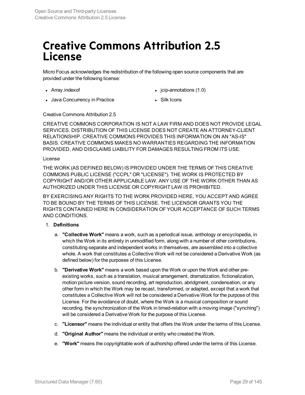### <span id="page-28-0"></span>**Creative Commons Attribution 2.5 License**

Micro Focus acknowledges the redistribution of the following open source components that are provided under the following license:

- Array.indexof
- Java Concurrency in Practice
- $\bullet$  jcip-annotations  $(1.0)$
- Silk Icons

#### Creative Commons Attribution 2.5

CREATIVE COMMONS CORPORATION IS NOT A LAW FIRM AND DOES NOT PROVIDE LEGAL SERVICES. DISTRIBUTION OF THIS LICENSE DOES NOT CREATE AN ATTORNEY-CLIENT RELATIONSHIP. CREATIVE COMMONS PROVIDES THIS INFORMATION ON AN "AS-IS" BASIS. CREATIVE COMMONS MAKES NO WARRANTIES REGARDING THE INFORMATION PROVIDED, AND DISCLAIMS LIABILITY FOR DAMAGES RESULTING FROM ITS USE.

#### License

THE WORK (AS DEFINED BELOW) IS PROVIDED UNDER THE TERMS OF THIS CREATIVE COMMONS PUBLIC LICENSE ("CCPL" OR "LICENSE"). THE WORK IS PROTECTED BY COPYRIGHT AND/OR OTHER APPLICABLE LAW. ANY USE OF THE WORK OTHER THAN AS AUTHORIZED UNDER THIS LICENSE OR COPYRIGHT LAW IS PROHIBITED.

BY EXERCISING ANY RIGHTS TO THE WORK PROVIDED HERE, YOU ACCEPT AND AGREE TO BE BOUND BY THE TERMS OF THIS LICENSE. THE LICENSOR GRANTS YOU THE RIGHTS CONTAINED HERE IN CONSIDERATION OF YOUR ACCEPTANCE OF SUCH TERMS AND CONDITIONS.

#### 1. **Definitions**

- a. **"Collective Work"** means a work, such as a periodical issue, anthology or encyclopedia, in which the Work in its entirety in unmodified form, along with a number of other contributions, constituting separate and independent works in themselves, are assembled into a collective whole. A work that constitutes a Collective Work will not be considered a Derivative Work (as defined below) for the purposes of this License.
- b. **"Derivative Work"** means a work based upon the Work or upon the Work and other preexisting works, such as a translation, musical arrangement, dramatization, fictionalization, motion picture version, sound recording, art reproduction, abridgment, condensation, or any other form in which the Work may be recast, transformed, or adapted, except that a work that constitutes a Collective Work will not be considered a Derivative Work for the purpose of this License. For the avoidance of doubt, where the Work is a musical composition or sound recording, the synchronization of the Work in timed-relation with a moving image ("synching") will be considered a Derivative Work for the purpose of this License.
- c. **"Licensor"** means the individual or entity that offers the Work under the terms of this License.
- d. **"Original Author"** means the individual or entity who created the Work.
- e. **"Work"** means the copyrightable work of authorship offered under the terms of this License.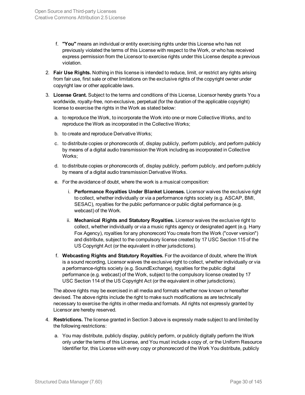- f. **"You"** means an individual or entity exercising rights under this License who has not previously violated the terms of this License with respect to the Work, or who has received express permission from the Licensor to exercise rights under this License despite a previous violation.
- 2. **Fair Use Rights.** Nothing in this license is intended to reduce, limit, or restrict any rights arising from fair use, first sale or other limitations on the exclusive rights of the copyright owner under copyright law or other applicable laws.
- 3. **License Grant.** Subject to the terms and conditions of this License, Licensor hereby grants You a worldwide, royalty-free, non-exclusive, perpetual (for the duration of the applicable copyright) license to exercise the rights in the Work as stated below:
	- a. to reproduce the Work, to incorporate the Work into one or more Collective Works, and to reproduce the Work as incorporated in the Collective Works;
	- b. to create and reproduce Derivative Works;
	- c. to distribute copies or phonorecords of, display publicly, perform publicly, and perform publicly by means of a digital audio transmission the Work including as incorporated in Collective Works;
	- d. to distribute copies or phonorecords of, display publicly, perform publicly, and perform publicly by means of a digital audio transmission Derivative Works.
	- e. For the avoidance of doubt, where the work is a musical composition:
		- i. **Performance Royalties Under Blanket Licenses.** Licensor waives the exclusive right to collect, whether individually or via a performance rights society (e.g. ASCAP, BMI, SESAC), royalties for the public performance or public digital performance (e.g. webcast) of the Work.
		- ii. **Mechanical Rights and Statutory Royalties.** Licensor waives the exclusive right to collect, whether individually or via a music rights agency or designated agent (e.g. Harry Fox Agency), royalties for any phonorecord You create from the Work ("cover version") and distribute, subject to the compulsory license created by 17 USC Section 115 of the US Copyright Act (or the equivalent in other jurisdictions).
	- f. **Webcasting Rights and Statutory Royalties.** For the avoidance of doubt, where the Work is a sound recording, Licensor waives the exclusive right to collect, whether individually or via a performance-rights society (e.g. SoundExchange), royalties for the public digital performance (e.g. webcast) of the Work, subject to the compulsory license created by 17 USC Section 114 of the US Copyright Act (or the equivalent in other jurisdictions).

The above rights may be exercised in all media and formats whether now known or hereafter devised. The above rights include the right to make such modifications as are technically necessary to exercise the rights in other media and formats. All rights not expressly granted by Licensor are hereby reserved.

- 4. **Restrictions.** The license granted in Section 3 above is expressly made subject to and limited by the following restrictions:
	- a. You may distribute, publicly display, publicly perform, or publicly digitally perform the Work only under the terms of this License, and You must include a copy of, or the Uniform Resource Identifier for, this License with every copy or phonorecord of the Work You distribute, publicly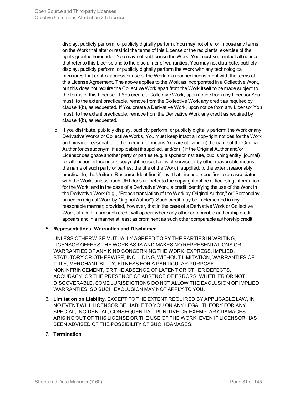display, publicly perform, or publicly digitally perform. You may not offer or impose any terms on the Work that alter or restrict the terms of this License or the recipients' exercise of the rights granted hereunder. You may not sublicense the Work. You must keep intact all notices that refer to this License and to the disclaimer of warranties. You may not distribute, publicly display, publicly perform, or publicly digitally perform the Work with any technological measures that control access or use of the Work in a manner inconsistent with the terms of this License Agreement. The above applies to the Work as incorporated in a Collective Work, but this does not require the Collective Work apart from the Work itself to be made subject to the terms of this License. If You create a Collective Work, upon notice from any Licensor You must, to the extent practicable, remove from the Collective Work any credit as required by clause 4(b), as requested. If You create a Derivative Work, upon notice from any Licensor You must, to the extent practicable, remove from the Derivative Work any credit as required by clause 4(b), as requested.

b. If you distribute, publicly display, publicly perform, or publicly digitally perform the Work or any Derivative Works or Collective Works, You must keep intact all copyright notices for the Work and provide, reasonable to the medium or means You are utilizing: (i) the name of the Original Author (or pseudonym, if applicable) if supplied, and/or (ii) if the Original Author and/or Licensor designate another party or parties (e.g. a sponsor institute, publishing entity, journal) for attribution in Licensor's copyright notice, terms of service or by other reasonable means, the name of such party or parties; the title of the Work if supplied; to the extent reasonably practicable, the Uniform Resource Identifier, if any, that Licensor specifies to be associated with the Work, unless such URI does not refer to the copyright notice or licensing information for the Work; and in the case of a Derivative Work, a credit identifying the use of the Work in the Derivative Work (e.g., "French translation of the Work by Original Author," or "Screenplay based on original Work by Original Author"). Such credit may be implemented in any reasonable manner; provided, however, that in the case of a Derivative Work or Collective Work, at a minimum such credit will appear where any other comparable authorship credit appears and in a manner at least as prominent as such other comparable authorship credit.

#### 5. **Representations, Warranties and Disclaimer**

UNLESS OTHERWISE MUTUALLY AGREED TO BY THE PARTIES IN WRITING, LICENSOR OFFERS THE WORK AS-IS AND MAKES NO REPRESENTATIONS OR WARRANTIES OF ANY KIND CONCERNING THE WORK, EXPRESS, IMPLIED, STATUTORY OR OTHERWISE, INCLUDING, WITHOUT LIMITATION, WARRANTIES OF TITLE, MERCHANTIBILITY, FITNESS FOR A PARTICULAR PURPOSE, NONINFRINGEMENT, OR THE ABSENCE OF LATENT OR OTHER DEFECTS, ACCURACY, OR THE PRESENCE OF ABSENCE OF ERRORS, WHETHER OR NOT DISCOVERABLE. SOME JURISDICTIONS DO NOT ALLOW THE EXCLUSION OF IMPLIED WARRANTIES, SO SUCH EXCLUSION MAY NOT APPLY TO YOU.

6. **Limitation on Liability.** EXCEPT TO THE EXTENT REQUIRED BY APPLICABLE LAW, IN NO EVENT WILL LICENSOR BE LIABLE TO YOU ON ANY LEGAL THEORY FOR ANY SPECIAL, INCIDENTAL, CONSEQUENTIAL, PUNITIVE OR EXEMPLARY DAMAGES ARISING OUT OF THIS LICENSE OR THE USE OF THE WORK, EVEN IF LICENSOR HAS BEEN ADVISED OF THE POSSIBILITY OF SUCH DAMAGES.

#### 7. **Termination**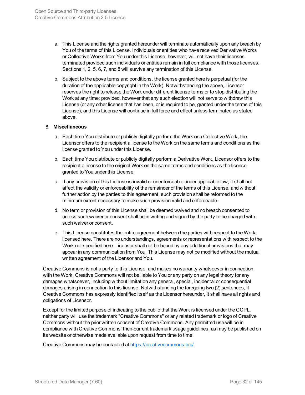- a. This License and the rights granted hereunder will terminate automatically upon any breach by You of the terms of this License. Individuals or entities who have received Derivative Works or Collective Works from You under this License, however, will not have their licenses terminated provided such individuals or entities remain in full compliance with those licenses. Sections 1, 2, 5, 6, 7, and 8 will survive any termination of this License.
- b. Subject to the above terms and conditions, the license granted here is perpetual (for the duration of the applicable copyright in the Work). Notwithstanding the above, Licensor reserves the right to release the Work under different license terms or to stop distributing the Work at any time; provided, however that any such election will not serve to withdraw this License (or any other license that has been, or is required to be, granted under the terms of this License), and this License will continue in full force and effect unless terminated as stated above.

#### 8. **Miscellaneous**

- a. Each time You distribute or publicly digitally perform the Work or a Collective Work, the Licensor offers to the recipient a license to the Work on the same terms and conditions as the license granted to You under this License.
- b. Each time You distribute or publicly digitally perform a Derivative Work, Licensor offers to the recipient a license to the original Work on the same terms and conditions as the license granted to You under this License.
- c. If any provision of this License is invalid or unenforceable under applicable law, it shall not affect the validity or enforceability of the remainder of the terms of this License, and without further action by the parties to this agreement, such provision shall be reformed to the minimum extent necessary to make such provision valid and enforceable.
- d. No term or provision of this License shall be deemed waived and no breach consented to unless such waiver or consent shall be in writing and signed by the party to be charged with such waiver or consent.
- e. This License constitutes the entire agreement between the parties with respect to the Work licensed here. There are no understandings, agreements or representations with respect to the Work not specified here. Licensor shall not be bound by any additional provisions that may appear in any communication from You. This License may not be modified without the mutual written agreement of the Licensor and You.

Creative Commons is not a party to this License, and makes no warranty whatsoever in connection with the Work. Creative Commons will not be liable to You or any party on any legal theory for any damages whatsoever, including without limitation any general, special, incidental or consequential damages arising in connection to this license. Notwithstanding the foregoing two (2) sentences, if Creative Commons has expressly identified itself as the Licensor hereunder, it shall have all rights and obligations of Licensor.

Except for the limited purpose of indicating to the public that the Work is licensed under the CCPL, neither party will use the trademark "Creative Commons" or any related trademark or logo of Creative Commons without the prior written consent of Creative Commons. Any permitted use will be in compliance with Creative Commons' then-current trademark usage guidelines, as may be published on its website or otherwise made available upon request from time to time.

Creative Commons may be contacted at <https://creativecommons.org/>.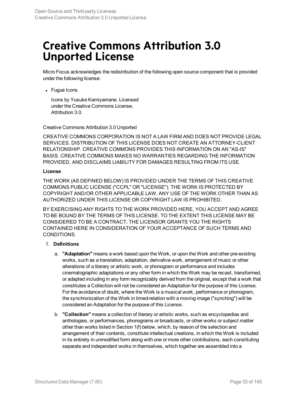### <span id="page-32-0"></span>**Creative Commons Attribution 3.0 Unported License**

Micro Focus acknowledges the redistribution of the following open source component that is provided under the following license:

• Fugue Icons

Icons by Yusuke Kamiyamane. Licensed under the Creative Commons License, Attribution 3.0.

Creative Commons Attribution 3.0 Unported

CREATIVE COMMONS CORPORATION IS NOT A LAW FIRM AND DOES NOT PROVIDE LEGAL SERVICES. DISTRIBUTION OF THIS LICENSE DOES NOT CREATE AN ATTORNEY-CLIENT RELATIONSHIP. CREATIVE COMMONS PROVIDES THIS INFORMATION ON AN "AS-IS" BASIS. CREATIVE COMMONS MAKES NO WARRANTIES REGARDING THE INFORMATION PROVIDED, AND DISCLAIMS LIABILITY FOR DAMAGES RESULTING FROM ITS USE.

#### **License**

THE WORK (AS DEFINED BELOW) IS PROVIDED UNDER THE TERMS OF THIS CREATIVE COMMONS PUBLIC LICENSE ("CCPL" OR "LICENSE"). THE WORK IS PROTECTED BY COPYRIGHT AND/OR OTHER APPLICABLE LAW. ANY USE OF THE WORK OTHER THAN AS AUTHORIZED UNDER THIS LICENSE OR COPYRIGHT LAW IS PROHIBITED.

BY EXERCISING ANY RIGHTS TO THE WORK PROVIDED HERE, YOU ACCEPT AND AGREE TO BE BOUND BY THE TERMS OF THIS LICENSE. TO THE EXTENT THIS LICENSE MAY BE CONSIDERED TO BE A CONTRACT, THE LICENSOR GRANTS YOU THE RIGHTS CONTAINED HERE IN CONSIDERATION OF YOUR ACCEPTANCE OF SUCH TERMS AND CONDITIONS.

#### 1. **Definitions**

- a. **"Adaptation"** means a work based upon the Work, or upon the Work and other pre-existing works, such as a translation, adaptation, derivative work, arrangement of music or other alterations of a literary or artistic work, or phonogram or performance and includes cinematographic adaptations or any other form in which the Work may be recast, transformed, or adapted including in any form recognizably derived from the original, except that a work that constitutes a Collection will not be considered an Adaptation for the purpose of this License. For the avoidance of doubt, where the Work is a musical work, performance or phonogram, the synchronization of the Work in timed-relation with a moving image ("synching") will be considered an Adaptation for the purpose of this License.
- b. **"Collection"** means a collection of literary or artistic works, such as encyclopedias and anthologies, or performances, phonograms or broadcasts, or other works or subject matter other than works listed in Section 1(f) below, which, by reason of the selection and arrangement of their contents, constitute intellectual creations, in which the Work is included in its entirety in unmodified form along with one or more other contributions, each constituting separate and independent works in themselves, which together are assembled into a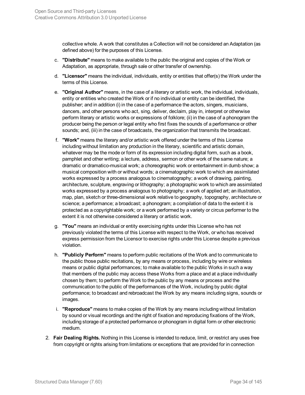collective whole. A work that constitutes a Collection will not be considered an Adaptation (as defined above) for the purposes of this License.

- c. **"Distribute"** means to make available to the public the original and copies of the Work or Adaptation, as appropriate, through sale or other transfer of ownership.
- d. **"Licensor"** means the individual, individuals, entity or entities that offer(s) the Work under the terms of this License.
- e. **"Original Author"** means, in the case of a literary or artistic work, the individual, individuals, entity or entities who created the Work or if no individual or entity can be identified, the publisher; and in addition (i) in the case of a performance the actors, singers, musicians, dancers, and other persons who act, sing, deliver, declaim, play in, interpret or otherwise perform literary or artistic works or expressions of folklore; (ii) in the case of a phonogram the producer being the person or legal entity who first fixes the sounds of a performance or other sounds; and, (iii) in the case of broadcasts, the organization that transmits the broadcast.
- f. **"Work"** means the literary and/or artistic work offered under the terms of this License including without limitation any production in the literary, scientific and artistic domain, whatever may be the mode or form of its expression including digital form, such as a book, pamphlet and other writing; a lecture, address, sermon or other work of the same nature; a dramatic or dramatico-musical work; a choreographic work or entertainment in dumb show; a musical composition with or without words; a cinematographic work to which are assimilated works expressed by a process analogous to cinematography; a work of drawing, painting, architecture, sculpture, engraving or lithography; a photographic work to which are assimilated works expressed by a process analogous to photography; a work of applied art; an illustration, map, plan, sketch or three-dimensional work relative to geography, topography, architecture or science; a performance; a broadcast; a phonogram; a compilation of data to the extent it is protected as a copyrightable work; or a work performed by a variety or circus performer to the extent it is not otherwise considered a literary or artistic work.
- g. **"You"** means an individual or entity exercising rights under this License who has not previously violated the terms of this License with respect to the Work, or who has received express permission from the Licensor to exercise rights under this License despite a previous violation.
- h. **"Publicly Perform"** means to perform public recitations of the Work and to communicate to the public those public recitations, by any means or process, including by wire or wireless means or public digital performances; to make available to the public Works in such a way that members of the public may access these Works from a place and at a place individually chosen by them; to perform the Work to the public by any means or process and the communication to the public of the performances of the Work, including by public digital performance; to broadcast and rebroadcast the Work by any means including signs, sounds or images.
- i. **"Reproduce"** means to make copies of the Work by any means including without limitation by sound or visual recordings and the right of fixation and reproducing fixations of the Work, including storage of a protected performance or phonogram in digital form or other electronic medium.
- 2. **Fair Dealing Rights.** Nothing in this License is intended to reduce, limit, or restrict any uses free from copyright or rights arising from limitations or exceptions that are provided for in connection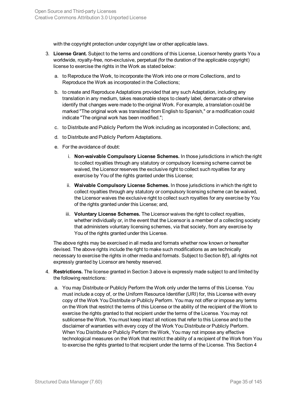with the copyright protection under copyright law or other applicable laws.

- 3. **License Grant.** Subject to the terms and conditions of this License, Licensor hereby grants You a worldwide, royalty-free, non-exclusive, perpetual (for the duration of the applicable copyright) license to exercise the rights in the Work as stated below:
	- a. to Reproduce the Work, to incorporate the Work into one or more Collections, and to Reproduce the Work as incorporated in the Collections;
	- b. to create and Reproduce Adaptations provided that any such Adaptation, including any translation in any medium, takes reasonable steps to clearly label, demarcate or otherwise identify that changes were made to the original Work. For example, a translation could be marked "The original work was translated from English to Spanish," or a modification could indicate "The original work has been modified.";
	- c. to Distribute and Publicly Perform the Work including as incorporated in Collections; and,
	- d. to Distribute and Publicly Perform Adaptations.
	- e. For the avoidance of doubt:
		- i. **Non-waivable Compulsory License Schemes.** In those jurisdictions in which the right to collect royalties through any statutory or compulsory licensing scheme cannot be waived, the Licensor reserves the exclusive right to collect such royalties for any exercise by You of the rights granted under this License;
		- ii. **Waivable Compulsory License Schemes.** In those jurisdictions in which the right to collect royalties through any statutory or compulsory licensing scheme can be waived, the Licensor waives the exclusive right to collect such royalties for any exercise by You of the rights granted under this License; and,
		- iii. **Voluntary License Schemes.** The Licensor waives the right to collect royalties, whether individually or, in the event that the Licensor is a member of a collecting society that administers voluntary licensing schemes, via that society, from any exercise by You of the rights granted under this License.

The above rights may be exercised in all media and formats whether now known or hereafter devised. The above rights include the right to make such modifications as are technically necessary to exercise the rights in other media and formats. Subject to Section 8(f), all rights not expressly granted by Licensor are hereby reserved.

- 4. **Restrictions.** The license granted in Section 3 above is expressly made subject to and limited by the following restrictions:
	- a. You may Distribute or Publicly Perform the Work only under the terms of this License. You must include a copy of, or the Uniform Resource Identifier (URI) for, this License with every copy of the Work You Distribute or Publicly Perform. You may not offer or impose any terms on the Work that restrict the terms of this License or the ability of the recipient of the Work to exercise the rights granted to that recipient under the terms of the License. You may not sublicense the Work. You must keep intact all notices that refer to this License and to the disclaimer of warranties with every copy of the Work You Distribute or Publicly Perform. When You Distribute or Publicly Perform the Work, You may not impose any effective technological measures on the Work that restrict the ability of a recipient of the Work from You to exercise the rights granted to that recipient under the terms of the License. This Section 4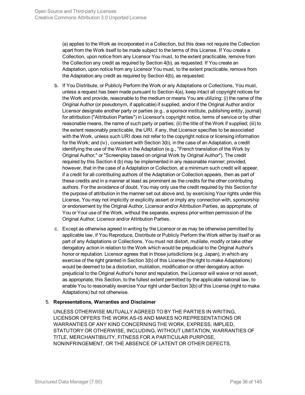(a) applies to the Work as incorporated in a Collection, but this does not require the Collection apart from the Work itself to be made subject to the terms of this License. If You create a Collection, upon notice from any Licensor You must, to the extent practicable, remove from the Collection any credit as required by Section 4(b), as requested. If You create an Adaptation, upon notice from any Licensor You must, to the extent practicable, remove from the Adaptation any credit as required by Section 4(b), as requested.

- b. If You Distribute, or Publicly Perform the Work or any Adaptations or Collections, You must, unless a request has been made pursuant to Section 4(a), keep intact all copyright notices for the Work and provide, reasonable to the medium or means You are utilizing: (i) the name of the Original Author (or pseudonym, if applicable) if supplied, and/or if the Original Author and/or Licensor designate another party or parties (e.g., a sponsor institute, publishing entity, journal) for attribution ("Attribution Parties") in Licensor's copyright notice, terms of service or by other reasonable means, the name of such party or parties; (ii) the title of the Work if supplied; (iii) to the extent reasonably practicable, the URI, if any, that Licensor specifies to be associated with the Work, unless such URI does not refer to the copyright notice or licensing information for the Work; and (iv) , consistent with Section 3(b), in the case of an Adaptation, a credit identifying the use of the Work in the Adaptation (e.g., "French translation of the Work by Original Author," or "Screenplay based on original Work by Original Author"). The credit required by this Section 4 (b) may be implemented in any reasonable manner; provided, however, that in the case of a Adaptation or Collection, at a minimum such credit will appear, if a credit for all contributing authors of the Adaptation or Collection appears, then as part of these credits and in a manner at least as prominent as the credits for the other contributing authors. For the avoidance of doubt, You may only use the credit required by this Section for the purpose of attribution in the manner set out above and, by exercising Your rights under this License, You may not implicitly or explicitly assert or imply any connection with, sponsorship or endorsement by the Original Author, Licensor and/or Attribution Parties, as appropriate, of You or Your use of the Work, without the separate, express prior written permission of the Original Author, Licensor and/or Attribution Parties.
- c. Except as otherwise agreed in writing by the Licensor or as may be otherwise permitted by applicable law, if You Reproduce, Distribute or Publicly Perform the Work either by itself or as part of any Adaptations or Collections, You must not distort, mutilate, modify or take other derogatory action in relation to the Work which would be prejudicial to the Original Author's honor or reputation. Licensor agrees that in those jurisdictions (e.g. Japan), in which any exercise of the right granted in Section 3(b) of this License (the right to make Adaptations) would be deemed to be a distortion, mutilation, modification or other derogatory action prejudicial to the Original Author's honor and reputation, the Licensor will waive or not assert, as appropriate, this Section, to the fullest extent permitted by the applicable national law, to enable You to reasonably exercise Your right under Section 3(b) of this License (right to make Adaptations) but not otherwise.

#### 5. **Representations, Warranties and Disclaimer**

UNLESS OTHERWISE MUTUALLY AGREED TO BY THE PARTIES IN WRITING, LICENSOR OFFERS THE WORK AS-IS AND MAKES NO REPRESENTATIONS OR WARRANTIES OF ANY KIND CONCERNING THE WORK, EXPRESS, IMPLIED, STATUTORY OR OTHERWISE, INCLUDING, WITHOUT LIMITATION, WARRANTIES OF TITLE, MERCHANTIBILITY, FITNESS FOR A PARTICULAR PURPOSE, NONINFRINGEMENT, OR THE ABSENCE OF LATENT OR OTHER DEFECTS,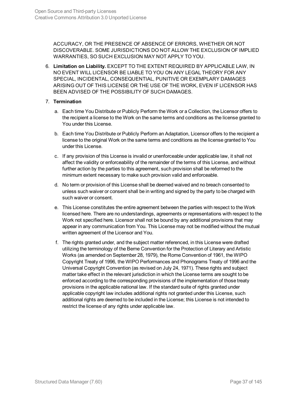ACCURACY, OR THE PRESENCE OF ABSENCE OF ERRORS, WHETHER OR NOT DISCOVERABLE. SOME JURISDICTIONS DO NOT ALLOW THE EXCLUSION OF IMPLIED WARRANTIES, SO SUCH EXCLUSION MAY NOT APPLY TO YOU.

6. **Limitation on Liability.** EXCEPT TO THE EXTENT REQUIRED BY APPLICABLE LAW, IN NO EVENT WILL LICENSOR BE LIABLE TO YOU ON ANY LEGAL THEORY FOR ANY SPECIAL, INCIDENTAL, CONSEQUENTIAL, PUNITIVE OR EXEMPLARY DAMAGES ARISING OUT OF THIS LICENSE OR THE USE OF THE WORK, EVEN IF LICENSOR HAS BEEN ADVISED OF THE POSSIBILITY OF SUCH DAMAGES.

#### 7. **Termination**

- a. Each time You Distribute or Publicly Perform the Work or a Collection, the Licensor offers to the recipient a license to the Work on the same terms and conditions as the license granted to You under this License.
- b. Each time You Distribute or Publicly Perform an Adaptation, Licensor offers to the recipient a license to the original Work on the same terms and conditions as the license granted to You under this License.
- c. If any provision of this License is invalid or unenforceable under applicable law, it shall not affect the validity or enforceability of the remainder of the terms of this License, and without further action by the parties to this agreement, such provision shall be reformed to the minimum extent necessary to make such provision valid and enforceable.
- d. No term or provision of this License shall be deemed waived and no breach consented to unless such waiver or consent shall be in writing and signed by the party to be charged with such waiver or consent.
- e. This License constitutes the entire agreement between the parties with respect to the Work licensed here. There are no understandings, agreements or representations with respect to the Work not specified here. Licensor shall not be bound by any additional provisions that may appear in any communication from You. This License may not be modified without the mutual written agreement of the Licensor and You.
- f. The rights granted under, and the subject matter referenced, in this License were drafted utilizing the terminology of the Berne Convention for the Protection of Literary and Artistic Works (as amended on September 28, 1979), the Rome Convention of 1961, the WIPO Copyright Treaty of 1996, the WIPO Performances and Phonograms Treaty of 1996 and the Universal Copyright Convention (as revised on July 24, 1971). These rights and subject matter take effect in the relevant jurisdiction in which the License terms are sought to be enforced according to the corresponding provisions of the implementation of those treaty provisions in the applicable national law. If the standard suite of rights granted under applicable copyright law includes additional rights not granted under this License, such additional rights are deemed to be included in the License; this License is not intended to restrict the license of any rights under applicable law.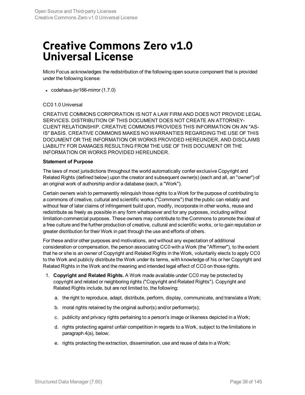## **Creative Commons Zero v1.0 Universal License**

Micro Focus acknowledges the redistribution of the following open source component that is provided under the following license:

 $\bullet$  codehaus-jsr166-mirror (1.7.0)

#### CC0 1.0 Universal

CREATIVE COMMONS CORPORATION IS NOT A LAW FIRM AND DOES NOT PROVIDE LEGAL SERVICES. DISTRIBUTION OF THIS DOCUMENT DOES NOT CREATE AN ATTORNEY-CLIENT RELATIONSHIP. CREATIVE COMMONS PROVIDES THIS INFORMATION ON AN "AS-IS" BASIS. CREATIVE COMMONS MAKES NO WARRANTIES REGARDING THE USE OF THIS DOCUMENT OR THE INFORMATION OR WORKS PROVIDED HEREUNDER, AND DISCLAIMS LIABILITY FOR DAMAGES RESULTING FROM THE USE OF THIS DOCUMENT OR THE INFORMATION OR WORKS PROVIDED HEREUNDER.

#### **Statement of Purpose**

The laws of most jurisdictions throughout the world automatically confer exclusive Copyright and Related Rights (defined below) upon the creator and subsequent owner(s) (each and all, an "owner") of an original work of authorship and/or a database (each, a "Work").

Certain owners wish to permanently relinquish those rights to a Work for the purpose of contributing to a commons of creative, cultural and scientific works ("Commons") that the public can reliably and without fear of later claims of infringement build upon, modify, incorporate in other works, reuse and redistribute as freely as possible in any form whatsoever and for any purposes, including without limitation commercial purposes. These owners may contribute to the Commons to promote the ideal of a free culture and the further production of creative, cultural and scientific works, or to gain reputation or greater distribution for their Work in part through the use and efforts of others.

For these and/or other purposes and motivations, and without any expectation of additional consideration or compensation, the person associating CC0 with a Work (the "Affirmer"), to the extent that he or she is an owner of Copyright and Related Rights in the Work, voluntarily elects to apply CC0 to the Work and publicly distribute the Work under its terms, with knowledge of his or her Copyright and Related Rights in the Work and the meaning and intended legal effect of CC0 on those rights.

- 1. **Copyright and Related Rights.** A Work made available under CC0 may be protected by copyright and related or neighboring rights ("Copyright and Related Rights"). Copyright and Related Rights include, but are not limited to, the following:
	- a. the right to reproduce, adapt, distribute, perform, display, communicate, and translate a Work;
	- b. moral rights retained by the original author(s) and/or performer(s);
	- c. publicity and privacy rights pertaining to a person's image or likeness depicted in a Work;
	- d. rights protecting against unfair competition in regards to a Work, subject to the limitations in paragraph 4(a), below;
	- e. rights protecting the extraction, dissemination, use and reuse of data in a Work;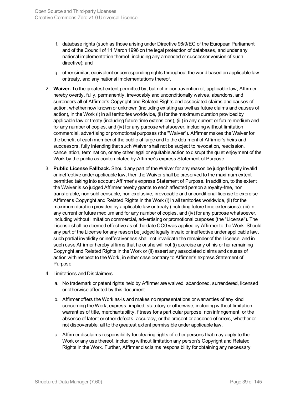- f. database rights (such as those arising under Directive 96/9/EC of the European Parliament and of the Council of 11 March 1996 on the legal protection of databases, and under any national implementation thereof, including any amended or successor version of such directive); and
- g. other similar, equivalent or corresponding rights throughout the world based on applicable law or treaty, and any national implementations thereof.
- 2. **Waiver.** To the greatest extent permitted by, but not in contravention of, applicable law, Affirmer hereby overtly, fully, permanently, irrevocably and unconditionally waives, abandons, and surrenders all of Affirmer's Copyright and Related Rights and associated claims and causes of action, whether now known or unknown (including existing as well as future claims and causes of action), in the Work (i) in all territories worldwide, (ii) for the maximum duration provided by applicable law or treaty (including future time extensions), (iii) in any current or future medium and for any number of copies, and (iv) for any purpose whatsoever, including without limitation commercial, advertising or promotional purposes (the "Waiver"). Affirmer makes the Waiver for the benefit of each member of the public at large and to the detriment of Affirmer's heirs and successors, fully intending that such Waiver shall not be subject to revocation, rescission, cancellation, termination, or any other legal or equitable action to disrupt the quiet enjoyment of the Work by the public as contemplated by Affirmer's express Statement of Purpose.
- 3. **Public License Fallback.** Should any part of the Waiver for any reason be judged legally invalid or ineffective under applicable law, then the Waiver shall be preserved to the maximum extent permitted taking into account Affirmer's express Statement of Purpose. In addition, to the extent the Waiver is so judged Affirmer hereby grants to each affected person a royalty-free, non transferable, non sublicensable, non exclusive, irrevocable and unconditional license to exercise Affirmer's Copyright and Related Rights in the Work (i) in all territories worldwide, (ii) for the maximum duration provided by applicable law or treaty (including future time extensions), (iii) in any current or future medium and for any number of copies, and (iv) for any purpose whatsoever, including without limitation commercial, advertising or promotional purposes (the "License"). The License shall be deemed effective as of the date CC0 was applied by Affirmer to the Work. Should any part of the License for any reason be judged legally invalid or ineffective under applicable law, such partial invalidity or ineffectiveness shall not invalidate the remainder of the License, and in such case Affirmer hereby affirms that he or she will not (i) exercise any of his or her remaining Copyright and Related Rights in the Work or (ii) assert any associated claims and causes of action with respect to the Work, in either case contrary to Affirmer's express Statement of Purpose.
- 4. Limitations and Disclaimers.
	- a. No trademark or patent rights held by Affirmer are waived, abandoned, surrendered, licensed or otherwise affected by this document.
	- b. Affirmer offers the Work as-is and makes no representations or warranties of any kind concerning the Work, express, implied, statutory or otherwise, including without limitation warranties of title, merchantability, fitness for a particular purpose, non infringement, or the absence of latent or other defects, accuracy, or the present or absence of errors, whether or not discoverable, all to the greatest extent permissible under applicable law.
	- c. Affirmer disclaims responsibility for clearing rights of other persons that may apply to the Work or any use thereof, including without limitation any person's Copyright and Related Rights in the Work. Further, Affirmer disclaims responsibility for obtaining any necessary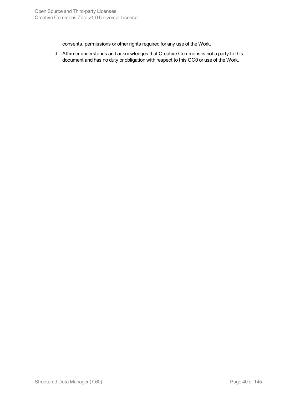consents, permissions or other rights required for any use of the Work.

d. Affirmer understands and acknowledges that Creative Commons is not a party to this document and has no duty or obligation with respect to this CC0 or use of the Work.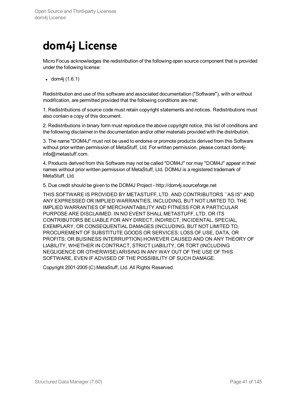# **dom4j License**

Micro Focus acknowledges the redistribution of the following open source component that is provided under the following license:

 $\bullet$  dom4j (1.6.1)

Redistribution and use of this software and associated documentation ("Software"), with or without modification, are permitted provided that the following conditions are met:

1. Redistributions of source code must retain copyright statements and notices. Redistributions must also contain a copy of this document.

2. Redistributions in binary form must reproduce the above copyright notice, this list of conditions and the following disclaimer in the documentation and/or other materials provided with the distribution.

3. The name "DOM4J" must not be used to endorse or promote products derived from this Software without prior written permission of MetaStuff, Ltd. For written permission, please contact dom4jinfo@metastuff.com.

4. Products derived from this Software may not be called "DOM4J" nor may "DOM4J" appear in their names without prior written permission of MetaStuff, Ltd. DOM4J is a registered trademark of MetaStuff, Ltd.

5. Due credit should be given to the DOM4J Project - http://dom4j.sourceforge.net

THIS SOFTWARE IS PROVIDED BY METASTUFF, LTD. AND CONTRIBUTORS ``AS IS'' AND ANY EXPRESSED OR IMPLIED WARRANTIES, INCLUDING, BUT NOT LIMITED TO, THE IMPLIED WARRANTIES OF MERCHANTABILITY AND FITNESS FOR A PARTICULAR PURPOSE ARE DISCLAIMED. IN NO EVENT SHALL METASTUFF, LTD. OR ITS CONTRIBUTORS BE LIABLE FOR ANY DIRECT, INDIRECT, INCIDENTAL, SPECIAL, EXEMPLARY, OR CONSEQUENTIAL DAMAGES (INCLUDING, BUT NOT LIMITED TO, PROCUREMENT OF SUBSTITUTE GOODS OR SERVICES; LOSS OF USE, DATA, OR PROFITS; OR BUSINESS INTERRUPTION) HOWEVER CAUSED AND ON ANY THEORY OF LIABILITY, WHETHER IN CONTRACT, STRICT LIABILITY, OR TORT (INCLUDING NEGLIGENCE OR OTHERWISE) ARISING IN ANY WAY OUT OF THE USE OF THIS SOFTWARE, EVEN IF ADVISED OF THE POSSIBILITY OF SUCH DAMAGE.

Copyright 2001-2005 (C) MetaStuff, Ltd. All Rights Reserved.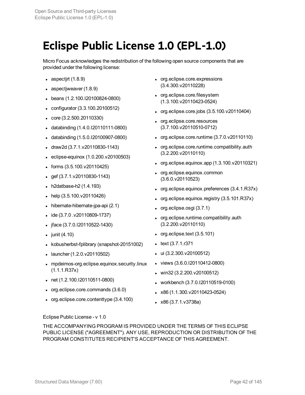# **Eclispe Public License 1.0 (EPL-1.0)**

Micro Focus acknowledges the redistribution of the following open source components that are provided under the following license:

- $\bullet$  aspectjrt (1.8.9)
- $\bullet$  aspectiweaver (1.8.9)
- $\bullet$  beans (1.2.100.I20100824-0800)
- $\bullet$  configurator (3.3.100.20100512)
- $\cdot$  core (3.2.500.20110330)
- databinding (1.4.0.I20110111-0800)
- databinding (1.5.0.I20100907-0800)
- $\bullet$  draw2d (3.7.1.v20110830-1143)
- $\bullet$  eclipse-equinox (1.0.200.v20100503)
- $\bullet$  forms (3.5.100.v20110425)
- $\cdot$  gef (3.7.1.v20110830-1143)
- $\bullet$  h2datbase-h2 (1.4.193)
- $\bullet$  help (3.5.100.v20110426)
- hibernate-hibernate-jpa-api (2.1)
- $\bullet$  ide (3.7.0  $\sqrt{20110809}$ -1737)
- jface (3.7.0.I20110522-1430)
- $\bullet$  junit (4.10)
- kobusherbst-fplibrary (snapshot-20151002)
- $\bullet$  launcher (1.2.0.v20110502)
- mpdeimos-org.eclipse.equinox.security.linux (1.1.1.R37x)
- net (1.2.100.I20110511-0800)
- $\bullet$  org.eclipse.core.commands  $(3.6.0)$
- $\bullet$  org.eclipse.core.contenttype  $(3.4.100)$
- org.eclipse.core.expressions (3.4.300.v20110228)
- org.eclipse.core.filesystem (1.3.100.v20110423-0524)
- org.eclipse.core.jobs  $(3.5.100.v20110404)$
- org.eclipse.core.resources (3.7.100.v20110510-0712)
- $\bullet$  org.eclipse.core.runtime  $(3.7.0.v20110110)$
- org.eclipse.core.runtime.compatibility.auth (3.2.200.v20110110)
- org.eclipse.equinox.app  $(1.3.100.v20110321)$
- org.eclipse.equinox.common (3.6.0.v20110523)
- $\bullet$  org.eclipse.equinox.preferences (3.4.1.R37x)
- org.eclipse.equinox.registry  $(3.5.101.R37x)$
- $\bullet$  org.eclipse.osgi  $(3.7.1)$
- org.eclipse.runtime.compatibility.auth (3.2.200.v20110110)
- $\bullet$  org.eclipse.text  $(3.5.101)$
- $\cdot$  text (3.7.1.r371
- $\bullet$  ui (3.2.300.v20100512)
- $\bullet$  views (3.6.0.I20110412-0800)
- $\bullet$  win32 (3.2.200.v20100512)
- $\bullet$  workbench (3.7.0.120110519-0100)
- $\bullet$  x86 (1.1.300.v20110423-0524)
- $\bullet$  x86 (3.7.1.v3738a)

Eclipse Public License - v 1.0

THE ACCOMPANYING PROGRAM IS PROVIDED UNDER THE TERMS OF THIS ECLIPSE PUBLIC LICENSE ("AGREEMENT"). ANY USE, REPRODUCTION OR DISTRIBUTION OF THE PROGRAM CONSTITUTES RECIPIENT'S ACCEPTANCE OF THIS AGREEMENT.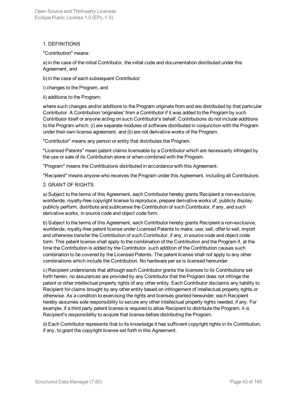### 1. DEFINITIONS

"Contribution" means:

a) in the case of the initial Contributor, the initial code and documentation distributed under this Agreement, and

b) in the case of each subsequent Contributor:

i) changes to the Program, and

ii) additions to the Program;

where such changes and/or additions to the Program originate from and are distributed by that particular Contributor. A Contribution 'originates' from a Contributor if it was added to the Program by such Contributor itself or anyone acting on such Contributor's behalf. Contributions do not include additions to the Program which: (i) are separate modules of software distributed in conjunction with the Program under their own license agreement, and (ii) are not derivative works of the Program.

"Contributor" means any person or entity that distributes the Program.

"Licensed Patents" mean patent claims licensable by a Contributor which are necessarily infringed by the use or sale of its Contribution alone or when combined with the Program.

"Program" means the Contributions distributed in accordance with this Agreement.

"Recipient" means anyone who receives the Program under this Agreement, including all Contributors.

#### 2. GRANT OF RIGHTS

a) Subject to the terms of this Agreement, each Contributor hereby grants Recipient a non-exclusive, worldwide, royalty-free copyright license to reproduce, prepare derivative works of, publicly display, publicly perform, distribute and sublicense the Contribution of such Contributor, if any, and such derivative works, in source code and object code form.

b) Subject to the terms of this Agreement, each Contributor hereby grants Recipient a non-exclusive, worldwide, royalty-free patent license under Licensed Patents to make, use, sell, offer to sell, import and otherwise transfer the Contribution of such Contributor, if any, in source code and object code form. This patent license shall apply to the combination of the Contribution and the Program if, at the time the Contribution is added by the Contributor, such addition of the Contribution causes such combination to be covered by the Licensed Patents. The patent license shall not apply to any other combinations which include the Contribution. No hardware per se is licensed hereunder.

c) Recipient understands that although each Contributor grants the licenses to its Contributions set forth herein, no assurances are provided by any Contributor that the Program does not infringe the patent or other intellectual property rights of any other entity. Each Contributor disclaims any liability to Recipient for claims brought by any other entity based on infringement of intellectual property rights or otherwise. As a condition to exercising the rights and licenses granted hereunder, each Recipient hereby assumes sole responsibility to secure any other intellectual property rights needed, if any. For example, if a third party patent license is required to allow Recipient to distribute the Program, it is Recipient's responsibility to acquire that license before distributing the Program.

d) Each Contributor represents that to its knowledge it has sufficient copyright rights in its Contribution, if any, to grant the copyright license set forth in this Agreement.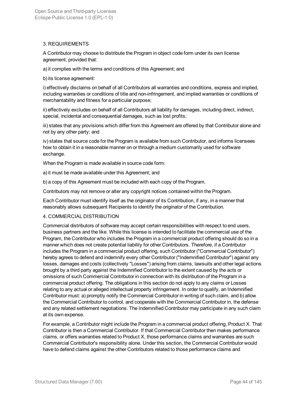#### 3. REQUIREMENTS

A Contributor may choose to distribute the Program in object code form under its own license agreement, provided that:

a) it complies with the terms and conditions of this Agreement; and

b) its license agreement:

i) effectively disclaims on behalf of all Contributors all warranties and conditions, express and implied, including warranties or conditions of title and non-infringement, and implied warranties or conditions of merchantability and fitness for a particular purpose;

ii) effectively excludes on behalf of all Contributors all liability for damages, including direct, indirect, special, incidental and consequential damages, such as lost profits;

iii) states that any provisions which differ from this Agreement are offered by that Contributor alone and not by any other party; and

iv) states that source code for the Program is available from such Contributor, and informs licensees how to obtain it in a reasonable manner on or through a medium customarily used for software exchange.

When the Program is made available in source code form:

a) it must be made available under this Agreement; and

b) a copy of this Agreement must be included with each copy of the Program.

Contributors may not remove or alter any copyright notices contained within the Program.

Each Contributor must identify itself as the originator of its Contribution, if any, in a manner that reasonably allows subsequent Recipients to identify the originator of the Contribution.

#### 4. COMMERCIAL DISTRIBUTION

Commercial distributors of software may accept certain responsibilities with respect to end users, business partners and the like. While this license is intended to facilitate the commercial use of the Program, the Contributor who includes the Program in a commercial product offering should do so in a manner which does not create potential liability for other Contributors. Therefore, if a Contributor includes the Program in a commercial product offering, such Contributor ("Commercial Contributor") hereby agrees to defend and indemnify every other Contributor ("Indemnified Contributor") against any losses, damages and costs (collectively "Losses") arising from claims, lawsuits and other legal actions brought by a third party against the Indemnified Contributor to the extent caused by the acts or omissions of such Commercial Contributor in connection with its distribution of the Program in a commercial product offering. The obligations in this section do not apply to any claims or Losses relating to any actual or alleged intellectual property infringement. In order to qualify, an Indemnified Contributor must: a) promptly notify the Commercial Contributor in writing of such claim, and b) allow the Commercial Contributor to control, and cooperate with the Commercial Contributor in, the defense and any related settlement negotiations. The Indemnified Contributor may participate in any such claim at its own expense.

For example, a Contributor might include the Program in a commercial product offering, Product X. That Contributor is then a Commercial Contributor. If that Commercial Contributor then makes performance claims, or offers warranties related to Product X, those performance claims and warranties are such Commercial Contributor's responsibility alone. Under this section, the Commercial Contributor would have to defend claims against the other Contributors related to those performance claims and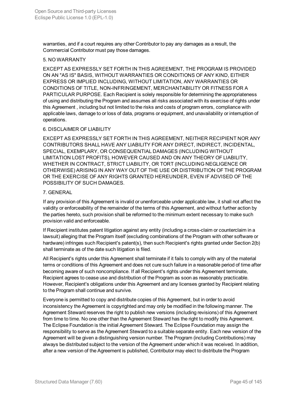warranties, and if a court requires any other Contributor to pay any damages as a result, the Commercial Contributor must pay those damages.

#### 5. NO WARRANTY

EXCEPT AS EXPRESSLY SET FORTH IN THIS AGREEMENT, THE PROGRAM IS PROVIDED ON AN "AS IS" BASIS, WITHOUT WARRANTIES OR CONDITIONS OF ANY KIND, EITHER EXPRESS OR IMPLIED INCLUDING, WITHOUT LIMITATION, ANY WARRANTIES OR CONDITIONS OF TITLE, NON-INFRINGEMENT, MERCHANTABILITY OR FITNESS FOR A PARTICULAR PURPOSE. Each Recipient is solely responsible for determining the appropriateness of using and distributing the Program and assumes all risks associated with its exercise of rights under this Agreement , including but not limited to the risks and costs of program errors, compliance with applicable laws, damage to or loss of data, programs or equipment, and unavailability or interruption of operations.

#### 6. DISCLAIMER OF LIABILITY

EXCEPT AS EXPRESSLY SET FORTH IN THIS AGREEMENT, NEITHER RECIPIENT NOR ANY CONTRIBUTORS SHALL HAVE ANY LIABILITY FOR ANY DIRECT, INDIRECT, INCIDENTAL, SPECIAL, EXEMPLARY, OR CONSEQUENTIAL DAMAGES (INCLUDING WITHOUT LIMITATION LOST PROFITS), HOWEVER CAUSED AND ON ANY THEORY OF LIABILITY, WHETHER IN CONTRACT, STRICT LIABILITY, OR TORT (INCLUDING NEGLIGENCE OR OTHERWISE) ARISING IN ANY WAY OUT OF THE USE OR DISTRIBUTION OF THE PROGRAM OR THE EXERCISE OF ANY RIGHTS GRANTED HEREUNDER, EVEN IF ADVISED OF THE POSSIBILITY OF SUCH DAMAGES.

#### 7. GENERAL

If any provision of this Agreement is invalid or unenforceable under applicable law, it shall not affect the validity or enforceability of the remainder of the terms of this Agreement, and without further action by the parties hereto, such provision shall be reformed to the minimum extent necessary to make such provision valid and enforceable.

If Recipient institutes patent litigation against any entity (including a cross-claim or counterclaim in a lawsuit) alleging that the Program itself (excluding combinations of the Program with other software or hardware) infringes such Recipient's patent(s), then such Recipient's rights granted under Section 2(b) shall terminate as of the date such litigation is filed.

All Recipient's rights under this Agreement shall terminate if it fails to comply with any of the material terms or conditions of this Agreement and does not cure such failure in a reasonable period of time after becoming aware of such noncompliance. If all Recipient's rights under this Agreement terminate, Recipient agrees to cease use and distribution of the Program as soon as reasonably practicable. However, Recipient's obligations under this Agreement and any licenses granted by Recipient relating to the Program shall continue and survive.

Everyone is permitted to copy and distribute copies of this Agreement, but in order to avoid inconsistency the Agreement is copyrighted and may only be modified in the following manner. The Agreement Steward reserves the right to publish new versions (including revisions) of this Agreement from time to time. No one other than the Agreement Steward has the right to modify this Agreement. The Eclipse Foundation is the initial Agreement Steward. The Eclipse Foundation may assign the responsibility to serve as the Agreement Steward to a suitable separate entity. Each new version of the Agreement will be given a distinguishing version number. The Program (including Contributions) may always be distributed subject to the version of the Agreement under which it was received. In addition, after a new version of the Agreement is published, Contributor may elect to distribute the Program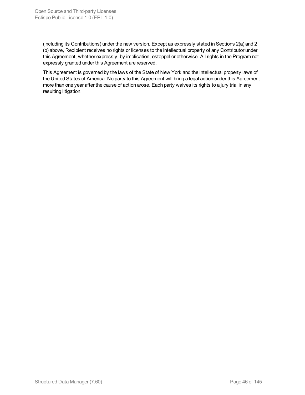(including its Contributions) under the new version. Except as expressly stated in Sections 2(a) and 2 (b) above, Recipient receives no rights or licenses to the intellectual property of any Contributor under this Agreement, whether expressly, by implication, estoppel or otherwise. All rights in the Program not expressly granted under this Agreement are reserved.

This Agreement is governed by the laws of the State of New York and the intellectual property laws of the United States of America. No party to this Agreement will bring a legal action under this Agreement more than one year after the cause of action arose. Each party waives its rights to a jury trial in any resulting litigation.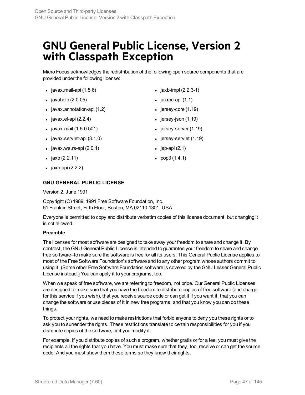## **GNU General Public License, Version 2 with Classpath Exception**

Micro Focus acknowledges the redistribution of the following open source components that are provided under the following license:

- $\bullet$  javax.mail-api  $(1.5.6)$
- $\bullet$  javahelp (2.0.05)
- javax.annotation-api (1.2)
- $\bullet$  javax.el-api (2.2.4)
- $\bullet$  javax.mail  $(1.5.0-b01)$
- $\bullet$  javax.servlet-api  $(3.1.0)$
- $\bullet$  javax.ws.rs-api  $(2.0.1)$
- jaxb  $(2.2.11)$
- $\bullet$  jaxb-api (2.2.2)

## **GNU GENERAL PUBLIC LICENSE**

Version 2, June 1991

Copyright (C) 1989, 1991 Free Software Foundation, Inc. 51 Franklin Street, Fifth Floor, Boston, MA 02110-1301, USA

Everyone is permitted to copy and distribute verbatim copies of this license document, but changing it is not allowed.

## **Preamble**

The licenses for most software are designed to take away your freedom to share and change it. By contrast, the GNU General Public License is intended to guarantee your freedom to share and change free software--to make sure the software is free for all its users. This General Public License applies to most of the Free Software Foundation's software and to any other program whose authors commit to using it. (Some other Free Software Foundation software is covered by the GNU Lesser General Public License instead.) You can apply it to your programs, too.

When we speak of free software, we are referring to freedom, not price. Our General Public Licenses are designed to make sure that you have the freedom to distribute copies of free software (and charge for this service if you wish), that you receive source code or can get it if you want it, that you can change the software or use pieces of it in new free programs; and that you know you can do these things.

To protect your rights, we need to make restrictions that forbid anyone to deny you these rights or to ask you to surrender the rights. These restrictions translate to certain responsibilities for you if you distribute copies of the software, or if you modify it.

For example, if you distribute copies of such a program, whether gratis or for a fee, you must give the recipients all the rights that you have. You must make sure that they, too, receive or can get the source code. And you must show them these terms so they know their rights.

- $\bullet$  jaxb-impl (2.2.3-1)
- $\bullet$  jaxrpc-api (1.1)
- $\bullet$  jersey-core (1.19)
- $\bullet$  jersey-json  $(1.19)$
- $\bullet$  jersey-server  $(1.19)$
- $\bullet$  jersey-servlet  $(1.19)$
- $\bullet$  jsp-api  $(2.1)$
- $pop3(1.4.1)$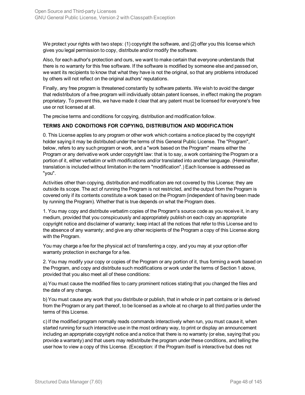We protect your rights with two steps: (1) copyright the software, and (2) offer you this license which gives you legal permission to copy, distribute and/or modify the software.

Also, for each author's protection and ours, we want to make certain that everyone understands that there is no warranty for this free software. If the software is modified by someone else and passed on, we want its recipients to know that what they have is not the original, so that any problems introduced by others will not reflect on the original authors' reputations.

Finally, any free program is threatened constantly by software patents. We wish to avoid the danger that redistributors of a free program will individually obtain patent licenses, in effect making the program proprietary. To prevent this, we have made it clear that any patent must be licensed for everyone's free use or not licensed at all.

The precise terms and conditions for copying, distribution and modification follow.

#### **TERMS AND CONDITIONS FOR COPYING, DISTRIBUTION AND MODIFICATION**

0. This License applies to any program or other work which contains a notice placed by the copyright holder saying it may be distributed under the terms of this General Public License. The "Program", below, refers to any such program or work, and a "work based on the Program" means either the Program or any derivative work under copyright law: that is to say, a work containing the Program or a portion of it, either verbatim or with modifications and/or translated into another language. (Hereinafter, translation is included without limitation in the term "modification".) Each licensee is addressed as "you".

Activities other than copying, distribution and modification are not covered by this License; they are outside its scope. The act of running the Program is not restricted, and the output from the Program is covered only if its contents constitute a work based on the Program (independent of having been made by running the Program). Whether that is true depends on what the Program does.

1. You may copy and distribute verbatim copies of the Program's source code as you receive it, in any medium, provided that you conspicuously and appropriately publish on each copy an appropriate copyright notice and disclaimer of warranty; keep intact all the notices that refer to this License and to the absence of any warranty; and give any other recipients of the Program a copy of this License along with the Program.

You may charge a fee for the physical act of transferring a copy, and you may at your option offer warranty protection in exchange for a fee.

2. You may modify your copy or copies of the Program or any portion of it, thus forming a work based on the Program, and copy and distribute such modifications or work under the terms of Section 1 above, provided that you also meet all of these conditions:

a) You must cause the modified files to carry prominent notices stating that you changed the files and the date of any change.

b) You must cause any work that you distribute or publish, that in whole or in part contains or is derived from the Program or any part thereof, to be licensed as a whole at no charge to all third parties under the terms of this License.

c) If the modified program normally reads commands interactively when run, you must cause it, when started running for such interactive use in the most ordinary way, to print or display an announcement including an appropriate copyright notice and a notice that there is no warranty (or else, saying that you provide a warranty) and that users may redistribute the program under these conditions, and telling the user how to view a copy of this License. (Exception: if the Program itself is interactive but does not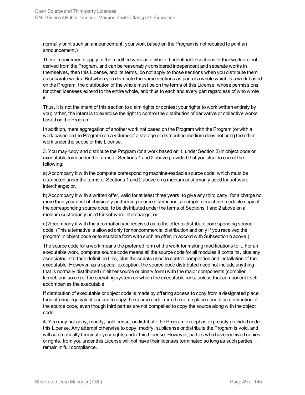normally print such an announcement, your work based on the Program is not required to print an announcement.)

These requirements apply to the modified work as a whole. If identifiable sections of that work are not derived from the Program, and can be reasonably considered independent and separate works in themselves, then this License, and its terms, do not apply to those sections when you distribute them as separate works. But when you distribute the same sections as part of a whole which is a work based on the Program, the distribution of the whole must be on the terms of this License, whose permissions for other licensees extend to the entire whole, and thus to each and every part regardless of who wrote it.

Thus, it is not the intent of this section to claim rights or contest your rights to work written entirely by you; rather, the intent is to exercise the right to control the distribution of derivative or collective works based on the Program.

In addition, mere aggregation of another work not based on the Program with the Program (or with a work based on the Program) on a volume of a storage or distribution medium does not bring the other work under the scope of this License.

3. You may copy and distribute the Program (or a work based on it, under Section 2) in object code or executable form under the terms of Sections 1 and 2 above provided that you also do one of the following:

a) Accompany it with the complete corresponding machine-readable source code, which must be distributed under the terms of Sections 1 and 2 above on a medium customarily used for software interchange; or,

b) Accompany it with a written offer, valid for at least three years, to give any third party, for a charge no more than your cost of physically performing source distribution, a complete machine-readable copy of the corresponding source code, to be distributed under the terms of Sections 1 and 2 above on a medium customarily used for software interchange; or,

c) Accompany it with the information you received as to the offer to distribute corresponding source code. (This alternative is allowed only for noncommercial distribution and only if you received the program in object code or executable form with such an offer, in accord with Subsection b above.)

The source code for a work means the preferred form of the work for making modifications to it. For an executable work, complete source code means all the source code for all modules it contains, plus any associated interface definition files, plus the scripts used to control compilation and installation of the executable. However, as a special exception, the source code distributed need not include anything that is normally distributed (in either source or binary form) with the major components (compiler, kernel, and so on) of the operating system on which the executable runs, unless that component itself accompanies the executable.

If distribution of executable or object code is made by offering access to copy from a designated place, then offering equivalent access to copy the source code from the same place counts as distribution of the source code, even though third parties are not compelled to copy the source along with the object code.

4. You may not copy, modify, sublicense, or distribute the Program except as expressly provided under this License. Any attempt otherwise to copy, modify, sublicense or distribute the Program is void, and will automatically terminate your rights under this License. However, parties who have received copies, or rights, from you under this License will not have their licenses terminated so long as such parties remain in full compliance.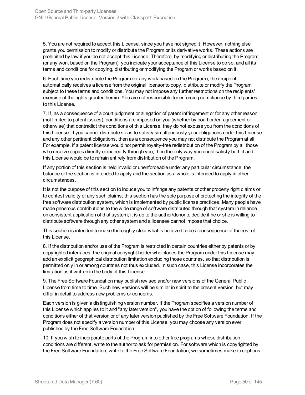5. You are not required to accept this License, since you have not signed it. However, nothing else grants you permission to modify or distribute the Program or its derivative works. These actions are prohibited by law if you do not accept this License. Therefore, by modifying or distributing the Program (or any work based on the Program), you indicate your acceptance of this License to do so, and all its terms and conditions for copying, distributing or modifying the Program or works based on it.

6. Each time you redistribute the Program (or any work based on the Program), the recipient automatically receives a license from the original licensor to copy, distribute or modify the Program subject to these terms and conditions. You may not impose any further restrictions on the recipients' exercise of the rights granted herein. You are not responsible for enforcing compliance by third parties to this License.

7. If, as a consequence of a court judgment or allegation of patent infringement or for any other reason (not limited to patent issues), conditions are imposed on you (whether by court order, agreement or otherwise) that contradict the conditions of this License, they do not excuse you from the conditions of this License. If you cannot distribute so as to satisfy simultaneously your obligations under this License and any other pertinent obligations, then as a consequence you may not distribute the Program at all. For example, if a patent license would not permit royalty-free redistribution of the Program by all those who receive copies directly or indirectly through you, then the only way you could satisfy both it and this License would be to refrain entirely from distribution of the Program.

If any portion of this section is held invalid or unenforceable under any particular circumstance, the balance of the section is intended to apply and the section as a whole is intended to apply in other circumstances.

It is not the purpose of this section to induce you to infringe any patents or other property right claims or to contest validity of any such claims; this section has the sole purpose of protecting the integrity of the free software distribution system, which is implemented by public license practices. Many people have made generous contributions to the wide range of software distributed through that system in reliance on consistent application of that system; it is up to the author/donor to decide if he or she is willing to distribute software through any other system and a licensee cannot impose that choice.

This section is intended to make thoroughly clear what is believed to be a consequence of the rest of this License.

8. If the distribution and/or use of the Program is restricted in certain countries either by patents or by copyrighted interfaces, the original copyright holder who places the Program under this License may add an explicit geographical distribution limitation excluding those countries, so that distribution is permitted only in or among countries not thus excluded. In such case, this License incorporates the limitation as if written in the body of this License.

9. The Free Software Foundation may publish revised and/or new versions of the General Public License from time to time. Such new versions will be similar in spirit to the present version, but may differ in detail to address new problems or concerns.

Each version is given a distinguishing version number. If the Program specifies a version number of this License which applies to it and "any later version", you have the option of following the terms and conditions either of that version or of any later version published by the Free Software Foundation. If the Program does not specify a version number of this License, you may choose any version ever published by the Free Software Foundation.

10. If you wish to incorporate parts of the Program into other free programs whose distribution conditions are different, write to the author to ask for permission. For software which is copyrighted by the Free Software Foundation, write to the Free Software Foundation; we sometimes make exceptions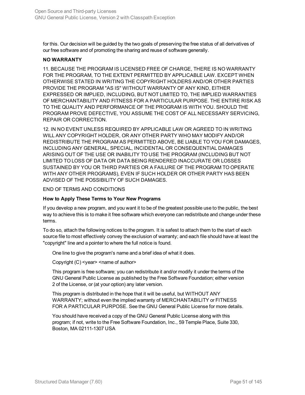for this. Our decision will be guided by the two goals of preserving the free status of all derivatives of our free software and of promoting the sharing and reuse of software generally.

#### **NO WARRANTY**

11. BECAUSE THE PROGRAM IS LICENSED FREE OF CHARGE, THERE IS NO WARRANTY FOR THE PROGRAM, TO THE EXTENT PERMITTED BY APPLICABLE LAW. EXCEPT WHEN OTHERWISE STATED IN WRITING THE COPYRIGHT HOLDERS AND/OR OTHER PARTIES PROVIDE THE PROGRAM "AS IS" WITHOUT WARRANTY OF ANY KIND, EITHER EXPRESSED OR IMPLIED, INCLUDING, BUT NOT LIMITED TO, THE IMPLIED WARRANTIES OF MERCHANTABILITY AND FITNESS FOR A PARTICULAR PURPOSE. THE ENTIRE RISK AS TO THE QUALITY AND PERFORMANCE OF THE PROGRAM IS WITH YOU. SHOULD THE PROGRAM PROVE DEFECTIVE, YOU ASSUME THE COST OF ALL NECESSARY SERVICING, REPAIR OR CORRECTION.

12. IN NO EVENT UNLESS REQUIRED BY APPLICABLE LAW OR AGREED TO IN WRITING WILL ANY COPYRIGHT HOLDER, OR ANY OTHER PARTY WHO MAY MODIFY AND/OR REDISTRIBUTE THE PROGRAM AS PERMITTED ABOVE, BE LIABLE TO YOU FOR DAMAGES, INCLUDING ANY GENERAL, SPECIAL, INCIDENTAL OR CONSEQUENTIAL DAMAGES ARISING OUT OF THE USE OR INABILITY TO USE THE PROGRAM (INCLUDING BUT NOT LIMITED TO LOSS OF DATA OR DATA BEING RENDERED INACCURATE OR LOSSES SUSTAINED BY YOU OR THIRD PARTIES OR A FAILURE OF THE PROGRAM TO OPERATE WITH ANY OTHER PROGRAMS), EVEN IF SUCH HOLDER OR OTHER PARTY HAS BEEN ADVISED OF THE POSSIBILITY OF SUCH DAMAGES.

#### END OF TERMS AND CONDITIONS

### **How to Apply These Terms to Your New Programs**

If you develop a new program, and you want it to be of the greatest possible use to the public, the best way to achieve this is to make it free software which everyone can redistribute and change under these terms.

To do so, attach the following notices to the program. It is safest to attach them to the start of each source file to most effectively convey the exclusion of warranty; and each file should have at least the "copyright" line and a pointer to where the full notice is found.

One line to give the program's name and a brief idea of what it does.

Copyright  $(C)$  <year > <name of author>

This program is free software; you can redistribute it and/or modify it under the terms of the GNU General Public License as published by the Free Software Foundation; either version 2 of the License, or (at your option) any later version.

This program is distributed in the hope that it will be useful, but WITHOUT ANY WARRANTY; without even the implied warranty of MERCHANTABILITY or FITNESS FOR A PARTICULAR PURPOSE. See the GNU General Public License for more details.

You should have received a copy of the GNU General Public License along with this program; if not, write to the Free Software Foundation, Inc., 59 Temple Place, Suite 330, Boston, MA 02111-1307 USA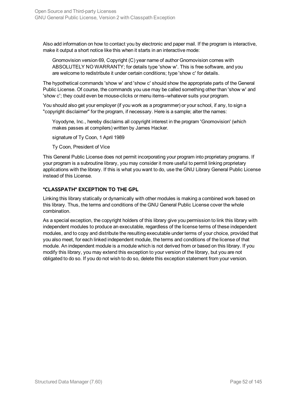Also add information on how to contact you by electronic and paper mail. If the program is interactive, make it output a short notice like this when it starts in an interactive mode:

Gnomovision version 69, Copyright (C) year name of author Gnomovision comes with ABSOLUTELY NO WARRANTY; for details type 'show w'. This is free software, and you are welcome to redistribute it under certain conditions; type 'show c' for details.

The hypothetical commands 'show w' and 'show c' should show the appropriate parts of the General Public License. Of course, the commands you use may be called something other than 'show w' and 'show c'; they could even be mouse-clicks or menu items--whatever suits your program.

You should also get your employer (if you work as a programmer) or your school, if any, to sign a "copyright disclaimer" for the program, if necessary. Here is a sample; alter the names:

Yoyodyne, Inc., hereby disclaims all copyright interest in the program 'Gnomovision' (which makes passes at compilers) written by James Hacker.

signature of Ty Coon, 1 April 1989

Ty Coon, President of Vice

This General Public License does not permit incorporating your program into proprietary programs. If your program is a subroutine library, you may consider it more useful to permit linking proprietary applications with the library. If this is what you want to do, use the GNU Library General Public License instead of this License.

## **"CLASSPATH" EXCEPTION TO THE GPL**

Linking this library statically or dynamically with other modules is making a combined work based on this library. Thus, the terms and conditions of the GNU General Public License cover the whole combination.

As a special exception, the copyright holders of this library give you permission to link this library with independent modules to produce an executable, regardless of the license terms of these independent modules, and to copy and distribute the resulting executable under terms of your choice, provided that you also meet, for each linked independent module, the terms and conditions of the license of that module. An independent module is a module which is not derived from or based on this library. If you modify this library, you may extend this exception to your version of the library, but you are not obligated to do so. If you do not wish to do so, delete this exception statement from your version.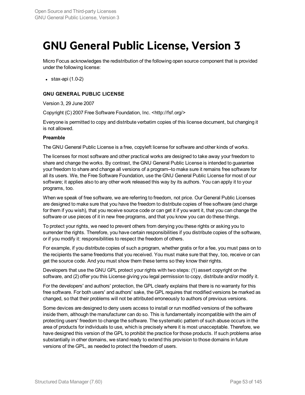## **GNU General Public License, Version 3**

Micro Focus acknowledges the redistribution of the following open source component that is provided under the following license:

 $\bullet$  stax-api (1.0-2)

## **GNU GENERAL PUBLIC LICENSE**

Version 3, 29 June 2007

Copyright (C) 2007 Free Software Foundation, Inc. <http://fsf.org/>

Everyone is permitted to copy and distribute verbatim copies of this license document, but changing it is not allowed.

#### **Preamble**

The GNU General Public License is a free, copyleft license for software and other kinds of works.

The licenses for most software and other practical works are designed to take away your freedom to share and change the works. By contrast, the GNU General Public License is intended to guarantee your freedom to share and change all versions of a program--to make sure it remains free software for all its users. We, the Free Software Foundation, use the GNU General Public License for most of our software; it applies also to any other work released this way by its authors. You can apply it to your programs, too.

When we speak of free software, we are referring to freedom, not price. Our General Public Licenses are designed to make sure that you have the freedom to distribute copies of free software (and charge for them if you wish), that you receive source code or can get it if you want it, that you can change the software or use pieces of it in new free programs, and that you know you can do these things.

To protect your rights, we need to prevent others from denying you these rights or asking you to surrender the rights. Therefore, you have certain responsibilities if you distribute copies of the software, or if you modify it: responsibilities to respect the freedom of others.

For example, if you distribute copies of such a program, whether gratis or for a fee, you must pass on to the recipients the same freedoms that you received. You must make sure that they, too, receive or can get the source code. And you must show them these terms so they know their rights.

Developers that use the GNU GPL protect your rights with two steps: (1) assert copyright on the software, and (2) offer you this License giving you legal permission to copy, distribute and/or modify it.

For the developers' and authors' protection, the GPL clearly explains that there is no warranty for this free software. For both users' and authors' sake, the GPL requires that modified versions be marked as changed, so that their problems will not be attributed erroneously to authors of previous versions.

Some devices are designed to deny users access to install or run modified versions of the software inside them, although the manufacturer can do so. This is fundamentally incompatible with the aim of protecting users' freedom to change the software. The systematic pattern of such abuse occurs in the area of products for individuals to use, which is precisely where it is most unacceptable. Therefore, we have designed this version of the GPL to prohibit the practice for those products. If such problems arise substantially in other domains, we stand ready to extend this provision to those domains in future versions of the GPL, as needed to protect the freedom of users.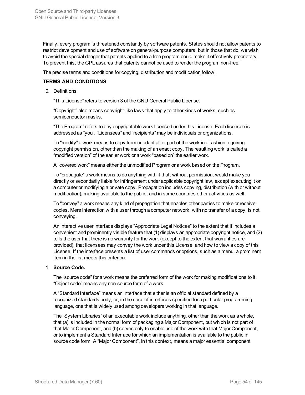Finally, every program is threatened constantly by software patents. States should not allow patents to restrict development and use of software on general-purpose computers, but in those that do, we wish to avoid the special danger that patents applied to a free program could make it effectively proprietary. To prevent this, the GPL assures that patents cannot be used to render the program non-free.

The precise terms and conditions for copying, distribution and modification follow.

#### **TERMS AND CONDITIONS**

0. Definitions

"This License" refers to version 3 of the GNU General Public License.

"Copyright" also means copyright-like laws that apply to other kinds of works, such as semiconductor masks.

"The Program" refers to any copyrightable work licensed under this License. Each licensee is addressed as "you". "Licensees" and "recipients" may be individuals or organizations.

To "modify" a work means to copy from or adapt all or part of the work in a fashion requiring copyright permission, other than the making of an exact copy. The resulting work is called a "modified version" of the earlier work or a work "based on" the earlier work.

A "covered work" means either the unmodified Program or a work based on the Program.

To "propagate" a work means to do anything with it that, without permission, would make you directly or secondarily liable for infringement under applicable copyright law, except executing it on a computer or modifying a private copy. Propagation includes copying, distribution (with or without modification), making available to the public, and in some countries other activities as well.

To "convey" a work means any kind of propagation that enables other parties to make or receive copies. Mere interaction with a user through a computer network, with no transfer of a copy, is not conveying.

An interactive user interface displays "Appropriate Legal Notices" to the extent that it includes a convenient and prominently visible feature that (1) displays an appropriate copyright notice, and (2) tells the user that there is no warranty for the work (except to the extent that warranties are provided), that licensees may convey the work under this License, and how to view a copy of this License. If the interface presents a list of user commands or options, such as a menu, a prominent item in the list meets this criterion.

#### 1. **Source Code.**

The "source code" for a work means the preferred form of the work for making modifications to it. "Object code" means any non-source form of a work.

A "Standard Interface" means an interface that either is an official standard defined by a recognized standards body, or, in the case of interfaces specified for a particular programming language, one that is widely used among developers working in that language.

The "System Libraries" of an executable work include anything, other than the work as a whole, that (a) is included in the normal form of packaging a Major Component, but which is not part of that Major Component, and (b) serves only to enable use of the work with that Major Component, or to implement a Standard Interface for which an implementation is available to the public in source code form. A "Major Component", in this context, means a major essential component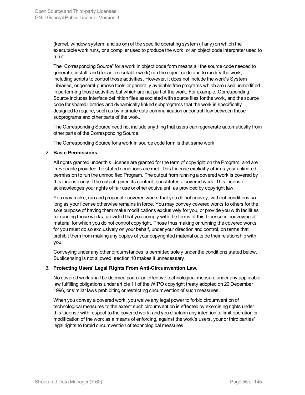(kernel, window system, and so on) of the specific operating system (if any) on which the executable work runs, or a compiler used to produce the work, or an object code interpreter used to run it.

The "Corresponding Source" for a work in object code form means all the source code needed to generate, install, and (for an executable work) run the object code and to modify the work, including scripts to control those activities. However, it does not include the work's System Libraries, or general-purpose tools or generally available free programs which are used unmodified in performing those activities but which are not part of the work. For example, Corresponding Source includes interface definition files associated with source files for the work, and the source code for shared libraries and dynamically linked subprograms that the work is specifically designed to require, such as by intimate data communication or control flow between those subprograms and other parts of the work.

The Corresponding Source need not include anything that users can regenerate automatically from other parts of the Corresponding Source.

The Corresponding Source for a work in source code form is that same work.

#### 2. **Basic Permissions.**

All rights granted under this License are granted for the term of copyright on the Program, and are irrevocable provided the stated conditions are met. This License explicitly affirms your unlimited permission to run the unmodified Program. The output from running a covered work is covered by this License only if the output, given its content, constitutes a covered work. This License acknowledges your rights of fair use or other equivalent, as provided by copyright law.

You may make, run and propagate covered works that you do not convey, without conditions so long as your license otherwise remains in force. You may convey covered works to others for the sole purpose of having them make modifications exclusively for you, or provide you with facilities for running those works, provided that you comply with the terms of this License in conveying all material for which you do not control copyright. Those thus making or running the covered works for you must do so exclusively on your behalf, under your direction and control, on terms that prohibit them from making any copies of your copyrighted material outside their relationship with you.

Conveying under any other circumstances is permitted solely under the conditions stated below. Sublicensing is not allowed; section 10 makes it unnecessary.

#### 3. **Protecting Users' Legal Rights From Anti-Circumvention Law.**

No covered work shall be deemed part of an effective technological measure under any applicable law fulfilling obligations under article 11 of the WIPO copyright treaty adopted on 20 December 1996, or similar laws prohibiting or restricting circumvention of such measures.

When you convey a covered work, you waive any legal power to forbid circumvention of technological measures to the extent such circumvention is effected by exercising rights under this License with respect to the covered work, and you disclaim any intention to limit operation or modification of the work as a means of enforcing, against the work's users, your or third parties' legal rights to forbid circumvention of technological measures.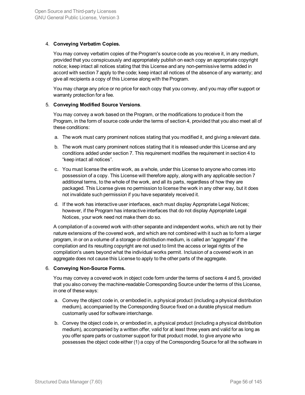### 4. **Conveying Verbatim Copies.**

You may convey verbatim copies of the Program's source code as you receive it, in any medium, provided that you conspicuously and appropriately publish on each copy an appropriate copyright notice; keep intact all notices stating that this License and any non-permissive terms added in accord with section 7 apply to the code; keep intact all notices of the absence of any warranty; and give all recipients a copy of this License along with the Program.

You may charge any price or no price for each copy that you convey, and you may offer support or warranty protection for a fee.

#### 5. **Conveying Modified Source Versions**.

You may convey a work based on the Program, or the modifications to produce it from the Program, in the form of source code under the terms of section 4, provided that you also meet all of these conditions:

- a. The work must carry prominent notices stating that you modified it, and giving a relevant date.
- b. The work must carry prominent notices stating that it is released under this License and any conditions added under section 7. This requirement modifies the requirement in section 4 to "keep intact all notices".
- c. You must license the entire work, as a whole, under this License to anyone who comes into possession of a copy. This License will therefore apply, along with any applicable section 7 additional terms, to the whole of the work, and all its parts, regardless of how they are packaged. This License gives no permission to license the work in any other way, but it does not invalidate such permission if you have separately received it.
- d. If the work has interactive user interfaces, each must display Appropriate Legal Notices; however, if the Program has interactive interfaces that do not display Appropriate Legal Notices, your work need not make them do so.

A compilation of a covered work with other separate and independent works, which are not by their nature extensions of the covered work, and which are not combined with it such as to form a larger program, in or on a volume of a storage or distribution medium, is called an "aggregate" if the compilation and its resulting copyright are not used to limit the access or legal rights of the compilation's users beyond what the individual works permit. Inclusion of a covered work in an aggregate does not cause this License to apply to the other parts of the aggregate.

#### 6. **Conveying Non-Source Forms.**

You may convey a covered work in object code form under the terms of sections 4 and 5, provided that you also convey the machine-readable Corresponding Source under the terms of this License, in one of these ways:

- a. Convey the object code in, or embodied in, a physical product (including a physical distribution medium), accompanied by the Corresponding Source fixed on a durable physical medium customarily used for software interchange.
- b. Convey the object code in, or embodied in, a physical product (including a physical distribution medium), accompanied by a written offer, valid for at least three years and valid for as long as you offer spare parts or customer support for that product model, to give anyone who possesses the object code either (1) a copy of the Corresponding Source for all the software in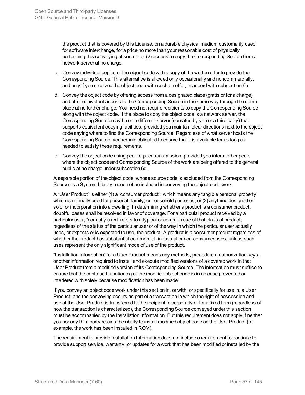the product that is covered by this License, on a durable physical medium customarily used for software interchange, for a price no more than your reasonable cost of physically performing this conveying of source, or (2) access to copy the Corresponding Source from a network server at no charge.

- c. Convey individual copies of the object code with a copy of the written offer to provide the Corresponding Source. This alternative is allowed only occasionally and noncommercially, and only if you received the object code with such an offer, in accord with subsection 6b.
- d. Convey the object code by offering access from a designated place (gratis or for a charge), and offer equivalent access to the Corresponding Source in the same way through the same place at no further charge. You need not require recipients to copy the Corresponding Source along with the object code. If the place to copy the object code is a network server, the Corresponding Source may be on a different server (operated by you or a third party) that supports equivalent copying facilities, provided you maintain clear directions next to the object code saying where to find the Corresponding Source. Regardless of what server hosts the Corresponding Source, you remain obligated to ensure that it is available for as long as needed to satisfy these requirements.
- e. Convey the object code using peer-to-peer transmission, provided you inform other peers where the object code and Corresponding Source of the work are being offered to the general public at no charge under subsection 6d.

A separable portion of the object code, whose source code is excluded from the Corresponding Source as a System Library, need not be included in conveying the object code work.

A "User Product" is either (1) a "consumer product", which means any tangible personal property which is normally used for personal, family, or household purposes, or (2) anything designed or sold for incorporation into a dwelling. In determining whether a product is a consumer product, doubtful cases shall be resolved in favor of coverage. For a particular product received by a particular user, "normally used" refers to a typical or common use of that class of product, regardless of the status of the particular user or of the way in which the particular user actually uses, or expects or is expected to use, the product. A product is a consumer product regardless of whether the product has substantial commercial, industrial or non-consumer uses, unless such uses represent the only significant mode of use of the product.

"Installation Information" for a User Product means any methods, procedures, authorization keys, or other information required to install and execute modified versions of a covered work in that User Product from a modified version of its Corresponding Source. The information must suffice to ensure that the continued functioning of the modified object code is in no case prevented or interfered with solely because modification has been made.

If you convey an object code work under this section in, or with, or specifically for use in, a User Product, and the conveying occurs as part of a transaction in which the right of possession and use of the User Product is transferred to the recipient in perpetuity or for a fixed term (regardless of how the transaction is characterized), the Corresponding Source conveyed under this section must be accompanied by the Installation Information. But this requirement does not apply if neither you nor any third party retains the ability to install modified object code on the User Product (for example, the work has been installed in ROM).

The requirement to provide Installation Information does not include a requirement to continue to provide support service, warranty, or updates for a work that has been modified or installed by the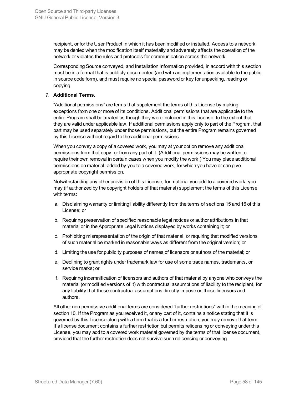recipient, or for the User Product in which it has been modified or installed. Access to a network may be denied when the modification itself materially and adversely affects the operation of the network or violates the rules and protocols for communication across the network.

Corresponding Source conveyed, and Installation Information provided, in accord with this section must be in a format that is publicly documented (and with an implementation available to the public in source code form), and must require no special password or key for unpacking, reading or copying.

### 7. **Additional Terms.**

"Additional permissions" are terms that supplement the terms of this License by making exceptions from one or more of its conditions. Additional permissions that are applicable to the entire Program shall be treated as though they were included in this License, to the extent that they are valid under applicable law. If additional permissions apply only to part of the Program, that part may be used separately under those permissions, but the entire Program remains governed by this License without regard to the additional permissions.

When you convey a copy of a covered work, you may at your option remove any additional permissions from that copy, or from any part of it. (Additional permissions may be written to require their own removal in certain cases when you modify the work.) You may place additional permissions on material, added by you to a covered work, for which you have or can give appropriate copyright permission.

Notwithstanding any other provision of this License, for material you add to a covered work, you may (if authorized by the copyright holders of that material) supplement the terms of this License with terms:

- a. Disclaiming warranty or limiting liability differently from the terms of sections 15 and 16 of this License; or
- b. Requiring preservation of specified reasonable legal notices or author attributions in that material or in the Appropriate Legal Notices displayed by works containing it; or
- c. Prohibiting misrepresentation of the origin of that material, or requiring that modified versions of such material be marked in reasonable ways as different from the original version; or
- d. Limiting the use for publicity purposes of names of licensors or authors of the material; or
- e. Declining to grant rights under trademark law for use of some trade names, trademarks, or service marks; or
- f. Requiring indemnification of licensors and authors of that material by anyone who conveys the material (or modified versions of it) with contractual assumptions of liability to the recipient, for any liability that these contractual assumptions directly impose on those licensors and authors.

All other non-permissive additional terms are considered "further restrictions" within the meaning of section 10. If the Program as you received it, or any part of it, contains a notice stating that it is governed by this License along with a term that is a further restriction, you may remove that term. If a license document contains a further restriction but permits relicensing or conveying under this License, you may add to a covered work material governed by the terms of that license document, provided that the further restriction does not survive such relicensing or conveying.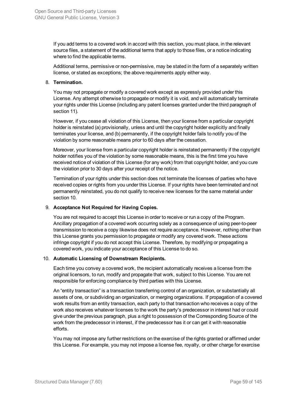If you add terms to a covered work in accord with this section, you must place, in the relevant source files, a statement of the additional terms that apply to those files, or a notice indicating where to find the applicable terms.

Additional terms, permissive or non-permissive, may be stated in the form of a separately written license, or stated as exceptions; the above requirements apply either way.

#### 8. **Termination.**

You may not propagate or modify a covered work except as expressly provided under this License. Any attempt otherwise to propagate or modify it is void, and will automatically terminate your rights under this License (including any patent licenses granted under the third paragraph of section 11).

However, if you cease all violation of this License, then your license from a particular copyright holder is reinstated (a) provisionally, unless and until the copyright holder explicitly and finally terminates your license, and (b) permanently, if the copyright holder fails to notify you of the violation by some reasonable means prior to 60 days after the cessation.

Moreover, your license from a particular copyright holder is reinstated permanently if the copyright holder notifies you of the violation by some reasonable means, this is the first time you have received notice of violation of this License (for any work) from that copyright holder, and you cure the violation prior to 30 days after your receipt of the notice.

Termination of your rights under this section does not terminate the licenses of parties who have received copies or rights from you under this License. If your rights have been terminated and not permanently reinstated, you do not qualify to receive new licenses for the same material under section 10.

## 9. **Acceptance Not Required for Having Copies.**

You are not required to accept this License in order to receive or run a copy of the Program. Ancillary propagation of a covered work occurring solely as a consequence of using peer-to-peer transmission to receive a copy likewise does not require acceptance. However, nothing other than this License grants you permission to propagate or modify any covered work. These actions infringe copyright if you do not accept this License. Therefore, by modifying or propagating a covered work, you indicate your acceptance of this License to do so.

#### 10. **Automatic Licensing of Downstream Recipients.**

Each time you convey a covered work, the recipient automatically receives a license from the original licensors, to run, modify and propagate that work, subject to this License. You are not responsible for enforcing compliance by third parties with this License.

An "entity transaction" is a transaction transferring control of an organization, or substantially all assets of one, or subdividing an organization, or merging organizations. If propagation of a covered work results from an entity transaction, each party to that transaction who receives a copy of the work also receives whatever licenses to the work the party's predecessor in interest had or could give under the previous paragraph, plus a right to possession of the Corresponding Source of the work from the predecessor in interest, if the predecessor has it or can get it with reasonable efforts.

You may not impose any further restrictions on the exercise of the rights granted or affirmed under this License. For example, you may not impose a license fee, royalty, or other charge for exercise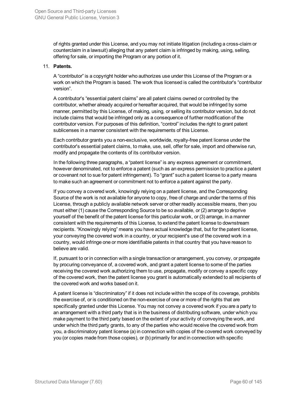of rights granted under this License, and you may not initiate litigation (including a cross-claim or counterclaim in a lawsuit) alleging that any patent claim is infringed by making, using, selling, offering for sale, or importing the Program or any portion of it.

#### 11. **Patents.**

A "contributor" is a copyright holder who authorizes use under this License of the Program or a work on which the Program is based. The work thus licensed is called the contributor's "contributor version".

A contributor's "essential patent claims" are all patent claims owned or controlled by the contributor, whether already acquired or hereafter acquired, that would be infringed by some manner, permitted by this License, of making, using, or selling its contributor version, but do not include claims that would be infringed only as a consequence of further modification of the contributor version. For purposes of this definition, "control" includes the right to grant patent sublicenses in a manner consistent with the requirements of this License.

Each contributor grants you a non-exclusive, worldwide, royalty-free patent license under the contributor's essential patent claims, to make, use, sell, offer for sale, import and otherwise run, modify and propagate the contents of its contributor version.

In the following three paragraphs, a "patent license" is any express agreement or commitment, however denominated, not to enforce a patent (such as an express permission to practice a patent or covenant not to sue for patent infringement). To "grant" such a patent license to a party means to make such an agreement or commitment not to enforce a patent against the party.

If you convey a covered work, knowingly relying on a patent license, and the Corresponding Source of the work is not available for anyone to copy, free of charge and under the terms of this License, through a publicly available network server or other readily accessible means, then you must either (1) cause the Corresponding Source to be so available, or (2) arrange to deprive yourself of the benefit of the patent license for this particular work, or (3) arrange, in a manner consistent with the requirements of this License, to extend the patent license to downstream recipients. "Knowingly relying" means you have actual knowledge that, but for the patent license, your conveying the covered work in a country, or your recipient's use of the covered work in a country, would infringe one or more identifiable patents in that country that you have reason to believe are valid.

If, pursuant to or in connection with a single transaction or arrangement, you convey, or propagate by procuring conveyance of, a covered work, and grant a patent license to some of the parties receiving the covered work authorizing them to use, propagate, modify or convey a specific copy of the covered work, then the patent license you grant is automatically extended to all recipients of the covered work and works based on it.

A patent license is "discriminatory" if it does not include within the scope of its coverage, prohibits the exercise of, or is conditioned on the non-exercise of one or more of the rights that are specifically granted under this License. You may not convey a covered work if you are a party to an arrangement with a third party that is in the business of distributing software, under which you make payment to the third party based on the extent of your activity of conveying the work, and under which the third party grants, to any of the parties who would receive the covered work from you, a discriminatory patent license (a) in connection with copies of the covered work conveyed by you (or copies made from those copies), or (b) primarily for and in connection with specific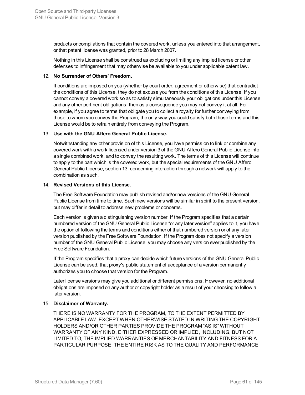products or compilations that contain the covered work, unless you entered into that arrangement, or that patent license was granted, prior to 28 March 2007.

Nothing in this License shall be construed as excluding or limiting any implied license or other defenses to infringement that may otherwise be available to you under applicable patent law.

#### 12. **No Surrender of Others' Freedom.**

If conditions are imposed on you (whether by court order, agreement or otherwise) that contradict the conditions of this License, they do not excuse you from the conditions of this License. If you cannot convey a covered work so as to satisfy simultaneously your obligations under this License and any other pertinent obligations, then as a consequence you may not convey it at all. For example, if you agree to terms that obligate you to collect a royalty for further conveying from those to whom you convey the Program, the only way you could satisfy both those terms and this License would be to refrain entirely from conveying the Program.

#### 13. **Use with the GNU Affero General Public License.**

Notwithstanding any other provision of this License, you have permission to link or combine any covered work with a work licensed under version 3 of the GNU Affero General Public License into a single combined work, and to convey the resulting work. The terms of this License will continue to apply to the part which is the covered work, but the special requirements of the GNU Affero General Public License, section 13, concerning interaction through a network will apply to the combination as such.

#### 14. **Revised Versions of this License.**

The Free Software Foundation may publish revised and/or new versions of the GNU General Public License from time to time. Such new versions will be similar in spirit to the present version, but may differ in detail to address new problems or concerns.

Each version is given a distinguishing version number. If the Program specifies that a certain numbered version of the GNU General Public License "or any later version" applies to it, you have the option of following the terms and conditions either of that numbered version or of any later version published by the Free Software Foundation. If the Program does not specify a version number of the GNU General Public License, you may choose any version ever published by the Free Software Foundation.

If the Program specifies that a proxy can decide which future versions of the GNU General Public License can be used, that proxy's public statement of acceptance of a version permanently authorizes you to choose that version for the Program.

Later license versions may give you additional or different permissions. However, no additional obligations are imposed on any author or copyright holder as a result of your choosing to follow a later version.

## 15. **Disclaimer of Warranty.**

THERE IS NO WARRANTY FOR THE PROGRAM, TO THE EXTENT PERMITTED BY APPLICABLE LAW. EXCEPT WHEN OTHERWISE STATED IN WRITING THE COPYRIGHT HOLDERS AND/OR OTHER PARTIES PROVIDE THE PROGRAM "AS IS" WITHOUT WARRANTY OF ANY KIND, EITHER EXPRESSED OR IMPLIED, INCLUDING, BUT NOT LIMITED TO, THE IMPLIED WARRANTIES OF MERCHANTABILITY AND FITNESS FOR A PARTICULAR PURPOSE. THE ENTIRE RISK AS TO THE QUALITY AND PERFORMANCE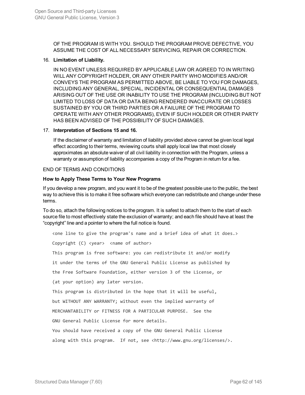OF THE PROGRAM IS WITH YOU. SHOULD THE PROGRAM PROVE DEFECTIVE, YOU ASSUME THE COST OF ALL NECESSARY SERVICING, REPAIR OR CORRECTION.

#### 16. **Limitation of Liability.**

IN NO EVENT UNLESS REQUIRED BY APPLICABLE LAW OR AGREED TO IN WRITING WILL ANY COPYRIGHT HOLDER, OR ANY OTHER PARTY WHO MODIFIES AND/OR CONVEYS THE PROGRAM AS PERMITTED ABOVE, BE LIABLE TO YOU FOR DAMAGES, INCLUDING ANY GENERAL, SPECIAL, INCIDENTAL OR CONSEQUENTIAL DAMAGES ARISING OUT OF THE USE OR INABILITY TO USE THE PROGRAM (INCLUDING BUT NOT LIMITED TO LOSS OF DATA OR DATA BEING RENDERED INACCURATE OR LOSSES SUSTAINED BY YOU OR THIRD PARTIES OR A FAILURE OF THE PROGRAM TO OPERATE WITH ANY OTHER PROGRAMS), EVEN IF SUCH HOLDER OR OTHER PARTY HAS BEEN ADVISED OF THE POSSIBILITY OF SUCH DAMAGES.

#### 17. **Interpretation of Sections 15 and 16.**

If the disclaimer of warranty and limitation of liability provided above cannot be given local legal effect according to their terms, reviewing courts shall apply local law that most closely approximates an absolute waiver of all civil liability in connection with the Program, unless a warranty or assumption of liability accompanies a copy of the Program in return for a fee.

#### END OF TERMS AND CONDITIONS

#### **How to Apply These Terms to Your New Programs**

If you develop a new program, and you want it to be of the greatest possible use to the public, the best way to achieve this is to make it free software which everyone can redistribute and change under these terms.

To do so, attach the following notices to the program. It is safest to attach them to the start of each source file to most effectively state the exclusion of warranty; and each file should have at least the "copyright" line and a pointer to where the full notice is found.

<one line to give the program's name and a brief idea of what it does.> Copyright (C) <year> <name of author> This program is free software: you can redistribute it and/or modify it under the terms of the GNU General Public License as published by the Free Software Foundation, either version 3 of the License, or (at your option) any later version. This program is distributed in the hope that it will be useful, but WITHOUT ANY WARRANTY; without even the implied warranty of MERCHANTABILITY or FITNESS FOR A PARTICULAR PURPOSE. See the GNU General Public License for more details. You should have received a copy of the GNU General Public License along with this program. If not, see <http://www.gnu.org/licenses/>.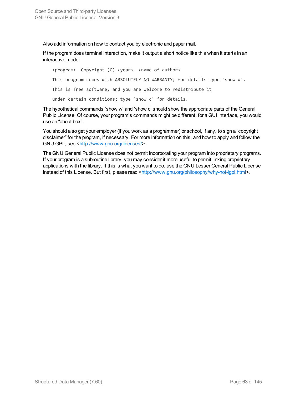Also add information on how to contact you by electronic and paper mail.

If the program does terminal interaction, make it output a short notice like this when it starts in an interactive mode:

<program> Copyright (C) <year> <name of author> This program comes with ABSOLUTELY NO WARRANTY; for details type `show w'. This is free software, and you are welcome to redistribute it under certain conditions; type `show c' for details.

The hypothetical commands `show w' and `show c' should show the appropriate parts of the General Public License. Of course, your program's commands might be different; for a GUI interface, you would use an "about box".

You should also get your employer (if you work as a programmer) or school, if any, to sign a "copyright disclaimer" for the program, if necessary. For more information on this, and how to apply and follow the GNU GPL, see <<http://www.gnu.org/licenses/>>.

The GNU General Public License does not permit incorporating your program into proprietary programs. If your program is a subroutine library, you may consider it more useful to permit linking proprietary applications with the library. If this is what you want to do, use the GNU Lesser General Public License instead of this License. But first, please read [<http://www.gnu.org/philosophy/why-not-lgpl.html](http://www.gnu.org/philosophy/why-not-lgpl.html)>.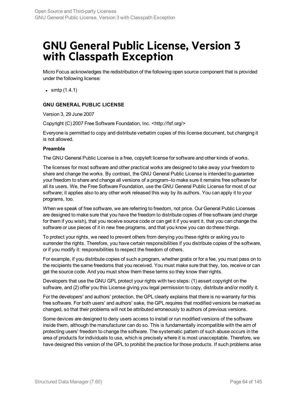## **GNU General Public License, Version 3 with Classpath Exception**

Micro Focus acknowledges the redistribution of the following open source component that is provided under the following license:

 $\bullet$  smtp (1.4.1)

## **GNU GENERAL PUBLIC LICENSE**

Version 3, 29 June 2007

Copyright (C) 2007 Free Software Foundation, Inc. <http://fsf.org/>

Everyone is permitted to copy and distribute verbatim copies of this license document, but changing it is not allowed.

#### **Preamble**

The GNU General Public License is a free, copyleft license for software and other kinds of works.

The licenses for most software and other practical works are designed to take away your freedom to share and change the works. By contrast, the GNU General Public License is intended to guarantee your freedom to share and change all versions of a program--to make sure it remains free software for all its users. We, the Free Software Foundation, use the GNU General Public License for most of our software; it applies also to any other work released this way by its authors. You can apply it to your programs, too.

When we speak of free software, we are referring to freedom, not price. Our General Public Licenses are designed to make sure that you have the freedom to distribute copies of free software (and charge for them if you wish), that you receive source code or can get it if you want it, that you can change the software or use pieces of it in new free programs, and that you know you can do these things.

To protect your rights, we need to prevent others from denying you these rights or asking you to surrender the rights. Therefore, you have certain responsibilities if you distribute copies of the software, or if you modify it: responsibilities to respect the freedom of others.

For example, if you distribute copies of such a program, whether gratis or for a fee, you must pass on to the recipients the same freedoms that you received. You must make sure that they, too, receive or can get the source code. And you must show them these terms so they know their rights.

Developers that use the GNU GPL protect your rights with two steps: (1) assert copyright on the software, and (2) offer you this License giving you legal permission to copy, distribute and/or modify it.

For the developers' and authors' protection, the GPL clearly explains that there is no warranty for this free software. For both users' and authors' sake, the GPL requires that modified versions be marked as changed, so that their problems will not be attributed erroneously to authors of previous versions.

Some devices are designed to deny users access to install or run modified versions of the software inside them, although the manufacturer can do so. This is fundamentally incompatible with the aim of protecting users' freedom to change the software. The systematic pattern of such abuse occurs in the area of products for individuals to use, which is precisely where it is most unacceptable. Therefore, we have designed this version of the GPL to prohibit the practice for those products. If such problems arise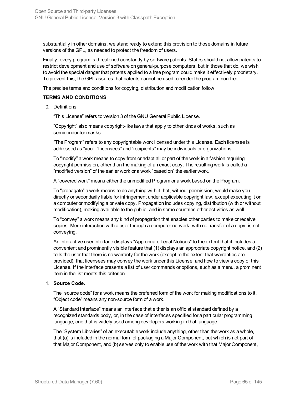substantially in other domains, we stand ready to extend this provision to those domains in future versions of the GPL, as needed to protect the freedom of users.

Finally, every program is threatened constantly by software patents. States should not allow patents to restrict development and use of software on general-purpose computers, but in those that do, we wish to avoid the special danger that patents applied to a free program could make it effectively proprietary. To prevent this, the GPL assures that patents cannot be used to render the program non-free.

The precise terms and conditions for copying, distribution and modification follow.

### **TERMS AND CONDITIONS**

0. Definitions

"This License" refers to version 3 of the GNU General Public License.

"Copyright" also means copyright-like laws that apply to other kinds of works, such as semiconductor masks.

"The Program" refers to any copyrightable work licensed under this License. Each licensee is addressed as "you". "Licensees" and "recipients" may be individuals or organizations.

To "modify" a work means to copy from or adapt all or part of the work in a fashion requiring copyright permission, other than the making of an exact copy. The resulting work is called a "modified version" of the earlier work or a work "based on" the earlier work.

A "covered work" means either the unmodified Program or a work based on the Program.

To "propagate" a work means to do anything with it that, without permission, would make you directly or secondarily liable for infringement under applicable copyright law, except executing it on a computer or modifying a private copy. Propagation includes copying, distribution (with or without modification), making available to the public, and in some countries other activities as well.

To "convey" a work means any kind of propagation that enables other parties to make or receive copies. Mere interaction with a user through a computer network, with no transfer of a copy, is not conveying.

An interactive user interface displays "Appropriate Legal Notices" to the extent that it includes a convenient and prominently visible feature that (1) displays an appropriate copyright notice, and (2) tells the user that there is no warranty for the work (except to the extent that warranties are provided), that licensees may convey the work under this License, and how to view a copy of this License. If the interface presents a list of user commands or options, such as a menu, a prominent item in the list meets this criterion.

#### 1. **Source Code.**

The "source code" for a work means the preferred form of the work for making modifications to it. "Object code" means any non-source form of a work.

A "Standard Interface" means an interface that either is an official standard defined by a recognized standards body, or, in the case of interfaces specified for a particular programming language, one that is widely used among developers working in that language.

The "System Libraries" of an executable work include anything, other than the work as a whole, that (a) is included in the normal form of packaging a Major Component, but which is not part of that Major Component, and (b) serves only to enable use of the work with that Major Component,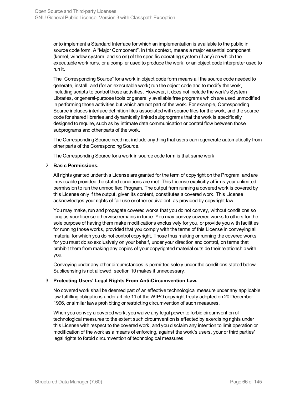or to implement a Standard Interface for which an implementation is available to the public in source code form. A "Major Component", in this context, means a major essential component (kernel, window system, and so on) of the specific operating system (if any) on which the executable work runs, or a compiler used to produce the work, or an object code interpreter used to run it.

The "Corresponding Source" for a work in object code form means all the source code needed to generate, install, and (for an executable work) run the object code and to modify the work, including scripts to control those activities. However, it does not include the work's System Libraries, or general-purpose tools or generally available free programs which are used unmodified in performing those activities but which are not part of the work. For example, Corresponding Source includes interface definition files associated with source files for the work, and the source code for shared libraries and dynamically linked subprograms that the work is specifically designed to require, such as by intimate data communication or control flow between those subprograms and other parts of the work.

The Corresponding Source need not include anything that users can regenerate automatically from other parts of the Corresponding Source.

The Corresponding Source for a work in source code form is that same work.

#### 2. **Basic Permissions.**

All rights granted under this License are granted for the term of copyright on the Program, and are irrevocable provided the stated conditions are met. This License explicitly affirms your unlimited permission to run the unmodified Program. The output from running a covered work is covered by this License only if the output, given its content, constitutes a covered work. This License acknowledges your rights of fair use or other equivalent, as provided by copyright law.

You may make, run and propagate covered works that you do not convey, without conditions so long as your license otherwise remains in force. You may convey covered works to others for the sole purpose of having them make modifications exclusively for you, or provide you with facilities for running those works, provided that you comply with the terms of this License in conveying all material for which you do not control copyright. Those thus making or running the covered works for you must do so exclusively on your behalf, under your direction and control, on terms that prohibit them from making any copies of your copyrighted material outside their relationship with you.

Conveying under any other circumstances is permitted solely under the conditions stated below. Sublicensing is not allowed; section 10 makes it unnecessary.

#### 3. **Protecting Users' Legal Rights From Anti-Circumvention Law.**

No covered work shall be deemed part of an effective technological measure under any applicable law fulfilling obligations under article 11 of the WIPO copyright treaty adopted on 20 December 1996, or similar laws prohibiting or restricting circumvention of such measures.

When you convey a covered work, you waive any legal power to forbid circumvention of technological measures to the extent such circumvention is effected by exercising rights under this License with respect to the covered work, and you disclaim any intention to limit operation or modification of the work as a means of enforcing, against the work's users, your or third parties' legal rights to forbid circumvention of technological measures.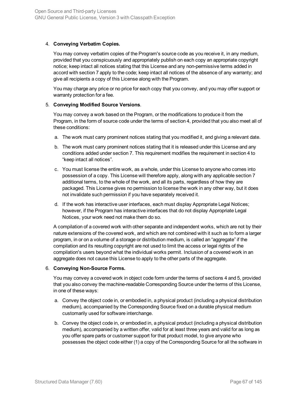## 4. **Conveying Verbatim Copies.**

You may convey verbatim copies of the Program's source code as you receive it, in any medium, provided that you conspicuously and appropriately publish on each copy an appropriate copyright notice; keep intact all notices stating that this License and any non-permissive terms added in accord with section 7 apply to the code; keep intact all notices of the absence of any warranty; and give all recipients a copy of this License along with the Program.

You may charge any price or no price for each copy that you convey, and you may offer support or warranty protection for a fee.

#### 5. **Conveying Modified Source Versions**.

You may convey a work based on the Program, or the modifications to produce it from the Program, in the form of source code under the terms of section 4, provided that you also meet all of these conditions:

- a. The work must carry prominent notices stating that you modified it, and giving a relevant date.
- b. The work must carry prominent notices stating that it is released under this License and any conditions added under section 7. This requirement modifies the requirement in section 4 to "keep intact all notices".
- c. You must license the entire work, as a whole, under this License to anyone who comes into possession of a copy. This License will therefore apply, along with any applicable section 7 additional terms, to the whole of the work, and all its parts, regardless of how they are packaged. This License gives no permission to license the work in any other way, but it does not invalidate such permission if you have separately received it.
- d. If the work has interactive user interfaces, each must display Appropriate Legal Notices; however, if the Program has interactive interfaces that do not display Appropriate Legal Notices, your work need not make them do so.

A compilation of a covered work with other separate and independent works, which are not by their nature extensions of the covered work, and which are not combined with it such as to form a larger program, in or on a volume of a storage or distribution medium, is called an "aggregate" if the compilation and its resulting copyright are not used to limit the access or legal rights of the compilation's users beyond what the individual works permit. Inclusion of a covered work in an aggregate does not cause this License to apply to the other parts of the aggregate.

#### 6. **Conveying Non-Source Forms.**

You may convey a covered work in object code form under the terms of sections 4 and 5, provided that you also convey the machine-readable Corresponding Source under the terms of this License, in one of these ways:

- a. Convey the object code in, or embodied in, a physical product (including a physical distribution medium), accompanied by the Corresponding Source fixed on a durable physical medium customarily used for software interchange.
- b. Convey the object code in, or embodied in, a physical product (including a physical distribution medium), accompanied by a written offer, valid for at least three years and valid for as long as you offer spare parts or customer support for that product model, to give anyone who possesses the object code either (1) a copy of the Corresponding Source for all the software in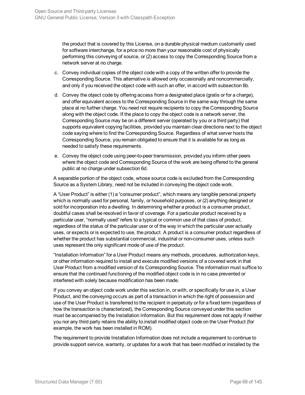the product that is covered by this License, on a durable physical medium customarily used for software interchange, for a price no more than your reasonable cost of physically performing this conveying of source, or (2) access to copy the Corresponding Source from a network server at no charge.

- c. Convey individual copies of the object code with a copy of the written offer to provide the Corresponding Source. This alternative is allowed only occasionally and noncommercially, and only if you received the object code with such an offer, in accord with subsection 6b.
- d. Convey the object code by offering access from a designated place (gratis or for a charge), and offer equivalent access to the Corresponding Source in the same way through the same place at no further charge. You need not require recipients to copy the Corresponding Source along with the object code. If the place to copy the object code is a network server, the Corresponding Source may be on a different server (operated by you or a third party) that supports equivalent copying facilities, provided you maintain clear directions next to the object code saying where to find the Corresponding Source. Regardless of what server hosts the Corresponding Source, you remain obligated to ensure that it is available for as long as needed to satisfy these requirements.
- e. Convey the object code using peer-to-peer transmission, provided you inform other peers where the object code and Corresponding Source of the work are being offered to the general public at no charge under subsection 6d.

A separable portion of the object code, whose source code is excluded from the Corresponding Source as a System Library, need not be included in conveying the object code work.

A "User Product" is either (1) a "consumer product", which means any tangible personal property which is normally used for personal, family, or household purposes, or (2) anything designed or sold for incorporation into a dwelling. In determining whether a product is a consumer product, doubtful cases shall be resolved in favor of coverage. For a particular product received by a particular user, "normally used" refers to a typical or common use of that class of product, regardless of the status of the particular user or of the way in which the particular user actually uses, or expects or is expected to use, the product. A product is a consumer product regardless of whether the product has substantial commercial, industrial or non-consumer uses, unless such uses represent the only significant mode of use of the product.

"Installation Information" for a User Product means any methods, procedures, authorization keys, or other information required to install and execute modified versions of a covered work in that User Product from a modified version of its Corresponding Source. The information must suffice to ensure that the continued functioning of the modified object code is in no case prevented or interfered with solely because modification has been made.

If you convey an object code work under this section in, or with, or specifically for use in, a User Product, and the conveying occurs as part of a transaction in which the right of possession and use of the User Product is transferred to the recipient in perpetuity or for a fixed term (regardless of how the transaction is characterized), the Corresponding Source conveyed under this section must be accompanied by the Installation Information. But this requirement does not apply if neither you nor any third party retains the ability to install modified object code on the User Product (for example, the work has been installed in ROM).

The requirement to provide Installation Information does not include a requirement to continue to provide support service, warranty, or updates for a work that has been modified or installed by the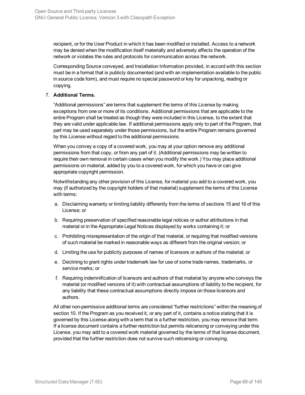recipient, or for the User Product in which it has been modified or installed. Access to a network may be denied when the modification itself materially and adversely affects the operation of the network or violates the rules and protocols for communication across the network.

Corresponding Source conveyed, and Installation Information provided, in accord with this section must be in a format that is publicly documented (and with an implementation available to the public in source code form), and must require no special password or key for unpacking, reading or copying.

### 7. **Additional Terms.**

"Additional permissions" are terms that supplement the terms of this License by making exceptions from one or more of its conditions. Additional permissions that are applicable to the entire Program shall be treated as though they were included in this License, to the extent that they are valid under applicable law. If additional permissions apply only to part of the Program, that part may be used separately under those permissions, but the entire Program remains governed by this License without regard to the additional permissions.

When you convey a copy of a covered work, you may at your option remove any additional permissions from that copy, or from any part of it. (Additional permissions may be written to require their own removal in certain cases when you modify the work.) You may place additional permissions on material, added by you to a covered work, for which you have or can give appropriate copyright permission.

Notwithstanding any other provision of this License, for material you add to a covered work, you may (if authorized by the copyright holders of that material) supplement the terms of this License with terms:

- a. Disclaiming warranty or limiting liability differently from the terms of sections 15 and 16 of this License; or
- b. Requiring preservation of specified reasonable legal notices or author attributions in that material or in the Appropriate Legal Notices displayed by works containing it; or
- c. Prohibiting misrepresentation of the origin of that material, or requiring that modified versions of such material be marked in reasonable ways as different from the original version; or
- d. Limiting the use for publicity purposes of names of licensors or authors of the material; or
- e. Declining to grant rights under trademark law for use of some trade names, trademarks, or service marks; or
- f. Requiring indemnification of licensors and authors of that material by anyone who conveys the material (or modified versions of it) with contractual assumptions of liability to the recipient, for any liability that these contractual assumptions directly impose on those licensors and authors.

All other non-permissive additional terms are considered "further restrictions" within the meaning of section 10. If the Program as you received it, or any part of it, contains a notice stating that it is governed by this License along with a term that is a further restriction, you may remove that term. If a license document contains a further restriction but permits relicensing or conveying under this License, you may add to a covered work material governed by the terms of that license document, provided that the further restriction does not survive such relicensing or conveying.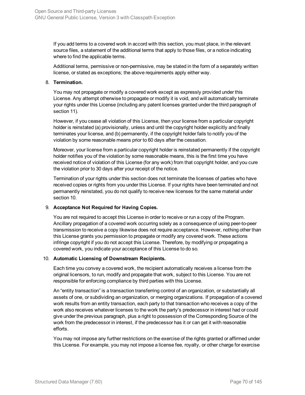If you add terms to a covered work in accord with this section, you must place, in the relevant source files, a statement of the additional terms that apply to those files, or a notice indicating where to find the applicable terms.

Additional terms, permissive or non-permissive, may be stated in the form of a separately written license, or stated as exceptions; the above requirements apply either way.

#### 8. **Termination.**

You may not propagate or modify a covered work except as expressly provided under this License. Any attempt otherwise to propagate or modify it is void, and will automatically terminate your rights under this License (including any patent licenses granted under the third paragraph of section 11).

However, if you cease all violation of this License, then your license from a particular copyright holder is reinstated (a) provisionally, unless and until the copyright holder explicitly and finally terminates your license, and (b) permanently, if the copyright holder fails to notify you of the violation by some reasonable means prior to 60 days after the cessation.

Moreover, your license from a particular copyright holder is reinstated permanently if the copyright holder notifies you of the violation by some reasonable means, this is the first time you have received notice of violation of this License (for any work) from that copyright holder, and you cure the violation prior to 30 days after your receipt of the notice.

Termination of your rights under this section does not terminate the licenses of parties who have received copies or rights from you under this License. If your rights have been terminated and not permanently reinstated, you do not qualify to receive new licenses for the same material under section 10.

## 9. **Acceptance Not Required for Having Copies.**

You are not required to accept this License in order to receive or run a copy of the Program. Ancillary propagation of a covered work occurring solely as a consequence of using peer-to-peer transmission to receive a copy likewise does not require acceptance. However, nothing other than this License grants you permission to propagate or modify any covered work. These actions infringe copyright if you do not accept this License. Therefore, by modifying or propagating a covered work, you indicate your acceptance of this License to do so.

#### 10. **Automatic Licensing of Downstream Recipients.**

Each time you convey a covered work, the recipient automatically receives a license from the original licensors, to run, modify and propagate that work, subject to this License. You are not responsible for enforcing compliance by third parties with this License.

An "entity transaction" is a transaction transferring control of an organization, or substantially all assets of one, or subdividing an organization, or merging organizations. If propagation of a covered work results from an entity transaction, each party to that transaction who receives a copy of the work also receives whatever licenses to the work the party's predecessor in interest had or could give under the previous paragraph, plus a right to possession of the Corresponding Source of the work from the predecessor in interest, if the predecessor has it or can get it with reasonable efforts.

You may not impose any further restrictions on the exercise of the rights granted or affirmed under this License. For example, you may not impose a license fee, royalty, or other charge for exercise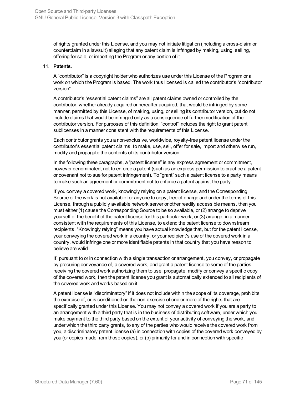of rights granted under this License, and you may not initiate litigation (including a cross-claim or counterclaim in a lawsuit) alleging that any patent claim is infringed by making, using, selling, offering for sale, or importing the Program or any portion of it.

#### 11. **Patents.**

A "contributor" is a copyright holder who authorizes use under this License of the Program or a work on which the Program is based. The work thus licensed is called the contributor's "contributor version".

A contributor's "essential patent claims" are all patent claims owned or controlled by the contributor, whether already acquired or hereafter acquired, that would be infringed by some manner, permitted by this License, of making, using, or selling its contributor version, but do not include claims that would be infringed only as a consequence of further modification of the contributor version. For purposes of this definition, "control" includes the right to grant patent sublicenses in a manner consistent with the requirements of this License.

Each contributor grants you a non-exclusive, worldwide, royalty-free patent license under the contributor's essential patent claims, to make, use, sell, offer for sale, import and otherwise run, modify and propagate the contents of its contributor version.

In the following three paragraphs, a "patent license" is any express agreement or commitment, however denominated, not to enforce a patent (such as an express permission to practice a patent or covenant not to sue for patent infringement). To "grant" such a patent license to a party means to make such an agreement or commitment not to enforce a patent against the party.

If you convey a covered work, knowingly relying on a patent license, and the Corresponding Source of the work is not available for anyone to copy, free of charge and under the terms of this License, through a publicly available network server or other readily accessible means, then you must either (1) cause the Corresponding Source to be so available, or (2) arrange to deprive yourself of the benefit of the patent license for this particular work, or (3) arrange, in a manner consistent with the requirements of this License, to extend the patent license to downstream recipients. "Knowingly relying" means you have actual knowledge that, but for the patent license, your conveying the covered work in a country, or your recipient's use of the covered work in a country, would infringe one or more identifiable patents in that country that you have reason to believe are valid.

If, pursuant to or in connection with a single transaction or arrangement, you convey, or propagate by procuring conveyance of, a covered work, and grant a patent license to some of the parties receiving the covered work authorizing them to use, propagate, modify or convey a specific copy of the covered work, then the patent license you grant is automatically extended to all recipients of the covered work and works based on it.

A patent license is "discriminatory" if it does not include within the scope of its coverage, prohibits the exercise of, or is conditioned on the non-exercise of one or more of the rights that are specifically granted under this License. You may not convey a covered work if you are a party to an arrangement with a third party that is in the business of distributing software, under which you make payment to the third party based on the extent of your activity of conveying the work, and under which the third party grants, to any of the parties who would receive the covered work from you, a discriminatory patent license (a) in connection with copies of the covered work conveyed by you (or copies made from those copies), or (b) primarily for and in connection with specific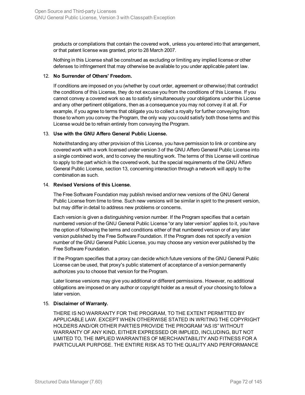products or compilations that contain the covered work, unless you entered into that arrangement, or that patent license was granted, prior to 28 March 2007.

Nothing in this License shall be construed as excluding or limiting any implied license or other defenses to infringement that may otherwise be available to you under applicable patent law.

#### 12. **No Surrender of Others' Freedom.**

If conditions are imposed on you (whether by court order, agreement or otherwise) that contradict the conditions of this License, they do not excuse you from the conditions of this License. If you cannot convey a covered work so as to satisfy simultaneously your obligations under this License and any other pertinent obligations, then as a consequence you may not convey it at all. For example, if you agree to terms that obligate you to collect a royalty for further conveying from those to whom you convey the Program, the only way you could satisfy both those terms and this License would be to refrain entirely from conveying the Program.

#### 13. **Use with the GNU Affero General Public License.**

Notwithstanding any other provision of this License, you have permission to link or combine any covered work with a work licensed under version 3 of the GNU Affero General Public License into a single combined work, and to convey the resulting work. The terms of this License will continue to apply to the part which is the covered work, but the special requirements of the GNU Affero General Public License, section 13, concerning interaction through a network will apply to the combination as such.

#### 14. **Revised Versions of this License.**

The Free Software Foundation may publish revised and/or new versions of the GNU General Public License from time to time. Such new versions will be similar in spirit to the present version, but may differ in detail to address new problems or concerns.

Each version is given a distinguishing version number. If the Program specifies that a certain numbered version of the GNU General Public License "or any later version" applies to it, you have the option of following the terms and conditions either of that numbered version or of any later version published by the Free Software Foundation. If the Program does not specify a version number of the GNU General Public License, you may choose any version ever published by the Free Software Foundation.

If the Program specifies that a proxy can decide which future versions of the GNU General Public License can be used, that proxy's public statement of acceptance of a version permanently authorizes you to choose that version for the Program.

Later license versions may give you additional or different permissions. However, no additional obligations are imposed on any author or copyright holder as a result of your choosing to follow a later version.

#### 15. **Disclaimer of Warranty.**

THERE IS NO WARRANTY FOR THE PROGRAM, TO THE EXTENT PERMITTED BY APPLICABLE LAW. EXCEPT WHEN OTHERWISE STATED IN WRITING THE COPYRIGHT HOLDERS AND/OR OTHER PARTIES PROVIDE THE PROGRAM "AS IS" WITHOUT WARRANTY OF ANY KIND, EITHER EXPRESSED OR IMPLIED, INCLUDING, BUT NOT LIMITED TO, THE IMPLIED WARRANTIES OF MERCHANTABILITY AND FITNESS FOR A PARTICULAR PURPOSE. THE ENTIRE RISK AS TO THE QUALITY AND PERFORMANCE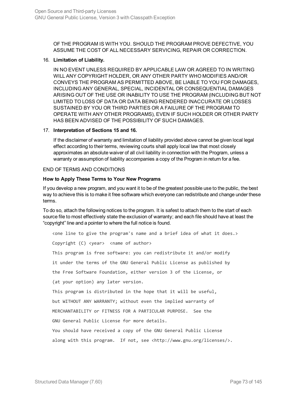OF THE PROGRAM IS WITH YOU. SHOULD THE PROGRAM PROVE DEFECTIVE, YOU ASSUME THE COST OF ALL NECESSARY SERVICING, REPAIR OR CORRECTION.

# 16. **Limitation of Liability.**

IN NO EVENT UNLESS REQUIRED BY APPLICABLE LAW OR AGREED TO IN WRITING WILL ANY COPYRIGHT HOLDER, OR ANY OTHER PARTY WHO MODIFIES AND/OR CONVEYS THE PROGRAM AS PERMITTED ABOVE, BE LIABLE TO YOU FOR DAMAGES, INCLUDING ANY GENERAL, SPECIAL, INCIDENTAL OR CONSEQUENTIAL DAMAGES ARISING OUT OF THE USE OR INABILITY TO USE THE PROGRAM (INCLUDING BUT NOT LIMITED TO LOSS OF DATA OR DATA BEING RENDERED INACCURATE OR LOSSES SUSTAINED BY YOU OR THIRD PARTIES OR A FAILURE OF THE PROGRAM TO OPERATE WITH ANY OTHER PROGRAMS), EVEN IF SUCH HOLDER OR OTHER PARTY HAS BEEN ADVISED OF THE POSSIBILITY OF SUCH DAMAGES.

# 17. **Interpretation of Sections 15 and 16.**

If the disclaimer of warranty and limitation of liability provided above cannot be given local legal effect according to their terms, reviewing courts shall apply local law that most closely approximates an absolute waiver of all civil liability in connection with the Program, unless a warranty or assumption of liability accompanies a copy of the Program in return for a fee.

#### END OF TERMS AND CONDITIONS

# **How to Apply These Terms to Your New Programs**

If you develop a new program, and you want it to be of the greatest possible use to the public, the best way to achieve this is to make it free software which everyone can redistribute and change under these terms.

To do so, attach the following notices to the program. It is safest to attach them to the start of each source file to most effectively state the exclusion of warranty; and each file should have at least the "copyright" line and a pointer to where the full notice is found.

<one line to give the program's name and a brief idea of what it does.> Copyright (C) <year> <name of author> This program is free software: you can redistribute it and/or modify it under the terms of the GNU General Public License as published by the Free Software Foundation, either version 3 of the License, or (at your option) any later version. This program is distributed in the hope that it will be useful, but WITHOUT ANY WARRANTY; without even the implied warranty of MERCHANTABILITY or FITNESS FOR A PARTICULAR PURPOSE. See the GNU General Public License for more details. You should have received a copy of the GNU General Public License along with this program. If not, see <http://www.gnu.org/licenses/>.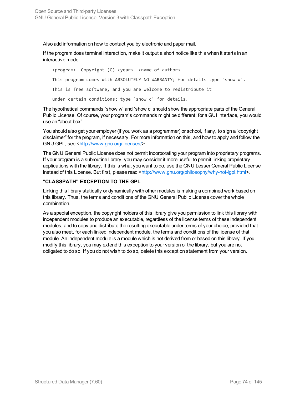Also add information on how to contact you by electronic and paper mail.

If the program does terminal interaction, make it output a short notice like this when it starts in an interactive mode:

<program> Copyright (C) <year> <name of author> This program comes with ABSOLUTELY NO WARRANTY; for details type `show w'. This is free software, and you are welcome to redistribute it under certain conditions; type `show c' for details.

The hypothetical commands `show w' and `show c' should show the appropriate parts of the General Public License. Of course, your program's commands might be different; for a GUI interface, you would use an "about box".

You should also get your employer (if you work as a programmer) or school, if any, to sign a "copyright disclaimer" for the program, if necessary. For more information on this, and how to apply and follow the GNU GPL, see <<http://www.gnu.org/licenses/>>.

The GNU General Public License does not permit incorporating your program into proprietary programs. If your program is a subroutine library, you may consider it more useful to permit linking proprietary applications with the library. If this is what you want to do, use the GNU Lesser General Public License instead of this License. But first, please read [<http://www.gnu.org/philosophy/why-not-lgpl.html](http://www.gnu.org/philosophy/why-not-lgpl.html)>.

# **"CLASSPATH" EXCEPTION TO THE GPL**

Linking this library statically or dynamically with other modules is making a combined work based on this library. Thus, the terms and conditions of the GNU General Public License cover the whole combination.

As a special exception, the copyright holders of this library give you permission to link this library with independent modules to produce an executable, regardless of the license terms of these independent modules, and to copy and distribute the resulting executable under terms of your choice, provided that you also meet, for each linked independent module, the terms and conditions of the license of that module. An independent module is a module which is not derived from or based on this library. If you modify this library, you may extend this exception to your version of the library, but you are not obligated to do so. If you do not wish to do so, delete this exception statement from your version.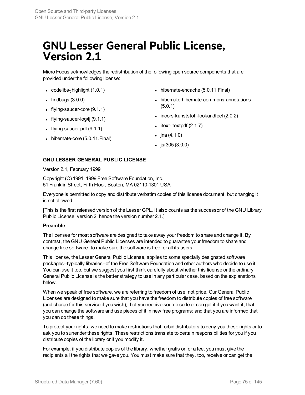# **GNU Lesser General Public License, Version 2.1**

Micro Focus acknowledges the redistribution of the following open source components that are provided under the following license:

- $\bullet$  codelibs-jhighlight  $(1.0.1)$
- $\bullet$  findbugs  $(3.0.0)$
- $\bullet$  flying-saucer-core  $(9.1.1)$
- $\bullet$  flying-saucer-log4j (9.1.1)
- $\bullet$  flying-saucer-pdf  $(9.1.1)$
- hibernate-core  $(5.0.11$ . Final)
- $\bullet$  hibernate-ehcache (5.0.11. Final)
- hibernate-hibernate-commons-annotations (5.0.1)
- $\bullet$  incors-kunststoff-lookandfeel (2.0.2)
- $\bullet$  itext-itextpdf (2.1.7)
- jna  $(4.1.0)$
- $\bullet$  jsr305 (3.0.0)

# **GNU LESSER GENERAL PUBLIC LICENSE**

Version 2.1, February 1999

Copyright (C) 1991, 1999 Free Software Foundation, Inc. 51 Franklin Street, Fifth Floor, Boston, MA 02110-1301 USA

Everyone is permitted to copy and distribute verbatim copies of this license document, but changing it is not allowed.

[This is the first released version of the Lesser GPL. It also counts as the successor of the GNU Library Public License, version 2, hence the version number 2.1.]

#### **Preamble**

The licenses for most software are designed to take away your freedom to share and change it. By contrast, the GNU General Public Licenses are intended to guarantee your freedom to share and change free software--to make sure the software is free for all its users.

This license, the Lesser General Public License, applies to some specially designated software packages--typically libraries--of the Free Software Foundation and other authors who decide to use it. You can use it too, but we suggest you first think carefully about whether this license or the ordinary General Public License is the better strategy to use in any particular case, based on the explanations below.

When we speak of free software, we are referring to freedom of use, not price. Our General Public Licenses are designed to make sure that you have the freedom to distribute copies of free software (and charge for this service if you wish); that you receive source code or can get it if you want it; that you can change the software and use pieces of it in new free programs; and that you are informed that you can do these things.

To protect your rights, we need to make restrictions that forbid distributors to deny you these rights or to ask you to surrender these rights. These restrictions translate to certain responsibilities for you if you distribute copies of the library or if you modify it.

For example, if you distribute copies of the library, whether gratis or for a fee, you must give the recipients all the rights that we gave you. You must make sure that they, too, receive or can get the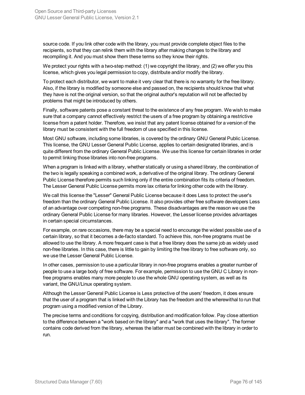source code. If you link other code with the library, you must provide complete object files to the recipients, so that they can relink them with the library after making changes to the library and recompiling it. And you must show them these terms so they know their rights.

We protect your rights with a two-step method: (1) we copyright the library, and (2) we offer you this license, which gives you legal permission to copy, distribute and/or modify the library.

To protect each distributor, we want to make it very clear that there is no warranty for the free library. Also, if the library is modified by someone else and passed on, the recipients should know that what they have is not the original version, so that the original author's reputation will not be affected by problems that might be introduced by others.

Finally, software patents pose a constant threat to the existence of any free program. We wish to make sure that a company cannot effectively restrict the users of a free program by obtaining a restrictive license from a patent holder. Therefore, we insist that any patent license obtained for a version of the library must be consistent with the full freedom of use specified in this license.

Most GNU software, including some libraries, is covered by the ordinary GNU General Public License. This license, the GNU Lesser General Public License, applies to certain designated libraries, and is quite different from the ordinary General Public License. We use this license for certain libraries in order to permit linking those libraries into non-free programs.

When a program is linked with a library, whether statically or using a shared library, the combination of the two is legally speaking a combined work, a derivative of the original library. The ordinary General Public License therefore permits such linking only if the entire combination fits its criteria of freedom. The Lesser General Public License permits more lax criteria for linking other code with the library.

We call this license the "Lesser" General Public License because it does Less to protect the user's freedom than the ordinary General Public License. It also provides other free software developers Less of an advantage over competing non-free programs. These disadvantages are the reason we use the ordinary General Public License for many libraries. However, the Lesser license provides advantages in certain special circumstances.

For example, on rare occasions, there may be a special need to encourage the widest possible use of a certain library, so that it becomes a de-facto standard. To achieve this, non-free programs must be allowed to use the library. A more frequent case is that a free library does the same job as widely used non-free libraries. In this case, there is little to gain by limiting the free library to free software only, so we use the Lesser General Public License.

In other cases, permission to use a particular library in non-free programs enables a greater number of people to use a large body of free software. For example, permission to use the GNU C Library in nonfree programs enables many more people to use the whole GNU operating system, as well as its variant, the GNU/Linux operating system.

Although the Lesser General Public License is Less protective of the users' freedom, it does ensure that the user of a program that is linked with the Library has the freedom and the wherewithal to run that program using a modified version of the Library.

The precise terms and conditions for copying, distribution and modification follow. Pay close attention to the difference between a "work based on the library" and a "work that uses the library". The former contains code derived from the library, whereas the latter must be combined with the library in order to run.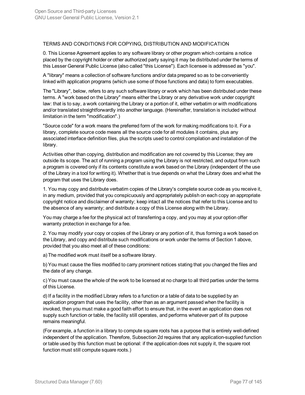# TERMS AND CONDITIONS FOR COPYING, DISTRIBUTION AND MODIFICATION

0. This License Agreement applies to any software library or other program which contains a notice placed by the copyright holder or other authorized party saying it may be distributed under the terms of this Lesser General Public License (also called "this License"). Each licensee is addressed as "you".

A "library" means a collection of software functions and/or data prepared so as to be conveniently linked with application programs (which use some of those functions and data) to form executables.

The "Library", below, refers to any such software library or work which has been distributed under these terms. A "work based on the Library" means either the Library or any derivative work under copyright law: that is to say, a work containing the Library or a portion of it, either verbatim or with modifications and/or translated straightforwardly into another language. (Hereinafter, translation is included without limitation in the term "modification".)

"Source code" for a work means the preferred form of the work for making modifications to it. For a library, complete source code means all the source code for all modules it contains, plus any associated interface definition files, plus the scripts used to control compilation and installation of the library.

Activities other than copying, distribution and modification are not covered by this License; they are outside its scope. The act of running a program using the Library is not restricted, and output from such a program is covered only if its contents constitute a work based on the Library (independent of the use of the Library in a tool for writing it). Whether that is true depends on what the Library does and what the program that uses the Library does.

1. You may copy and distribute verbatim copies of the Library's complete source code as you receive it, in any medium, provided that you conspicuously and appropriately publish on each copy an appropriate copyright notice and disclaimer of warranty; keep intact all the notices that refer to this License and to the absence of any warranty; and distribute a copy of this License along with the Library.

You may charge a fee for the physical act of transferring a copy, and you may at your option offer warranty protection in exchange for a fee.

2. You may modify your copy or copies of the Library or any portion of it, thus forming a work based on the Library, and copy and distribute such modifications or work under the terms of Section 1 above, provided that you also meet all of these conditions:

a) The modified work must itself be a software library.

b) You must cause the files modified to carry prominent notices stating that you changed the files and the date of any change.

c) You must cause the whole of the work to be licensed at no charge to all third parties under the terms of this License.

d) If a facility in the modified Library refers to a function or a table of data to be supplied by an application program that uses the facility, other than as an argument passed when the facility is invoked, then you must make a good faith effort to ensure that, in the event an application does not supply such function or table, the facility still operates, and performs whatever part of its purpose remains meaningful.

(For example, a function in a library to compute square roots has a purpose that is entirely well-defined independent of the application. Therefore, Subsection 2d requires that any application-supplied function or table used by this function must be optional: if the application does not supply it, the square root function must still compute square roots.)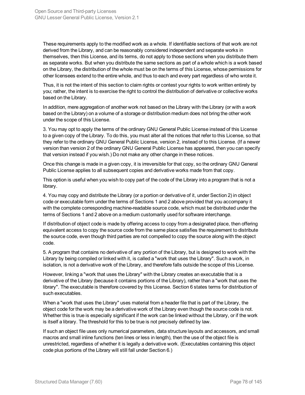These requirements apply to the modified work as a whole. If identifiable sections of that work are not derived from the Library, and can be reasonably considered independent and separate works in themselves, then this License, and its terms, do not apply to those sections when you distribute them as separate works. But when you distribute the same sections as part of a whole which is a work based on the Library, the distribution of the whole must be on the terms of this License, whose permissions for other licensees extend to the entire whole, and thus to each and every part regardless of who wrote it.

Thus, it is not the intent of this section to claim rights or contest your rights to work written entirely by you; rather, the intent is to exercise the right to control the distribution of derivative or collective works based on the Library.

In addition, mere aggregation of another work not based on the Library with the Library (or with a work based on the Library) on a volume of a storage or distribution medium does not bring the other work under the scope of this License.

3. You may opt to apply the terms of the ordinary GNU General Public License instead of this License to a given copy of the Library. To do this, you must alter all the notices that refer to this License, so that they refer to the ordinary GNU General Public License, version 2, instead of to this License. (If a newer version than version 2 of the ordinary GNU General Public License has appeared, then you can specify that version instead if you wish.) Do not make any other change in these notices.

Once this change is made in a given copy, it is irreversible for that copy, so the ordinary GNU General Public License applies to all subsequent copies and derivative works made from that copy.

This option is useful when you wish to copy part of the code of the Library into a program that is not a library.

4. You may copy and distribute the Library (or a portion or derivative of it, under Section 2) in object code or executable form under the terms of Sections 1 and 2 above provided that you accompany it with the complete corresponding machine-readable source code, which must be distributed under the terms of Sections 1 and 2 above on a medium customarily used for software interchange.

If distribution of object code is made by offering access to copy from a designated place, then offering equivalent access to copy the source code from the same place satisfies the requirement to distribute the source code, even though third parties are not compelled to copy the source along with the object code.

5. A program that contains no derivative of any portion of the Library, but is designed to work with the Library by being compiled or linked with it, is called a "work that uses the Library". Such a work, in isolation, is not a derivative work of the Library, and therefore falls outside the scope of this License.

However, linking a "work that uses the Library" with the Library creates an executable that is a derivative of the Library (because it contains portions of the Library), rather than a "work that uses the library". The executable is therefore covered by this License. Section 6 states terms for distribution of such executables.

When a "work that uses the Library" uses material from a header file that is part of the Library, the object code for the work may be a derivative work of the Library even though the source code is not. Whether this is true is especially significant if the work can be linked without the Library, or if the work is itself a library. The threshold for this to be true is not precisely defined by law.

If such an object file uses only numerical parameters, data structure layouts and accessors, and small macros and small inline functions (ten lines or less in length), then the use of the object file is unrestricted, regardless of whether it is legally a derivative work. (Executables containing this object code plus portions of the Library will still fall under Section 6.)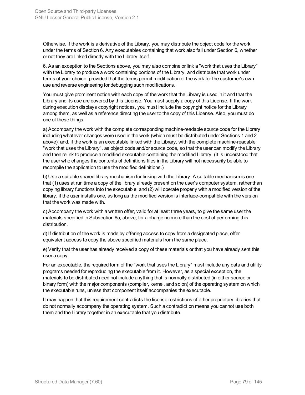Otherwise, if the work is a derivative of the Library, you may distribute the object code for the work under the terms of Section 6. Any executables containing that work also fall under Section 6, whether or not they are linked directly with the Library itself.

6. As an exception to the Sections above, you may also combine or link a "work that uses the Library" with the Library to produce a work containing portions of the Library, and distribute that work under terms of your choice, provided that the terms permit modification of the work for the customer's own use and reverse engineering for debugging such modifications.

You must give prominent notice with each copy of the work that the Library is used in it and that the Library and its use are covered by this License. You must supply a copy of this License. If the work during execution displays copyright notices, you must include the copyright notice for the Library among them, as well as a reference directing the user to the copy of this License. Also, you must do one of these things:

a) Accompany the work with the complete corresponding machine-readable source code for the Library including whatever changes were used in the work (which must be distributed under Sections 1 and 2 above); and, if the work is an executable linked with the Library, with the complete machine-readable "work that uses the Library", as object code and/or source code, so that the user can modify the Library and then relink to produce a modified executable containing the modified Library. (It is understood that the user who changes the contents of definitions files in the Library will not necessarily be able to recompile the application to use the modified definitions.)

b) Use a suitable shared library mechanism for linking with the Library. A suitable mechanism is one that (1) uses at run time a copy of the library already present on the user's computer system, rather than copying library functions into the executable, and (2) will operate properly with a modified version of the library, if the user installs one, as long as the modified version is interface-compatible with the version that the work was made with.

c) Accompany the work with a written offer, valid for at least three years, to give the same user the materials specified in Subsection 6a, above, for a charge no more than the cost of performing this distribution.

d) If distribution of the work is made by offering access to copy from a designated place, offer equivalent access to copy the above specified materials from the same place.

e) Verify that the user has already received a copy of these materials or that you have already sent this user a copy.

For an executable, the required form of the "work that uses the Library" must include any data and utility programs needed for reproducing the executable from it. However, as a special exception, the materials to be distributed need not include anything that is normally distributed (in either source or binary form) with the major components (compiler, kernel, and so on) of the operating system on which the executable runs, unless that component itself accompanies the executable.

It may happen that this requirement contradicts the license restrictions of other proprietary libraries that do not normally accompany the operating system. Such a contradiction means you cannot use both them and the Library together in an executable that you distribute.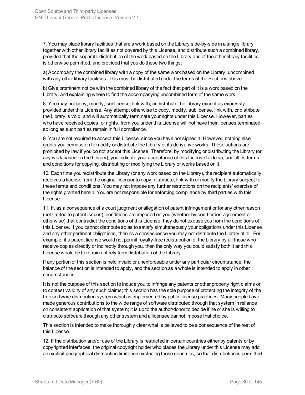7. You may place library facilities that are a work based on the Library side-by-side in a single library together with other library facilities not covered by this License, and distribute such a combined library, provided that the separate distribution of the work based on the Library and of the other library facilities is otherwise permitted, and provided that you do these two things:

a) Accompany the combined library with a copy of the same work based on the Library, uncombined with any other library facilities. This must be distributed under the terms of the Sections above.

b) Give prominent notice with the combined library of the fact that part of it is a work based on the Library, and explaining where to find the accompanying uncombined form of the same work.

8. You may not copy, modify, sublicense, link with, or distribute the Library except as expressly provided under this License. Any attempt otherwise to copy, modify, sublicense, link with, or distribute the Library is void, and will automatically terminate your rights under this License. However, parties who have received copies, or rights, from you under this License will not have their licenses terminated so long as such parties remain in full compliance.

9. You are not required to accept this License, since you have not signed it. However, nothing else grants you permission to modify or distribute the Library or its derivative works. These actions are prohibited by law if you do not accept this License. Therefore, by modifying or distributing the Library (or any work based on the Library), you indicate your acceptance of this License to do so, and all its terms and conditions for copying, distributing or modifying the Library or works based on it.

10. Each time you redistribute the Library (or any work based on the Library), the recipient automatically receives a license from the original licensor to copy, distribute, link with or modify the Library subject to these terms and conditions. You may not impose any further restrictions on the recipients' exercise of the rights granted herein. You are not responsible for enforcing compliance by third parties with this License.

11. If, as a consequence of a court judgment or allegation of patent infringement or for any other reason (not limited to patent issues), conditions are imposed on you (whether by court order, agreement or otherwise) that contradict the conditions of this License, they do not excuse you from the conditions of this License. If you cannot distribute so as to satisfy simultaneously your obligations under this License and any other pertinent obligations, then as a consequence you may not distribute the Library at all. For example, if a patent license would not permit royalty-free redistribution of the Library by all those who receive copies directly or indirectly through you, then the only way you could satisfy both it and this License would be to refrain entirely from distribution of the Library.

If any portion of this section is held invalid or unenforceable under any particular circumstance, the balance of the section is intended to apply, and the section as a whole is intended to apply in other circumstances.

It is not the purpose of this section to induce you to infringe any patents or other property right claims or to contest validity of any such claims; this section has the sole purpose of protecting the integrity of the free software distribution system which is implemented by public license practices. Many people have made generous contributions to the wide range of software distributed through that system in reliance on consistent application of that system; it is up to the author/donor to decide if he or she is willing to distribute software through any other system and a licensee cannot impose that choice.

This section is intended to make thoroughly clear what is believed to be a consequence of the rest of this License.

12. If the distribution and/or use of the Library is restricted in certain countries either by patents or by copyrighted interfaces, the original copyright holder who places the Library under this License may add an explicit geographical distribution limitation excluding those countries, so that distribution is permitted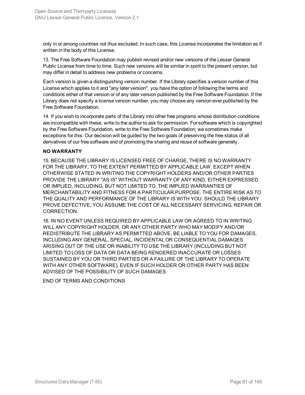only in or among countries not thus excluded. In such case, this License incorporates the limitation as if written in the body of this License.

13. The Free Software Foundation may publish revised and/or new versions of the Lesser General Public License from time to time. Such new versions will be similar in spirit to the present version, but may differ in detail to address new problems or concerns.

Each version is given a distinguishing version number. If the Library specifies a version number of this License which applies to it and "any later version", you have the option of following the terms and conditions either of that version or of any later version published by the Free Software Foundation. If the Library does not specify a license version number, you may choose any version ever published by the Free Software Foundation.

14. If you wish to incorporate parts of the Library into other free programs whose distribution conditions are incompatible with these, write to the author to ask for permission. For software which is copyrighted by the Free Software Foundation, write to the Free Software Foundation; we sometimes make exceptions for this. Our decision will be guided by the two goals of preserving the free status of all derivatives of our free software and of promoting the sharing and reuse of software generally.

# **NO WARRANTY**

15. BECAUSE THE LIBRARY IS LICENSED FREE OF CHARGE, THERE IS NO WARRANTY FOR THE LIBRARY, TO THE EXTENT PERMITTED BY APPLICABLE LAW. EXCEPT WHEN OTHERWISE STATED IN WRITING THE COPYRIGHT HOLDERS AND/OR OTHER PARTIES PROVIDE THE LIBRARY "AS IS" WITHOUT WARRANTY OF ANY KIND, EITHER EXPRESSED OR IMPLIED, INCLUDING, BUT NOT LIMITED TO, THE IMPLIED WARRANTIES OF MERCHANTABILITY AND FITNESS FOR A PARTICULAR PURPOSE. THE ENTIRE RISK AS TO THE QUALITY AND PERFORMANCE OF THE LIBRARY IS WITH YOU. SHOULD THE LIBRARY PROVE DEFECTIVE, YOU ASSUME THE COST OF ALL NECESSARY SERVICING, REPAIR OR CORRECTION.

16. IN NO EVENT UNLESS REQUIRED BY APPLICABLE LAW OR AGREED TO IN WRITING WILL ANY COPYRIGHT HOLDER, OR ANY OTHER PARTY WHO MAY MODIFY AND/OR REDISTRIBUTE THE LIBRARY AS PERMITTED ABOVE, BE LIABLE TO YOU FOR DAMAGES, INCLUDING ANY GENERAL, SPECIAL, INCIDENTAL OR CONSEQUENTIAL DAMAGES ARISING OUT OF THE USE OR INABILITY TO USE THE LIBRARY (INCLUDING BUT NOT LIMITED TO LOSS OF DATA OR DATA BEING RENDERED INACCURATE OR LOSSES SUSTAINED BY YOU OR THIRD PARTIES OR A FAILURE OF THE LIBRARY TO OPERATE WITH ANY OTHER SOFTWARE), EVEN IF SUCH HOLDER OR OTHER PARTY HAS BEEN ADVISED OF THE POSSIBILITY OF SUCH DAMAGES.

END OF TERMS AND CONDITIONS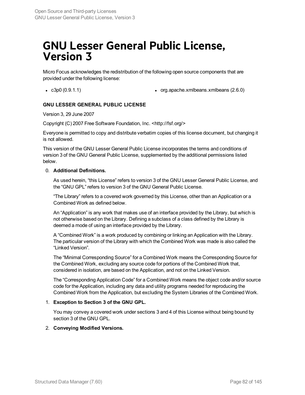# **GNU Lesser General Public License, Version 3**

Micro Focus acknowledges the redistribution of the following open source components that are provided under the following license:

- 
- c3p0 (0.9.1.1) **a** org.apache.xmlbeans.xmlbeans (2.6.0)

# **GNU LESSER GENERAL PUBLIC LICENSE**

# Version 3, 29 June 2007

Copyright (C) 2007 Free Software Foundation, Inc. <http://fsf.org/>

Everyone is permitted to copy and distribute verbatim copies of this license document, but changing it is not allowed.

This version of the GNU Lesser General Public License incorporates the terms and conditions of version 3 of the GNU General Public License, supplemented by the additional permissions listed below.

# 0. **Additional Definitions.**

As used herein, "this License" refers to version 3 of the GNU Lesser General Public License, and the "GNU GPL" refers to version 3 of the GNU General Public License.

"The Library" refers to a covered work governed by this License, other than an Application or a Combined Work as defined below.

An "Application" is any work that makes use of an interface provided by the Library, but which is not otherwise based on the Library. Defining a subclass of a class defined by the Library is deemed a mode of using an interface provided by the Library.

A "Combined Work" is a work produced by combining or linking an Application with the Library. The particular version of the Library with which the Combined Work was made is also called the "Linked Version".

The "Minimal Corresponding Source" for a Combined Work means the Corresponding Source for the Combined Work, excluding any source code for portions of the Combined Work that, considered in isolation, are based on the Application, and not on the Linked Version.

The "Corresponding Application Code" for a Combined Work means the object code and/or source code for the Application, including any data and utility programs needed for reproducing the Combined Work from the Application, but excluding the System Libraries of the Combined Work.

# 1. **Exception to Section 3 of the GNU GPL.**

You may convey a covered work under sections 3 and 4 of this License without being bound by section 3 of the GNU GPL.

# 2. **Conveying Modified Versions.**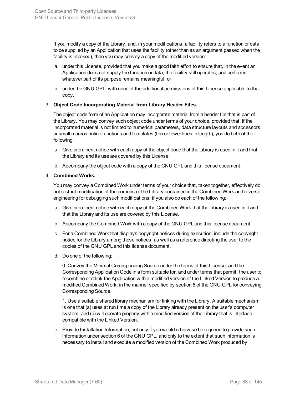If you modify a copy of the Library, and, in your modifications, a facility refers to a function or data to be supplied by an Application that uses the facility (other than as an argument passed when the facility is invoked), then you may convey a copy of the modified version:

- a. under this License, provided that you make a good faith effort to ensure that, in the event an Application does not supply the function or data, the facility still operates, and performs whatever part of its purpose remains meaningful, or
- b. under the GNU GPL, with none of the additional permissions of this License applicable to that copy.

# 3. **Object Code Incorporating Material from Library Header Files.**

The object code form of an Application may incorporate material from a header file that is part of the Library. You may convey such object code under terms of your choice, provided that, if the incorporated material is not limited to numerical parameters, data structure layouts and accessors, or small macros, inline functions and templates (ten or fewer lines in length), you do both of the following:

- a. Give prominent notice with each copy of the object code that the Library is used in it and that the Library and its use are covered by this License.
- b. Accompany the object code with a copy of the GNU GPL and this license document.

# 4. **Combined Works.**

You may convey a Combined Work under terms of your choice that, taken together, effectively do not restrict modification of the portions of the Library contained in the Combined Work and reverse engineering for debugging such modifications, if you also do each of the following:

- a. Give prominent notice with each copy of the Combined Work that the Library is used in it and that the Library and its use are covered by this License.
- b. Accompany the Combined Work with a copy of the GNU GPL and this license document.
- c. For a Combined Work that displays copyright notices during execution, include the copyright notice for the Library among these notices, as well as a reference directing the user to the copies of the GNU GPL and this license document.
- d. Do one of the following:

0. Convey the Minimal Corresponding Source under the terms of this License, and the Corresponding Application Code in a form suitable for, and under terms that permit, the user to recombine or relink the Application with a modified version of the Linked Version to produce a modified Combined Work, in the manner specified by section 6 of the GNU GPL for conveying Corresponding Source.

1. Use a suitable shared library mechanism for linking with the Library. A suitable mechanism is one that (a) uses at run time a copy of the Library already present on the user's computer system, and (b) will operate properly with a modified version of the Library that is interfacecompatible with the Linked Version.

e. Provide Installation Information, but only if you would otherwise be required to provide such information under section 6 of the GNU GPL, and only to the extent that such information is necessary to install and execute a modified version of the Combined Work produced by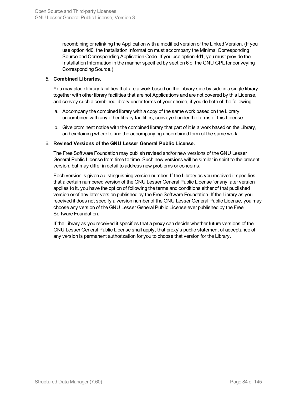recombining or relinking the Application with a modified version of the Linked Version. (If you use option 4d0, the Installation Information must accompany the Minimal Corresponding Source and Corresponding Application Code. If you use option 4d1, you must provide the Installation Information in the manner specified by section 6 of the GNU GPL for conveying Corresponding Source.)

#### 5. **Combined Libraries.**

You may place library facilities that are a work based on the Library side by side in a single library together with other library facilities that are not Applications and are not covered by this License, and convey such a combined library under terms of your choice, if you do both of the following:

- a. Accompany the combined library with a copy of the same work based on the Library, uncombined with any other library facilities, conveyed under the terms of this License.
- b. Give prominent notice with the combined library that part of it is a work based on the Library, and explaining where to find the accompanying uncombined form of the same work.

# 6. **Revised Versions of the GNU Lesser General Public License.**

The Free Software Foundation may publish revised and/or new versions of the GNU Lesser General Public License from time to time. Such new versions will be similar in spirit to the present version, but may differ in detail to address new problems or concerns.

Each version is given a distinguishing version number. If the Library as you received it specifies that a certain numbered version of the GNU Lesser General Public License "or any later version" applies to it, you have the option of following the terms and conditions either of that published version or of any later version published by the Free Software Foundation. If the Library as you received it does not specify a version number of the GNU Lesser General Public License, you may choose any version of the GNU Lesser General Public License ever published by the Free Software Foundation.

If the Library as you received it specifies that a proxy can decide whether future versions of the GNU Lesser General Public License shall apply, that proxy's public statement of acceptance of any version is permanent authorization for you to choose that version for the Library.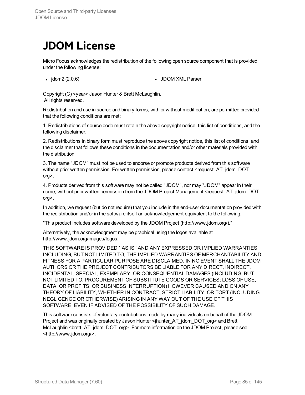# **JDOM License**

Micro Focus acknowledges the redistribution of the following open source component that is provided under the following license:

- 
- jdom2 (2.0.6) **lack in the set of the set of the set of the set of the set of the set of the set of the set of the set of the set of the set of the set of the set of the set of the set of the set of the set of the set of**

Copyright (C) <year> Jason Hunter & Brett McLaughlin. All rights reserved.

Redistribution and use in source and binary forms, with or without modification, are permitted provided that the following conditions are met:

1. Redistributions of source code must retain the above copyright notice, this list of conditions, and the following disclaimer.

2. Redistributions in binary form must reproduce the above copyright notice, this list of conditions, and the disclaimer that follows these conditions in the documentation and/or other materials provided with the distribution.

3. The name "JDOM" must not be used to endorse or promote products derived from this software without prior written permission. For written permission, please contact <request AT jdom\_DOT org>.

4. Products derived from this software may not be called "JDOM", nor may "JDOM" appear in their name, without prior written permission from the JDOM Project Management <request\_AT\_jdom\_DOT\_ org>.

In addition, we request (but do not require) that you include in the end-user documentation provided with the redistribution and/or in the software itself an acknowledgement equivalent to the following:

"This product includes software developed by the JDOM Project (http://www.jdom.org/)."

Alternatively, the acknowledgment may be graphical using the logos available at http://www.jdom.org/images/logos.

THIS SOFTWARE IS PROVIDED ``AS IS'' AND ANY EXPRESSED OR IMPLIED WARRANTIES, INCLUDING, BUT NOT LIMITED TO, THE IMPLIED WARRANTIES OF MERCHANTABILITY AND FITNESS FOR A PARTICULAR PURPOSE ARE DISCLAIMED. IN NO EVENT SHALL THE JDOM AUTHORS OR THE PROJECT CONTRIBUTORS BE LIABLE FOR ANY DIRECT, INDIRECT, INCIDENTAL, SPECIAL, EXEMPLARY, OR CONSEQUENTIAL DAMAGES (INCLUDING, BUT NOT LIMITED TO, PROCUREMENT OF SUBSTITUTE GOODS OR SERVICES; LOSS OF USE, DATA, OR PROFITS; OR BUSINESS INTERRUPTION) HOWEVER CAUSED AND ON ANY THEORY OF LIABILITY, WHETHER IN CONTRACT, STRICT LIABILITY, OR TORT (INCLUDING NEGLIGENCE OR OTHERWISE) ARISING IN ANY WAY OUT OF THE USE OF THIS SOFTWARE, EVEN IF ADVISED OF THE POSSIBILITY OF SUCH DAMAGE.

This software consists of voluntary contributions made by many individuals on behalf of the JDOM Project and was originally created by Jason Hunter <jhunter\_AT\_jdom\_DOT\_org> and Brett McLaughlin <br />brett\_AT\_jdom\_DOT\_org>. For more information on the JDOM Project, please see <http://www.jdom.org/>.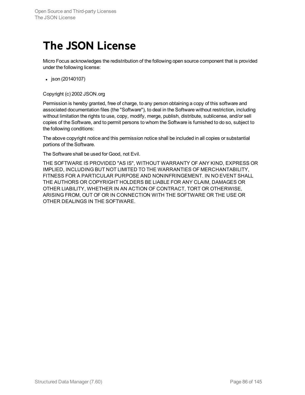# **The JSON License**

Micro Focus acknowledges the redistribution of the following open source component that is provided under the following license:

 $\bullet$  json (20140107)

Copyright (c) 2002 JSON.org

Permission is hereby granted, free of charge, to any person obtaining a copy of this software and associated documentation files (the "Software"), to deal in the Software without restriction, including without limitation the rights to use, copy, modify, merge, publish, distribute, sublicense, and/or sell copies of the Software, and to permit persons to whom the Software is furnished to do so, subject to the following conditions:

The above copyright notice and this permission notice shall be included in all copies or substantial portions of the Software.

The Software shall be used for Good, not Evil.

THE SOFTWARE IS PROVIDED "AS IS", WITHOUT WARRANTY OF ANY KIND, EXPRESS OR IMPLIED, INCLUDING BUT NOT LIMITED TO THE WARRANTIES OF MERCHANTABILITY, FITNESS FOR A PARTICULAR PURPOSE AND NONINFRINGEMENT. IN NO EVENT SHALL THE AUTHORS OR COPYRIGHT HOLDERS BE LIABLE FOR ANY CLAIM, DAMAGES OR OTHER LIABILITY, WHETHER IN AN ACTION OF CONTRACT, TORT OR OTHERWISE, ARISING FROM, OUT OF OR IN CONNECTION WITH THE SOFTWARE OR THE USE OR OTHER DEALINGS IN THE SOFTWARE.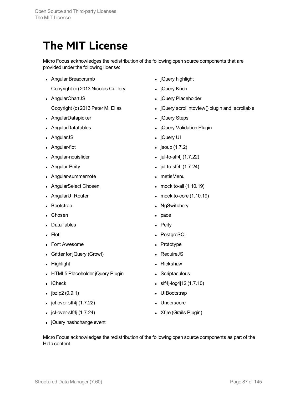# **The MIT License**

Micro Focus acknowledges the redistribution of the following open source components that are provided under the following license:

• Angular Breadcrumb

Copyright (c) 2013 Nicolas Cuillery

• AngularChartJS

Copyright (c) 2013 Peter M. Elias

- AngularDatapicker
- AngularDatatables
- AngularJS
- Angular-flot
- Angular-nouislider
- Angular-Peity
- Angular-summernote
- AngularSelect Chosen
- AngularUI Router
- Bootstrap
- Chosen
- DataTables
- <sup>l</sup> Flot
- Font Awesome
- Gritter for jQuery (Growl)
- Highlight
- HTML5 Placeholder jQuery Plugin
- iCheck
- $\bullet$  jbzip2 (0.9.1)
- $\bullet$  jcl-over-slf4j (1.7.22)
- $\bullet$  jcl-over-slf4j (1.7.24)
- jQuery hashchange event
- jQuery highlight
- jQuery Knob
- jQuery Placeholder
- jQuery scrollintoview() plugin and :scrollable
- jQuery Steps
- jQuery Validation Plugin
- jQuery UI
- $\bullet$  jsoup (1.7.2)
- $\bullet$  jul-to-slf4j (1.7.22)
- $\bullet$  jul-to-slf4j (1.7.24)
- $\bullet$  metisMenu
- $\bullet$  mockito-all  $(1.10.19)$
- $\bullet$  mockito-core  $(1.10.19)$
- NgSwitchery
- pace
- Peity
- PostgreSQL
- Prototype
- RequireJS
- Rickshaw
- Scriptaculous
- $\bullet$  slf4j-log4j12 (1.7.10)
- UIBootstrap
- Underscore
- Xfire (Grails Plugin)

Micro Focus acknowledges the redistribution of the following open source components as part of the Help content.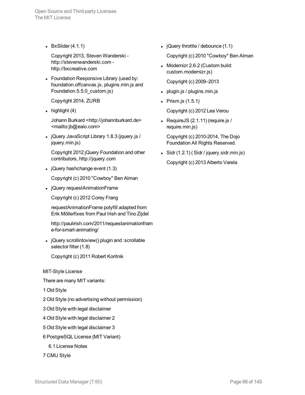$\bullet$  BxSlider (4.1.1)

Copyright 2013, Steven Wanderski http://stevenwanderski.com http://bxcreative.com

• Foundation Responsive Library (used by: foundation.offcanvas.js, plugins.min.js and Foundation.5.5.0\_custom.js)

Copyright 2014, ZURB

 $\bullet$  highlight  $(4)$ 

Johann Burkard <http://johannburkard.de> <mailto:jb@eaio.com>

• jQuery JavaScript Library 1.8.3 (jquery.js / jquery.min.js)

Copyright 2012 jQuery Foundation and other contributors, http://jquery.com

 $\bullet$  jQuery hashchange event (1.3)

Copyright (c) 2010 "Cowboy" Ben Alman

• jQuery requestAnimationFrame

Copyright (c) 2012 Corey Frang

requestAnimationFrame polyfill adapted from Erik Möllerfixes from Paul Irish and Tino Zijdel

http://paulirish.com/2011/requestanimationfram e-for-smart-animating/

• jQuery scrollintoview() plugin and :scrollable selector filter (1.8)

Copyright (c) 2011 Robert Koritnik

MIT-Style License

There are many MIT variants:

- 1 Old Style
- 2 Old Style (no advertising without permission)
- 3 Old Style with legal disclaimer
- 4 Old Style with legal disclaimer 2
- 5 Old Style with legal disclaimer 3
- 6 PostgreSQL License (MIT Variant)
	- 6.1 License Notes
- 7 CMU Style

• jQuery throttle / debounce  $(1.1)$ 

Copyright (c) 2010 "Cowboy" Ben Alman

• Modernizr 2.6.2 (Custom build: custom.modernizr.js)

Copyright (c) 2009–2013

- $\bullet$  plugin.js / plugins.min.js
- Prism.js  $(1.5.1)$

Copyright (c) 2012 Lea Verou

- RequireJS  $(2.1.11)$  (require.js / require.min.js)

Copyright (c) 2010-2014, The Dojo Foundation All Rights Reserved.

 $\bullet$  Sidr (1.2.1) (Sidr / jquery.sidr.min.js) Copyright (c) 2013 Alberto Varela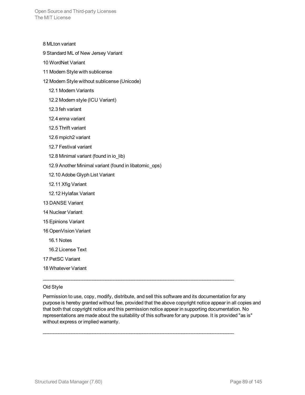Open Source and Third-party Licenses The MIT License

- 8 MLton variant
- 9 Standard ML of New Jersey Variant
- 10 WordNet Variant
- 11 Modern Style with sublicense
- 12 Modern Style without sublicense (Unicode)
	- 12.1 Modern Variants
	- 12.2 Modern style (ICU Variant)
	- 12.3 feh variant
	- 12.4 enna variant
	- 12.5 Thrift variant
	- 12.6 mpich2 variant
	- 12.7 Festival variant
	- 12.8 Minimal variant (found in io\_lib)
	- 12.9 Another Minimal variant (found in libatomic\_ops)
	- 12.10 Adobe Glyph List Variant
	- 12.11 Xfig Variant
	- 12.12 Hylafax Variant
- 13 DANSE Variant
- 14 Nuclear Variant
- 15 Epinions Variant
- 16 OpenVision Variant
	- 16.1 Notes
	- 16.2 License Text
- 17 PetSC Variant
- 18 Whatever Variant

#### Old Style

Permission to use, copy, modify, distribute, and sell this software and its documentation for any purpose is hereby granted without fee, provided that the above copyright notice appear in all copies and that both that copyright notice and this permission notice appear in supporting documentation. No representations are made about the suitability of this software for any purpose. It is provided "as is" without express or implied warranty.

\_\_\_\_\_\_\_\_\_\_\_\_\_\_\_\_\_\_\_\_\_\_\_\_\_\_\_\_\_\_\_\_\_\_\_\_\_\_\_\_\_\_\_\_\_\_\_\_\_\_\_\_\_\_\_\_\_\_\_\_\_\_\_\_\_\_\_\_\_\_\_\_\_

\_\_\_\_\_\_\_\_\_\_\_\_\_\_\_\_\_\_\_\_\_\_\_\_\_\_\_\_\_\_\_\_\_\_\_\_\_\_\_\_\_\_\_\_\_\_\_\_\_\_\_\_\_\_\_\_\_\_\_\_\_\_\_\_\_\_\_\_\_\_\_\_\_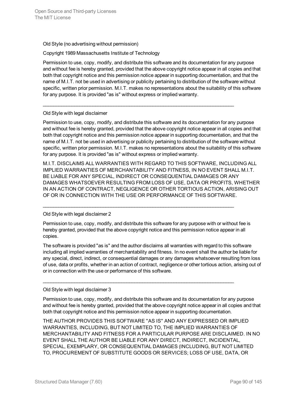Old Style (no advertising without permission)

Copyright 1989 Massachusetts Institute of Technology

Permission to use, copy, modify, and distribute this software and its documentation for any purpose and without fee is hereby granted, provided that the above copyright notice appear in all copies and that both that copyright notice and this permission notice appear in supporting documentation, and that the name of M.I.T. not be used in advertising or publicity pertaining to distribution of the software without specific, written prior permission. M.I.T. makes no representations about the suitability of this software for any purpose. It is provided "as is" without express or implied warranty.

\_\_\_\_\_\_\_\_\_\_\_\_\_\_\_\_\_\_\_\_\_\_\_\_\_\_\_\_\_\_\_\_\_\_\_\_\_\_\_\_\_\_\_\_\_\_\_\_\_\_\_\_\_\_\_\_\_\_\_\_\_\_\_\_\_\_\_\_\_\_\_\_\_

#### Old Style with legal disclaimer

Permission to use, copy, modify, and distribute this software and its documentation for any purpose and without fee is hereby granted, provided that the above copyright notice appear in all copies and that both that copyright notice and this permission notice appear in supporting documentation, and that the name of M.I.T. not be used in advertising or publicity pertaining to distribution of the software without specific, written prior permission. M.I.T. makes no representations about the suitability of this software for any purpose. It is provided "as is" without express or implied warranty.

M.I.T. DISCLAIMS ALL WARRANTIES WITH REGARD TO THIS SOFTWARE, INCLUDING ALL IMPLIED WARRANTIES OF MERCHANTABILITY AND FITNESS, IN NO EVENT SHALL M.I.T. BE LIABLE FOR ANY SPECIAL, INDIRECT OR CONSEQUENTIAL DAMAGES OR ANY DAMAGES WHATSOEVER RESULTING FROM LOSS OF USE, DATA OR PROFITS, WHETHER IN AN ACTION OF CONTRACT, NEGLIGENCE OR OTHER TORTIOUS ACTION, ARISING OUT OF OR IN CONNECTION WITH THE USE OR PERFORMANCE OF THIS SOFTWARE.

Old Style with legal disclaimer 2

Permission to use, copy, modify, and distribute this software for any purpose with or without fee is hereby granted, provided that the above copyright notice and this permission notice appear in all copies.

\_\_\_\_\_\_\_\_\_\_\_\_\_\_\_\_\_\_\_\_\_\_\_\_\_\_\_\_\_\_\_\_\_\_\_\_\_\_\_\_\_\_\_\_\_\_\_\_\_\_\_\_\_\_\_\_\_\_\_\_\_\_\_\_\_\_\_\_\_\_\_\_\_

\_\_\_\_\_\_\_\_\_\_\_\_\_\_\_\_\_\_\_\_\_\_\_\_\_\_\_\_\_\_\_\_\_\_\_\_\_\_\_\_\_\_\_\_\_\_\_\_\_\_\_\_\_\_\_\_\_\_\_\_\_\_\_\_\_\_\_\_\_\_\_\_\_

The software is provided "as is" and the author disclaims all warranties with regard to this software including all implied warranties of merchantability and fitness. In no event shall the author be liable for any special, direct, indirect, or consequential damages or any damages whatsoever resulting from loss of use, data or profits, whether in an action of contract, negligence or other tortious action, arising out of or in connection with the use or performance of this software.

#### Old Style with legal disclaimer 3

Permission to use, copy, modify, and distribute this software and its documentation for any purpose and without fee is hereby granted, provided that the above copyright notice appear in all copies and that both that copyright notice and this permission notice appear in supporting documentation.

THE AUTHOR PROVIDES THIS SOFTWARE ''AS IS'' AND ANY EXPRESSED OR IMPLIED WARRANTIES, INCLUDING, BUT NOT LIMITED TO, THE IMPLIED WARRANTIES OF MERCHANTABILITY AND FITNESS FOR A PARTICULAR PURPOSE ARE DISCLAIMED. IN NO EVENT SHALL THE AUTHOR BE LIABLE FOR ANY DIRECT, INDIRECT, INCIDENTAL, SPECIAL, EXEMPLARY, OR CONSEQUENTIAL DAMAGES (INCLUDING, BUT NOT LIMITED TO, PROCUREMENT OF SUBSTITUTE GOODS OR SERVICES; LOSS OF USE, DATA, OR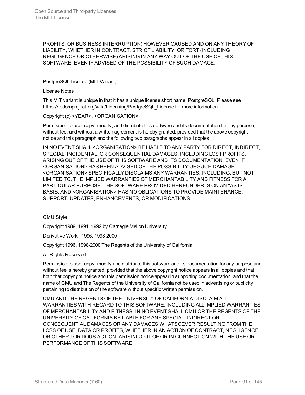PROFITS; OR BUSINESS INTERRUPTION) HOWEVER CAUSED AND ON ANY THEORY OF LIABILITY, WHETHER IN CONTRACT, STRICT LIABILITY, OR TORT (INCLUDING NEGLIGENCE OR OTHERWISE) ARISING IN ANY WAY OUT OF THE USE OF THIS SOFTWARE, EVEN IF ADVISED OF THE POSSIBILITY OF SUCH DAMAGE.

#### PostgreSQL License (MIT Variant)

License Notes

This MIT variant is unique in that it has a unique license short name: PostgreSQL. Please see https://fedoraproject.org/wiki/Licensing/PostgreSQL\_License for more information.

\_\_\_\_\_\_\_\_\_\_\_\_\_\_\_\_\_\_\_\_\_\_\_\_\_\_\_\_\_\_\_\_\_\_\_\_\_\_\_\_\_\_\_\_\_\_\_\_\_\_\_\_\_\_\_\_\_\_\_\_\_\_\_\_\_\_\_\_\_\_\_\_\_

Copyright (c) <YEAR>, <ORGANISATION>

Permission to use, copy, modify, and distribute this software and its documentation for any purpose, without fee, and without a written agreement is hereby granted, provided that the above copyright notice and this paragraph and the following two paragraphs appear in all copies.

IN NO EVENT SHALL <ORGANISATION> BE LIABLE TO ANY PARTY FOR DIRECT, INDIRECT, SPECIAL, INCIDENTAL, OR CONSEQUENTIAL DAMAGES, INCLUDING LOST PROFITS, ARISING OUT OF THE USE OF THIS SOFTWARE AND ITS DOCUMENTATION, EVEN IF <ORGANISATION> HAS BEEN ADVISED OF THE POSSIBILITY OF SUCH DAMAGE. <ORGANISATION> SPECIFICALLY DISCLAIMS ANY WARRANTIES, INCLUDING, BUT NOT LIMITED TO, THE IMPLIED WARRANTIES OF MERCHANTABILITY AND FITNESS FOR A PARTICULAR PURPOSE. THE SOFTWARE PROVIDED HEREUNDER IS ON AN "AS IS" BASIS, AND <ORGANISATION> HAS NO OBLIGATIONS TO PROVIDE MAINTENANCE, SUPPORT, UPDATES, ENHANCEMENTS, OR MODIFICATIONS.

\_\_\_\_\_\_\_\_\_\_\_\_\_\_\_\_\_\_\_\_\_\_\_\_\_\_\_\_\_\_\_\_\_\_\_\_\_\_\_\_\_\_\_\_\_\_\_\_\_\_\_\_\_\_\_\_\_\_\_\_\_\_\_\_\_\_\_\_\_\_\_\_\_

CMU Style

Copyright 1989, 1991, 1992 by Carnegie Mellon University

Derivative Work - 1996, 1998-2000

Copyright 1996, 1998-2000 The Regents of the University of California

All Rights Reserved

Permission to use, copy, modify and distribute this software and its documentation for any purpose and without fee is hereby granted, provided that the above copyright notice appears in all copies and that both that copyright notice and this permission notice appear in supporting documentation, and that the name of CMU and The Regents of the University of California not be used in advertising or publicity pertaining to distribution of the software without specific written permission.

CMU AND THE REGENTS OF THE UNIVERSITY OF CALIFORNIA DISCLAIM ALL WARRANTIES WITH REGARD TO THIS SOFTWARE, INCLUDING ALL IMPLIED WARRANTIES OF MERCHANTABILITY AND FITNESS. IN NO EVENT SHALL CMU OR THE REGENTS OF THE UNIVERSITY OF CALIFORNIA BE LIABLE FOR ANY SPECIAL, INDIRECT OR CONSEQUENTIAL DAMAGES OR ANY DAMAGES WHATSOEVER RESULTING FROM THE LOSS OF USE, DATA OR PROFITS, WHETHER IN AN ACTION OF CONTRACT, NEGLIGENCE OR OTHER TORTIOUS ACTION, ARISING OUT OF OR IN CONNECTION WITH THE USE OR PERFORMANCE OF THIS SOFTWARE.

\_\_\_\_\_\_\_\_\_\_\_\_\_\_\_\_\_\_\_\_\_\_\_\_\_\_\_\_\_\_\_\_\_\_\_\_\_\_\_\_\_\_\_\_\_\_\_\_\_\_\_\_\_\_\_\_\_\_\_\_\_\_\_\_\_\_\_\_\_\_\_\_\_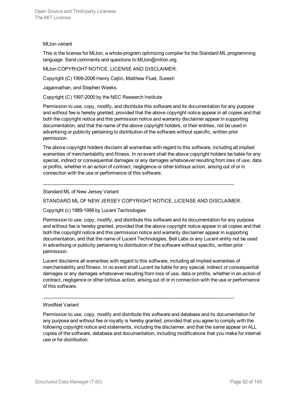#### MLton variant

This is the license for MLton, a whole-program optimizing compiler for the Standard ML programming language. Send comments and questions to MLton@mlton.org.

MLton COPYRIGHT NOTICE, LICENSE AND DISCLAIMER.

Copyright (C) 1999-2006 Henry Cejtin, Matthew Fluet, Suresh

Jagannathan, and Stephen Weeks.

Copyright (C) 1997-2000 by the NEC Research Institute

Permission to use, copy, modify, and distribute this software and its documentation for any purpose and without fee is hereby granted, provided that the above copyright notice appear in all copies and that both the copyright notice and this permission notice and warranty disclaimer appear in supporting documentation, and that the name of the above copyright holders, or their entities, not be used in advertising or publicity pertaining to distribution of the software without specific, written prior permission.

The above copyright holders disclaim all warranties with regard to this software, including all implied warranties of merchantability and fitness. In no event shall the above copyright holders be liable for any special, indirect or consequential damages or any damages whatsoever resulting from loss of use, data or profits, whether in an action of contract, negligence or other tortious action, arising out of or in connection with the use or performance of this software.

Standard ML of New Jersey Variant

STANDARD ML OF NEW JERSEY COPYRIGHT NOTICE, LICENSE AND DISCLAIMER.

\_\_\_\_\_\_\_\_\_\_\_\_\_\_\_\_\_\_\_\_\_\_\_\_\_\_\_\_\_\_\_\_\_\_\_\_\_\_\_\_\_\_\_\_\_\_\_\_\_\_\_\_\_\_\_\_\_\_\_\_\_\_\_\_\_\_\_\_\_\_\_\_\_

Copyright (c) 1989-1998 by Lucent Technologies

Permission to use, copy, modify, and distribute this software and its documentation for any purpose and without fee is hereby granted, provided that the above copyright notice appear in all copies and that both the copyright notice and this permission notice and warranty disclaimer appear in supporting documentation, and that the name of Lucent Technologies, Bell Labs or any Lucent entity not be used in advertising or publicity pertaining to distribution of the software without specific, written prior permission.

Lucent disclaims all warranties with regard to this software, including all implied warranties of merchantability and fitness. In no event shall Lucent be liable for any special, indirect or consequential damages or any damages whatsoever resulting from loss of use, data or profits, whether in an action of contract, negligence or other tortious action, arising out of or in connection with the use or performance of this software.

\_\_\_\_\_\_\_\_\_\_\_\_\_\_\_\_\_\_\_\_\_\_\_\_\_\_\_\_\_\_\_\_\_\_\_\_\_\_\_\_\_\_\_\_\_\_\_\_\_\_\_\_\_\_\_\_\_\_\_\_\_\_\_\_\_\_\_\_\_\_\_\_\_

#### WordNet Variant

Permission to use, copy, modify and distribute this software and database and its documentation for any purpose and without fee or royalty is hereby granted, provided that you agree to comply with the following copyright notice and statements, including the disclaimer, and that the same appear on ALL copies of the software, database and documentation, including modifications that you make for internal use or for distribution.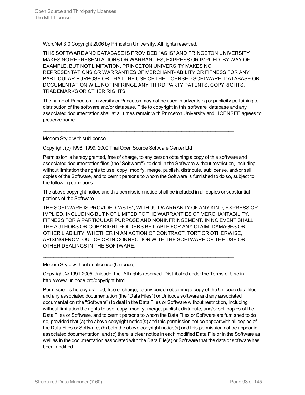WordNet 3.0 Copyright 2006 by Princeton University. All rights reserved.

THIS SOFTWARE AND DATABASE IS PROVIDED "AS IS" AND PRINCETON UNIVERSITY MAKES NO REPRESENTATIONS OR WARRANTIES, EXPRESS OR IMPLIED. BY WAY OF EXAMPLE, BUT NOT LIMITATION, PRINCETON UNIVERSITY MAKES NO REPRESENTATIONS OR WARRANTIES OF MERCHANT- ABILITY OR FITNESS FOR ANY PARTICULAR PURPOSE OR THAT THE USE OF THE LICENSED SOFTWARE, DATABASE OR DOCUMENTATION WILL NOT INFRINGE ANY THIRD PARTY PATENTS, COPYRIGHTS, TRADEMARKS OR OTHER RIGHTS.

The name of Princeton University or Princeton may not be used in advertising or publicity pertaining to distribution of the software and/or database. Title to copyright in this software, database and any associated documentation shall at all times remain with Princeton University and LICENSEE agrees to preserve same.

\_\_\_\_\_\_\_\_\_\_\_\_\_\_\_\_\_\_\_\_\_\_\_\_\_\_\_\_\_\_\_\_\_\_\_\_\_\_\_\_\_\_\_\_\_\_\_\_\_\_\_\_\_\_\_\_\_\_\_\_\_\_\_\_\_\_\_\_\_\_\_\_\_

#### Modern Style with sublicense

Copyright (c) 1998, 1999, 2000 Thai Open Source Software Center Ltd

Permission is hereby granted, free of charge, to any person obtaining a copy of this software and associated documentation files (the "Software"), to deal in the Software without restriction, including without limitation the rights to use, copy, modify, merge, publish, distribute, sublicense, and/or sell copies of the Software, and to permit persons to whom the Software is furnished to do so, subject to the following conditions:

The above copyright notice and this permission notice shall be included in all copies or substantial portions of the Software.

THE SOFTWARE IS PROVIDED "AS IS", WITHOUT WARRANTY OF ANY KIND, EXPRESS OR IMPLIED, INCLUDING BUT NOT LIMITED TO THE WARRANTIES OF MERCHANTABILITY, FITNESS FOR A PARTICULAR PURPOSE AND NONINFRINGEMENT. IN NO EVENT SHALL THE AUTHORS OR COPYRIGHT HOLDERS BE LIABLE FOR ANY CLAIM, DAMAGES OR OTHER LIABILITY, WHETHER IN AN ACTION OF CONTRACT, TORT OR OTHERWISE, ARISING FROM, OUT OF OR IN CONNECTION WITH THE SOFTWARE OR THE USE OR OTHER DEALINGS IN THE SOFTWARE.

#### Modern Style without sublicense (Unicode)

Copyright © 1991-2005 Unicode, Inc. All rights reserved. Distributed under the Terms of Use in http://www.unicode.org/copyright.html.

\_\_\_\_\_\_\_\_\_\_\_\_\_\_\_\_\_\_\_\_\_\_\_\_\_\_\_\_\_\_\_\_\_\_\_\_\_\_\_\_\_\_\_\_\_\_\_\_\_\_\_\_\_\_\_\_\_\_\_\_\_\_\_\_\_\_\_\_\_\_\_\_\_

Permission is hereby granted, free of charge, to any person obtaining a copy of the Unicode data files and any associated documentation (the "Data Files") or Unicode software and any associated documentation (the "Software") to deal in the Data Files or Software without restriction, including without limitation the rights to use, copy, modify, merge, publish, distribute, and/or sell copies of the Data Files or Software, and to permit persons to whom the Data Files or Software are furnished to do so, provided that (a) the above copyright notice(s) and this permission notice appear with all copies of the Data Files or Software, (b) both the above copyright notice(s) and this permission notice appear in associated documentation, and (c) there is clear notice in each modified Data File or in the Software as well as in the documentation associated with the Data File(s) or Software that the data or software has been modified.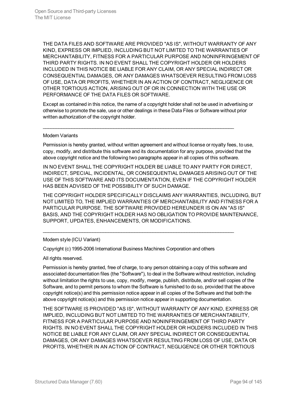THE DATA FILES AND SOFTWARE ARE PROVIDED "AS IS", WITHOUT WARRANTY OF ANY KIND, EXPRESS OR IMPLIED, INCLUDING BUT NOT LIMITED TO THE WARRANTIES OF MERCHANTABILITY, FITNESS FOR A PARTICULAR PURPOSE AND NONINFRINGEMENT OF THIRD PARTY RIGHTS. IN NO EVENT SHALL THE COPYRIGHT HOLDER OR HOLDERS INCLUDED IN THIS NOTICE BE LIABLE FOR ANY CLAIM, OR ANY SPECIAL INDIRECT OR CONSEQUENTIAL DAMAGES, OR ANY DAMAGES WHATSOEVER RESULTING FROM LOSS OF USE, DATA OR PROFITS, WHETHER IN AN ACTION OF CONTRACT, NEGLIGENCE OR OTHER TORTIOUS ACTION, ARISING OUT OF OR IN CONNECTION WITH THE USE OR PERFORMANCE OF THE DATA FILES OR SOFTWARE.

Except as contained in this notice, the name of a copyright holder shall not be used in advertising or otherwise to promote the sale, use or other dealings in these Data Files or Software without prior written authorization of the copyright holder.

\_\_\_\_\_\_\_\_\_\_\_\_\_\_\_\_\_\_\_\_\_\_\_\_\_\_\_\_\_\_\_\_\_\_\_\_\_\_\_\_\_\_\_\_\_\_\_\_\_\_\_\_\_\_\_\_\_\_\_\_\_\_\_\_\_\_\_\_\_\_\_\_\_

#### Modern Variants

Permission is hereby granted, without written agreement and without license or royalty fees, to use, copy, modify, and distribute this software and its documentation for any purpose, provided that the above copyright notice and the following two paragraphs appear in all copies of this software.

IN NO EVENT SHALL THE COPYRIGHT HOLDER BE LIABLE TO ANY PARTY FOR DIRECT, INDIRECT, SPECIAL, INCIDENTAL, OR CONSEQUENTIAL DAMAGES ARISING OUT OF THE USE OF THIS SOFTWARE AND ITS DOCUMENTATION, EVEN IF THE COPYRIGHT HOLDER HAS BEEN ADVISED OF THE POSSIBILITY OF SUCH DAMAGE.

THE COPYRIGHT HOLDER SPECIFICALLY DISCLAIMS ANY WARRANTIES, INCLUDING, BUT NOT LIMITED TO, THE IMPLIED WARRANTIES OF MERCHANTABILITY AND FITNESS FOR A PARTICULAR PURPOSE. THE SOFTWARE PROVIDED HEREUNDER IS ON AN "AS IS" BASIS, AND THE COPYRIGHT HOLDER HAS NO OBLIGATION TO PROVIDE MAINTENANCE, SUPPORT, UPDATES, ENHANCEMENTS, OR MODIFICATIONS.

Modern style (ICU Variant)

Copyright (c) 1995-2006 International Business Machines Corporation and others

\_\_\_\_\_\_\_\_\_\_\_\_\_\_\_\_\_\_\_\_\_\_\_\_\_\_\_\_\_\_\_\_\_\_\_\_\_\_\_\_\_\_\_\_\_\_\_\_\_\_\_\_\_\_\_\_\_\_\_\_\_\_\_\_\_\_\_\_\_\_\_\_\_

All rights reserved.

Permission is hereby granted, free of charge, to any person obtaining a copy of this software and associated documentation files (the "Software"), to deal in the Software without restriction, including without limitation the rights to use, copy, modify, merge, publish, distribute, and/or sell copies of the Software, and to permit persons to whom the Software is furnished to do so, provided that the above copyright notice(s) and this permission notice appear in all copies of the Software and that both the above copyright notice(s) and this permission notice appear in supporting documentation.

THE SOFTWARE IS PROVIDED "AS IS", WITHOUT WARRANTY OF ANY KIND, EXPRESS OR IMPLIED, INCLUDING BUT NOT LIMITED TO THE WARRANTIES OF MERCHANTABILITY, FITNESS FOR A PARTICULAR PURPOSE AND NONINFRINGEMENT OF THIRD PARTY RIGHTS. IN NO EVENT SHALL THE COPYRIGHT HOLDER OR HOLDERS INCLUDED IN THIS NOTICE BE LIABLE FOR ANY CLAIM, OR ANY SPECIAL INDIRECT OR CONSEQUENTIAL DAMAGES, OR ANY DAMAGES WHATSOEVER RESULTING FROM LOSS OF USE, DATA OR PROFITS, WHETHER IN AN ACTION OF CONTRACT, NEGLIGENCE OR OTHER TORTIOUS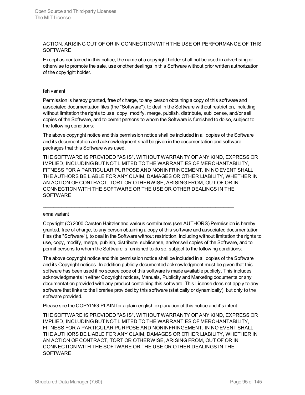ACTION, ARISING OUT OF OR IN CONNECTION WITH THE USE OR PERFORMANCE OF THIS SOFTWARE.

Except as contained in this notice, the name of a copyright holder shall not be used in advertising or otherwise to promote the sale, use or other dealings in this Software without prior written authorization of the copyright holder.

\_\_\_\_\_\_\_\_\_\_\_\_\_\_\_\_\_\_\_\_\_\_\_\_\_\_\_\_\_\_\_\_\_\_\_\_\_\_\_\_\_\_\_\_\_\_\_\_\_\_\_\_\_\_\_\_\_\_\_\_\_\_\_\_\_\_\_\_\_\_\_\_\_

#### feh variant

Permission is hereby granted, free of charge, to any person obtaining a copy of this software and associated documentation files (the "Software"), to deal in the Software without restriction, including without limitation the rights to use, copy, modify, merge, publish, distribute, sublicense, and/or sell copies of the Software, and to permit persons to whom the Software is furnished to do so, subject to the following conditions:

The above copyright notice and this permission notice shall be included in all copies of the Software and its documentation and acknowledgment shall be given in the documentation and software packages that this Software was used.

THE SOFTWARE IS PROVIDED "AS IS", WITHOUT WARRANTY OF ANY KIND, EXPRESS OR IMPLIED, INCLUDING BUT NOT LIMITED TO THE WARRANTIES OF MERCHANTABILITY, FITNESS FOR A PARTICULAR PURPOSE AND NONINFRINGEMENT. IN NO EVENT SHALL THE AUTHORS BE LIABLE FOR ANY CLAIM, DAMAGES OR OTHER LIABILITY, WHETHER IN AN ACTION OF CONTRACT, TORT OR OTHERWISE, ARISING FROM, OUT OF OR IN CONNECTION WITH THE SOFTWARE OR THE USE OR OTHER DEALINGS IN THE SOFTWARE.

\_\_\_\_\_\_\_\_\_\_\_\_\_\_\_\_\_\_\_\_\_\_\_\_\_\_\_\_\_\_\_\_\_\_\_\_\_\_\_\_\_\_\_\_\_\_\_\_\_\_\_\_\_\_\_\_\_\_\_\_\_\_\_\_\_\_\_\_\_\_\_\_\_

#### enna variant

Copyright (C) 2000 Carsten Haitzler and various contributors (see AUTHORS) Permission is hereby granted, free of charge, to any person obtaining a copy of this software and associated documentation files (the "Software"), to deal in the Software without restriction, including without limitation the rights to use, copy, modify, merge, publish, distribute, sublicense, and/or sell copies of the Software, and to permit persons to whom the Software is furnished to do so, subject to the following conditions:

The above copyright notice and this permission notice shall be included in all copies of the Software and its Copyright notices. In addition publicly documented acknowledgment must be given that this software has been used if no source code of this software is made available publicly. This includes acknowledgments in either Copyright notices, Manuals, Publicity and Marketing documents or any documentation provided with any product containing this software. This License does not apply to any software that links to the libraries provided by this software (statically or dynamically), but only to the software provided.

Please see the COPYING.PLAIN for a plain-english explanation of this notice and it's intent.

THE SOFTWARE IS PROVIDED "AS IS", WITHOUT WARRANTY OF ANY KIND, EXPRESS OR IMPLIED, INCLUDING BUT NOT LIMITED TO THE WARRANTIES OF MERCHANTABILITY, FITNESS FOR A PARTICULAR PURPOSE AND NONINFRINGEMENT. IN NO EVENT SHALL THE AUTHORS BE LIABLE FOR ANY CLAIM, DAMAGES OR OTHER LIABILITY, WHETHER IN AN ACTION OF CONTRACT, TORT OR OTHERWISE, ARISING FROM, OUT OF OR IN CONNECTION WITH THE SOFTWARE OR THE USE OR OTHER DEALINGS IN THE SOFTWARE.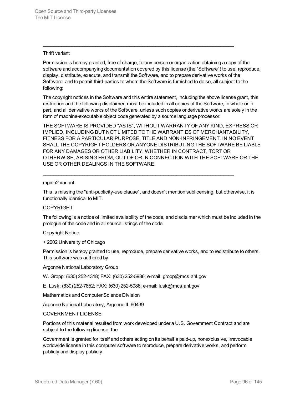#### Thrift variant

Permission is hereby granted, free of charge, to any person or organization obtaining a copy of the software and accompanying documentation covered by this license (the "Software") to use, reproduce, display, distribute, execute, and transmit the Software, and to prepare derivative works of the Software, and to permit third-parties to whom the Software is furnished to do so, all subject to the following:

\_\_\_\_\_\_\_\_\_\_\_\_\_\_\_\_\_\_\_\_\_\_\_\_\_\_\_\_\_\_\_\_\_\_\_\_\_\_\_\_\_\_\_\_\_\_\_\_\_\_\_\_\_\_\_\_\_\_\_\_\_\_\_\_\_\_\_\_\_\_\_\_\_

The copyright notices in the Software and this entire statement, including the above license grant, this restriction and the following disclaimer, must be included in all copies of the Software, in whole or in part, and all derivative works of the Software, unless such copies or derivative works are solely in the form of machine-executable object code generated by a source language processor.

THE SOFTWARE IS PROVIDED "AS IS", WITHOUT WARRANTY OF ANY KIND, EXPRESS OR IMPLIED, INCLUDING BUT NOT LIMITED TO THE WARRANTIES OF MERCHANTABILITY, FITNESS FOR A PARTICULAR PURPOSE, TITLE AND NON-INFRINGEMENT. IN NO EVENT SHALL THE COPYRIGHT HOLDERS OR ANYONE DISTRIBUTING THE SOFTWARE BE LIABLE FOR ANY DAMAGES OR OTHER LIABILITY, WHETHER IN CONTRACT, TORT OR OTHERWISE, ARISING FROM, OUT OF OR IN CONNECTION WITH THE SOFTWARE OR THE USE OR OTHER DEALINGS IN THE SOFTWARE.

#### mpich2 variant

This is missing the "anti-publicity-use clause", and doesn't mention sublicensing, but otherwise, it is functionally identical to MIT.

\_\_\_\_\_\_\_\_\_\_\_\_\_\_\_\_\_\_\_\_\_\_\_\_\_\_\_\_\_\_\_\_\_\_\_\_\_\_\_\_\_\_\_\_\_\_\_\_\_\_\_\_\_\_\_\_\_\_\_\_\_\_\_\_\_\_\_\_\_\_\_\_\_

#### COPYRIGHT

The following is a notice of limited availability of the code, and disclaimer which must be included in the prologue of the code and in all source listings of the code.

#### Copyright Notice

+ 2002 University of Chicago

Permission is hereby granted to use, reproduce, prepare derivative works, and to redistribute to others. This software was authored by:

Argonne National Laboratory Group

W. Gropp: (630) 252-4318; FAX: (630) 252-5986; e-mail: gropp@mcs.anl.gov

E. Lusk: (630) 252-7852; FAX: (630) 252-5986; e-mail: lusk@mcs.anl.gov

Mathematics and Computer Science Division

Argonne National Laboratory, Argonne IL 60439

GOVERNMENT LICENSE

Portions of this material resulted from work developed under a U.S. Government Contract and are subject to the following license: the

Government is granted for itself and others acting on its behalf a paid-up, nonexclusive, irrevocable worldwide license in this computer software to reproduce, prepare derivative works, and perform publicly and display publicly.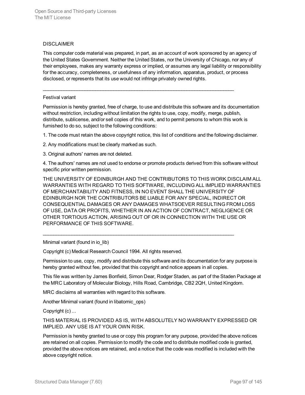#### DISCLAIMER

This computer code material was prepared, in part, as an account of work sponsored by an agency of the United States Government. Neither the United States, nor the University of Chicago, nor any of their employees, makes any warranty express or implied, or assumes any legal liability or responsibility for the accuracy, completeness, or usefulness of any information, apparatus, product, or process disclosed, or represents that its use would not infringe privately owned rights.

\_\_\_\_\_\_\_\_\_\_\_\_\_\_\_\_\_\_\_\_\_\_\_\_\_\_\_\_\_\_\_\_\_\_\_\_\_\_\_\_\_\_\_\_\_\_\_\_\_\_\_\_\_\_\_\_\_\_\_\_\_\_\_\_\_\_\_\_\_\_\_\_\_

#### Festival variant

Permission is hereby granted, free of charge, to use and distribute this software and its documentation without restriction, including without limitation the rights to use, copy, modify, merge, publish, distribute, sublicense, and/or sell copies of this work, and to permit persons to whom this work is furnished to do so, subject to the following conditions:

1. The code must retain the above copyright notice, this list of conditions and the following disclaimer.

2. Any modifications must be clearly marked as such.

3. Original authors' names are not deleted.

4. The authors' names are not used to endorse or promote products derived from this software without specific prior written permission.

THE UNIVERSITY OF EDINBURGH AND THE CONTRIBUTORS TO THIS WORK DISCLAIM ALL WARRANTIES WITH REGARD TO THIS SOFTWARE, INCLUDING ALL IMPLIED WARRANTIES OF MERCHANTABILITY AND FITNESS, IN NO EVENT SHALL THE UNIVERSITY OF EDINBURGH NOR THE CONTRIBUTORS BE LIABLE FOR ANY SPECIAL, INDIRECT OR CONSEQUENTIAL DAMAGES OR ANY DAMAGES WHATSOEVER RESULTING FROM LOSS OF USE, DATA OR PROFITS, WHETHER IN AN ACTION OF CONTRACT, NEGLIGENCE OR OTHER TORTIOUS ACTION, ARISING OUT OF OR IN CONNECTION WITH THE USE OR PERFORMANCE OF THIS SOFTWARE.

Minimal variant (found in io lib)

Copyright (c) Medical Research Council 1994. All rights reserved.

Permission to use, copy, modify and distribute this software and its documentation for any purpose is hereby granted without fee, provided that this copyright and notice appears in all copies.

\_\_\_\_\_\_\_\_\_\_\_\_\_\_\_\_\_\_\_\_\_\_\_\_\_\_\_\_\_\_\_\_\_\_\_\_\_\_\_\_\_\_\_\_\_\_\_\_\_\_\_\_\_\_\_\_\_\_\_\_\_\_\_\_\_\_\_\_\_\_\_\_\_

This file was written by James Bonfield, Simon Dear, Rodger Staden, as part of the Staden Package at the MRC Laboratory of Molecular Biology, Hills Road, Cambridge, CB2 2QH, United Kingdom.

MRC disclaims all warranties with regard to this software.

Another Minimal variant (found in libatomic\_ops)

Copyright (c) ...

THIS MATERIAL IS PROVIDED AS IS, WITH ABSOLUTELY NO WARRANTY EXPRESSED OR IMPLIED. ANY USE IS AT YOUR OWN RISK.

Permission is hereby granted to use or copy this program for any purpose, provided the above notices are retained on all copies. Permission to modify the code and to distribute modified code is granted, provided the above notices are retained, and a notice that the code was modified is included with the above copyright notice.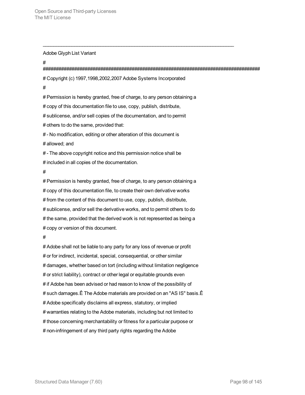#### Adobe Glyph List Variant

#### #

###################################################################################

\_\_\_\_\_\_\_\_\_\_\_\_\_\_\_\_\_\_\_\_\_\_\_\_\_\_\_\_\_\_\_\_\_\_\_\_\_\_\_\_\_\_\_\_\_\_\_\_\_\_\_\_\_\_\_\_\_\_\_\_\_\_\_\_\_\_\_\_\_\_\_\_\_

# Copyright (c) 1997,1998,2002,2007 Adobe Systems Incorporated

#

# Permission is hereby granted, free of charge, to any person obtaining a # copy of this documentation file to use, copy, publish, distribute, # sublicense, and/or sell copies of the documentation, and to permit # others to do the same, provided that:

# - No modification, editing or other alteration of this document is

# allowed; and

# - The above copyright notice and this permission notice shall be # included in all copies of the documentation.

#### #

# Permission is hereby granted, free of charge, to any person obtaining a # copy of this documentation file, to create their own derivative works # from the content of this document to use, copy, publish, distribute, # sublicense, and/or sell the derivative works, and to permit others to do # the same, provided that the derived work is not represented as being a # copy or version of this document.

#### #

# Adobe shall not be liable to any party for any loss of revenue or profit # or for indirect, incidental, special, consequential, or other similar # damages, whether based on tort (including without limitation negligence # or strict liability), contract or other legal or equitable grounds even # if Adobe has been advised or had reason to know of the possibility of # such damages.Ê The Adobe materials are provided on an "AS IS" basis.Ê # Adobe specifically disclaims all express, statutory, or implied # warranties relating to the Adobe materials, including but not limited to # those concerning merchantability or fitness for a particular purpose or # non-infringement of any third party rights regarding the Adobe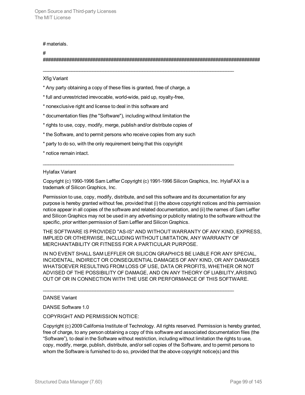#### # materials.

#

###################################################################################

\_\_\_\_\_\_\_\_\_\_\_\_\_\_\_\_\_\_\_\_\_\_\_\_\_\_\_\_\_\_\_\_\_\_\_\_\_\_\_\_\_\_\_\_\_\_\_\_\_\_\_\_\_\_\_\_\_\_\_\_\_\_\_\_\_\_\_\_\_\_\_\_\_

# Xfig Variant

- \* Any party obtaining a copy of these files is granted, free of charge, a
- \* full and unrestricted irrevocable, world-wide, paid up, royalty-free,
- \* nonexclusive right and license to deal in this software and
- \* documentation files (the "Software"), including without limitation the
- \* rights to use, copy, modify, merge, publish and/or distribute copies of
- \* the Software, and to permit persons who receive copies from any such
- \* party to do so, with the only requirement being that this copyright
- \* notice remain intact.

#### Hylafax Variant

Copyright (c) 1990-1996 Sam Leffler Copyright (c) 1991-1996 Silicon Graphics, Inc. HylaFAX is a trademark of Silicon Graphics, Inc.

\_\_\_\_\_\_\_\_\_\_\_\_\_\_\_\_\_\_\_\_\_\_\_\_\_\_\_\_\_\_\_\_\_\_\_\_\_\_\_\_\_\_\_\_\_\_\_\_\_\_\_\_\_\_\_\_\_\_\_\_\_\_\_\_\_\_\_\_\_\_\_\_\_

Permission to use, copy, modify, distribute, and sell this software and its documentation for any purpose is hereby granted without fee, provided that (i) the above copyright notices and this permission notice appear in all copies of the software and related documentation, and (ii) the names of Sam Leffler and Silicon Graphics may not be used in any advertising or publicity relating to the software without the specific, prior written permission of Sam Leffler and Silicon Graphics.

THE SOFTWARE IS PROVIDED "AS-IS" AND WITHOUT WARRANTY OF ANY KIND, EXPRESS, IMPLIED OR OTHERWISE, INCLUDING WITHOUT LIMITATION, ANY WARRANTY OF MERCHANTABILITY OR FITNESS FOR A PARTICULAR PURPOSE.

IN NO EVENT SHALL SAM LEFFLER OR SILICON GRAPHICS BE LIABLE FOR ANY SPECIAL, INCIDENTAL, INDIRECT OR CONSEQUENTIAL DAMAGES OF ANY KIND, OR ANY DAMAGES WHATSOEVER RESULTING FROM LOSS OF USE, DATA OR PROFITS, WHETHER OR NOT ADVISED OF THE POSSIBILITY OF DAMAGE, AND ON ANY THEORY OF LIABILITY,ARISING OUT OF OR IN CONNECTION WITH THE USE OR PERFORMANCE OF THIS SOFTWARE.

\_\_\_\_\_\_\_\_\_\_\_\_\_\_\_\_\_\_\_\_\_\_\_\_\_\_\_\_\_\_\_\_\_\_\_\_\_\_\_\_\_\_\_\_\_\_\_\_\_\_\_\_\_\_\_\_\_\_\_\_\_\_\_\_\_\_\_\_\_\_\_\_\_

#### DANSE Variant

#### DANSE Software 1.0

#### COPYRIGHT AND PERMISSION NOTICE:

Copyright (c) 2009 California Institute of Technology. All rights reserved. Permission is hereby granted, free of charge, to any person obtaining a copy of this software and associated documentation files (the "Software"), to deal in the Software without restriction, including without limitation the rights to use, copy, modify, merge, publish, distribute, and/or sell copies of the Software, and to permit persons to whom the Software is furnished to do so, provided that the above copyright notice(s) and this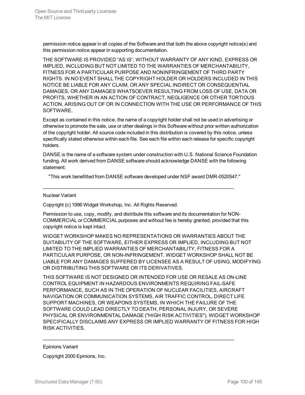permission notice appear in all copies of the Software and that both the above copyright notice(s) and this permission notice appear in supporting documentation.

THE SOFTWARE IS PROVIDED "AS IS", WITHOUT WARRANTY OF ANY KIND, EXPRESS OR IMPLIED, INCLUDING BUT NOT LIMITED TO THE WARRANTIES OF MERCHANTABILITY, FITNESS FOR A PARTICULAR PURPOSE AND NONINFRINGEMENT OF THIRD PARTY RIGHTS. IN NO EVENT SHALL THE COPYRIGHT HOLDER OR HOLDERS INCLUDED IN THIS NOTICE BE LIABLE FOR ANY CLAIM, OR ANY SPECIAL INDIRECT OR CONSEQUENTIAL DAMAGES, OR ANY DAMAGES WHATSOEVER RESULTING FROM LOSS OF USE, DATA OR PROFITS, WHETHER IN AN ACTION OF CONTRACT, NEGLIGENCE OR OTHER TORTIOUS ACTION, ARISING OUT OF OR IN CONNECTION WITH THE USE OR PERFORMANCE OF THIS SOFTWARE.

Except as contained in this notice, the name of a copyright holder shall not be used in advertising or otherwise to promote the sale, use or other dealings in this Software without prior written authorization of the copyright holder. All source code included in this distribution is covered by this notice, unless specifically stated otherwise within each file. See each file within each release for specific copyright holders.

DANSE is the name of a software system under construction with U.S. National Science Foundation funding. All work derived from DANSE software should acknowledge DANSE with the following statement:

"This work benefitted from DANSE software developed under NSF award DMR-0520547."

\_\_\_\_\_\_\_\_\_\_\_\_\_\_\_\_\_\_\_\_\_\_\_\_\_\_\_\_\_\_\_\_\_\_\_\_\_\_\_\_\_\_\_\_\_\_\_\_\_\_\_\_\_\_\_\_\_\_\_\_\_\_\_\_\_\_\_\_\_\_\_\_\_

#### Nuclear Variant

Copyright (c) 1996 Widget Workshop, Inc. All Rights Reserved.

Permission to use, copy, modify, and distribute this software and its documentation for NON-COMMERCIAL or COMMERCIAL purposes and without fee is hereby granted, provided that this copyright notice is kept intact.

WIDGET WORKSHOP MAKES NO REPRESENTATIONS OR WARRANTIES ABOUT THE SUITABILITY OF THE SOFTWARE, EITHER EXPRESS OR IMPLIED, INCLUDING BUT NOT LIMITED TO THE IMPLIED WARRANTIES OF MERCHANTABILITY, FITNESS FOR A PARTICULAR PURPOSE, OR NON-INFRINGEMENT. WIDGET WORKSHOP SHALL NOT BE LIABLE FOR ANY DAMAGES SUFFERED BY LICENSEE AS A RESULT OF USING, MODIFYING OR DISTRIBUTING THIS SOFTWARE OR ITS DERIVATIVES.

THIS SOFTWARE IS NOT DESIGNED OR INTENDED FOR USE OR RESALE AS ON-LINE CONTROL EQUIPMENT IN HAZARDOUS ENVIRONMENTS REQUIRING FAIL-SAFE PERFORMANCE, SUCH AS IN THE OPERATION OF NUCLEAR FACILITIES, AIRCRAFT NAVIGATION OR COMMUNICATION SYSTEMS, AIR TRAFFIC CONTROL, DIRECT LIFE SUPPORT MACHINES, OR WEAPONS SYSTEMS, IN WHICH THE FAILURE OF THE SOFTWARE COULD LEAD DIRECTLY TO DEATH, PERSONAL INJURY, OR SEVERE PHYSICAL OR ENVIRONMENTAL DAMAGE ("HIGH RISK ACTIVITIES"). WIDGET WORKSHOP SPECIFICALLY DISCLAIMS ANY EXPRESS OR IMPLIED WARRANTY OF FITNESS FOR HIGH RISK ACTIVITIES.

\_\_\_\_\_\_\_\_\_\_\_\_\_\_\_\_\_\_\_\_\_\_\_\_\_\_\_\_\_\_\_\_\_\_\_\_\_\_\_\_\_\_\_\_\_\_\_\_\_\_\_\_\_\_\_\_\_\_\_\_\_\_\_\_\_\_\_\_\_\_\_\_\_

Epinions Variant

Copyright 2000 Epinions, Inc.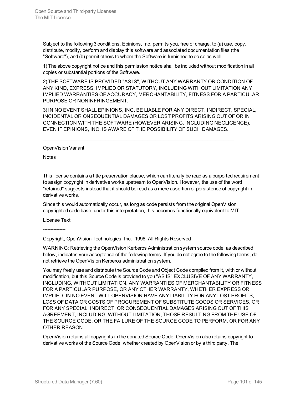Subject to the following 3 conditions, Epinions, Inc. permits you, free of charge, to (a) use, copy, distribute, modify, perform and display this software and associated documentation files (the "Software"), and (b) permit others to whom the Software is furnished to do so as well.

1) The above copyright notice and this permission notice shall be included without modification in all copies or substantial portions of the Software.

2) THE SOFTWARE IS PROVIDED "AS IS", WITHOUT ANY WARRANTY OR CONDITION OF ANY KIND, EXPRESS, IMPLIED OR STATUTORY, INCLUDING WITHOUT LIMITATION ANY IMPLIED WARRANTIES OF ACCURACY, MERCHANTABILITY, FITNESS FOR A PARTICULAR PURPOSE OR NONINFRINGEMENT.

3) IN NO EVENT SHALL EPINIONS, INC. BE LIABLE FOR ANY DIRECT, INDIRECT, SPECIAL, INCIDENTAL OR ONSEQUENTIAL DAMAGES OR LOST PROFITS ARISING OUT OF OR IN CONNECTION WITH THE SOFTWARE (HOWEVER ARISING, INCLUDING NEGLIGENCE), EVEN IF EPINIONS, INC. IS AWARE OF THE POSSIBILITY OF SUCH DAMAGES.

\_\_\_\_\_\_\_\_\_\_\_\_\_\_\_\_\_\_\_\_\_\_\_\_\_\_\_\_\_\_\_\_\_\_\_\_\_\_\_\_\_\_\_\_\_\_\_\_\_\_\_\_\_\_\_\_\_\_\_\_\_\_\_\_\_\_\_\_\_\_\_\_\_

#### OpenVision Variant

Notes

-------

This license contains a title preservation clause, which can literally be read as a purported requirement to assign copyright in derivative works upstream to OpenVision. However, the use of the word "retained" suggests instead that it should be read as a mere assertion of persistence of copyright in derivative works.

Since this would automatically occur, as long as code persists from the original OpenVision copyrighted code base, under this interpretation, this becomes functionally equivalent to MIT.

License Text

--------------- Copyright, OpenVision Technologies, Inc., 1996, All Rights Reserved

WARNING: Retrieving the OpenVision Kerberos Administration system source code, as described below, indicates your acceptance of the following terms. If you do not agree to the following terms, do not retrieve the OpenVision Kerberos administration system.

You may freely use and distribute the Source Code and Object Code compiled from it, with or without modification, but this Source Code is provided to you "AS IS" EXCLUSIVE OF ANY WARRANTY, INCLUDING, WITHOUT LIMITATION, ANY WARRANTIES OF MERCHANTABILITY OR FITNESS FOR A PARTICULAR PURPOSE, OR ANY OTHER WARRANTY, WHETHER EXPRESS OR IMPLIED. IN NO EVENT WILL OPENVISION HAVE ANY LIABILITY FOR ANY LOST PROFITS, LOSS OF DATA OR COSTS OF PROCUREMENT OF SUBSTITUTE GOODS OR SERVICES, OR FOR ANY SPECIAL, INDIRECT, OR CONSEQUENTIAL DAMAGES ARISING OUT OF THIS AGREEMENT, INCLUDING, WITHOUT LIMITATION, THOSE RESULTING FROM THE USE OF THE SOURCE CODE, OR THE FAILURE OF THE SOURCE CODE TO PERFORM, OR FOR ANY OTHER REASON.

OpenVision retains all copyrights in the donated Source Code. OpenVision also retains copyright to derivative works of the Source Code, whether created by OpenVision or by a third party. The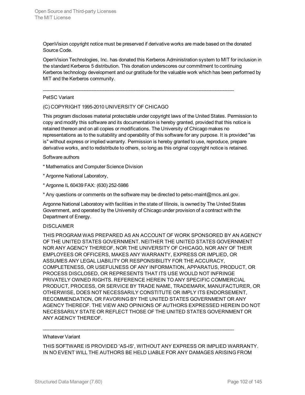OpenVision copyright notice must be preserved if derivative works are made based on the donated Source Code.

\_\_\_\_\_\_\_\_\_\_\_\_\_\_\_\_\_\_\_\_\_\_\_\_\_\_\_\_\_\_\_\_\_\_\_\_\_\_\_\_\_\_\_\_\_\_\_\_\_\_\_\_\_\_\_\_\_\_\_\_\_\_\_\_\_\_\_\_\_\_\_\_\_

OpenVision Technologies, Inc. has donated this Kerberos Administration system to MIT for inclusion in the standard Kerberos 5 distribution. This donation underscores our commitment to continuing Kerberos technology development and our gratitude for the valuable work which has been performed by MIT and the Kerberos community.

#### PetSC Variant

#### (C) COPYRIGHT 1995-2010 UNIVERSITY OF CHICAGO

This program discloses material protectable under copyright laws of the United States. Permission to copy and modify this software and its documentation is hereby granted, provided that this notice is retained thereon and on all copies or modifications. The University of Chicago makes no representations as to the suitability and operability of this software for any purpose. It is provided "as is" without express or implied warranty. Permission is hereby granted to use, reproduce, prepare derivative works, and to redistribute to others, so long as this original copyright notice is retained.

#### Software authors

- \* Mathematics and Computer Science Division
- \* Argonne National Laboratory,
- \* Argonne IL 60439 FAX: (630) 252-5986

\* Any questions or comments on the software may be directed to petsc-maint@mcs.anl.gov.

Argonne National Laboratory with facilities in the state of Illinois, is owned by The United States Government, and operated by the University of Chicago under provision of a contract with the Department of Energy.

#### DISCLAIMER

THIS PROGRAM WAS PREPARED AS AN ACCOUNT OF WORK SPONSORED BY AN AGENCY OF THE UNITED STATES GOVERNMENT. NEITHER THE UNITED STATES GOVERNMENT NOR ANY AGENCY THEREOF, NOR THE UNIVERSITY OF CHICAGO, NOR ANY OF THEIR EMPLOYEES OR OFFICERS, MAKES ANY WARRANTY, EXPRESS OR IMPLIED, OR ASSUMES ANY LEGAL LIABILITY OR RESPONSIBILITY FOR THE ACCURACY, COMPLETENESS, OR USEFULNESS OF ANY INFORMATION, APPARATUS, PRODUCT, OR PROCESS DISCLOSED, OR REPRESENTS THAT ITS USE WOULD NOT INFRINGE PRIVATELY OWNED RIGHTS. REFERENCE HEREIN TO ANY SPECIFIC COMMERCIAL PRODUCT, PROCESS, OR SERVICE BY TRADE NAME, TRADEMARK, MANUFACTURER, OR OTHERWISE, DOES NOT NECESSARILY CONSTITUTE OR IMPLY ITS ENDORSEMENT, RECOMMENDATION, OR FAVORING BY THE UNITED STATES GOVERNMENT OR ANY AGENCY THEREOF. THE VIEW AND OPINIONS OF AUTHORS EXPRESSED HEREIN DO NOT NECESSARILY STATE OR REFLECT THOSE OF THE UNITED STATES GOVERNMENT OR ANY AGENCY THEREOF.

#### Whatever Variant

THIS SOFTWARE IS PROVIDED 'AS-IS', WITHOUT ANY EXPRESS OR IMPLIED WARRANTY. IN NO EVENT WILL THE AUTHORS BE HELD LIABLE FOR ANY DAMAGES ARISING FROM

\_\_\_\_\_\_\_\_\_\_\_\_\_\_\_\_\_\_\_\_\_\_\_\_\_\_\_\_\_\_\_\_\_\_\_\_\_\_\_\_\_\_\_\_\_\_\_\_\_\_\_\_\_\_\_\_\_\_\_\_\_\_\_\_\_\_\_\_\_\_\_\_\_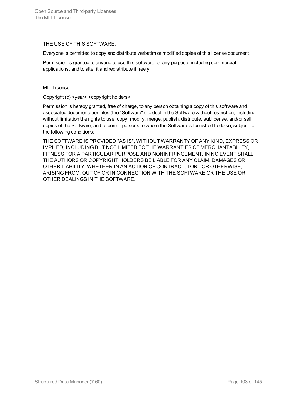# THE USE OF THIS SOFTWARE.

Everyone is permitted to copy and distribute verbatim or modified copies of this license document.

Permission is granted to anyone to use this software for any purpose, including commercial applications, and to alter it and redistribute it freely.

\_\_\_\_\_\_\_\_\_\_\_\_\_\_\_\_\_\_\_\_\_\_\_\_\_\_\_\_\_\_\_\_\_\_\_\_\_\_\_\_\_\_\_\_\_\_\_\_\_\_\_\_\_\_\_\_\_\_\_\_\_\_\_\_\_\_\_\_\_\_\_\_\_

# MIT License

Copyright (c) <year> <copyright holders>

Permission is hereby granted, free of charge, to any person obtaining a copy of this software and associated documentation files (the "Software"), to deal in the Software without restriction, including without limitation the rights to use, copy, modify, merge, publish, distribute, sublicense, and/or sell copies of the Software, and to permit persons to whom the Software is furnished to do so, subject to the following conditions:

THE SOFTWARE IS PROVIDED "AS IS", WITHOUT WARRANTY OF ANY KIND, EXPRESS OR IMPLIED, INCLUDING BUT NOT LIMITED TO THE WARRANTIES OF MERCHANTABILITY, FITNESS FOR A PARTICULAR PURPOSE AND NONINFRINGEMENT. IN NO EVENT SHALL THE AUTHORS OR COPYRIGHT HOLDERS BE LIABLE FOR ANY CLAIM, DAMAGES OR OTHER LIABILITY, WHETHER IN AN ACTION OF CONTRACT, TORT OR OTHERWISE, ARISING FROM, OUT OF OR IN CONNECTION WITH THE SOFTWARE OR THE USE OR OTHER DEALINGS IN THE SOFTWARE.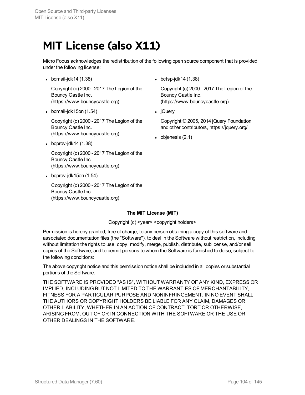# **MIT License (also X11)**

Micro Focus acknowledges the redistribution of the following open source component that is provided under the following license:

 $\bullet$  bcmail-jdk14 (1.38)

Copyright (c) 2000 - 2017 The Legion of the Bouncy Castle Inc. (https://www.bouncycastle.org)

 $\bullet$  bcmail-jdk15on (1.54)

Copyright (c) 2000 - 2017 The Legion of the Bouncy Castle Inc. (https://www.bouncycastle.org)

• bcprov-jdk $14$  (1.38)

Copyright (c) 2000 - 2017 The Legion of the Bouncy Castle Inc. (https://www.bouncycastle.org)

 $\bullet$  bcprov-jdk15on (1.54)

Copyright (c) 2000 - 2017 The Legion of the Bouncy Castle Inc. (https://www.bouncycastle.org)

 $\bullet$  bctsp-jdk14 (1.38)

Copyright (c) 2000 - 2017 The Legion of the Bouncy Castle Inc. (https://www.bouncycastle.org)

 $\cdot$  jQuery

Copyright © 2005, 2014 jQuery Foundation and other contributors, https://jquery.org/

 $\bullet$  objenesis (2.1)

# **The MIT License (MIT)**

# Copyright (c) <year> <copyright holders>

Permission is hereby granted, free of charge, to any person obtaining a copy of this software and associated documentation files (the "Software"), to deal in the Software without restriction, including without limitation the rights to use, copy, modify, merge, publish, distribute, sublicense, and/or sell copies of the Software, and to permit persons to whom the Software is furnished to do so, subject to the following conditions:

The above copyright notice and this permission notice shall be included in all copies or substantial portions of the Software.

THE SOFTWARE IS PROVIDED "AS IS", WITHOUT WARRANTY OF ANY KIND, EXPRESS OR IMPLIED, INCLUDING BUT NOT LIMITED TO THE WARRANTIES OF MERCHANTABILITY, FITNESS FOR A PARTICULAR PURPOSE AND NONINFRINGEMENT. IN NO EVENT SHALL THE AUTHORS OR COPYRIGHT HOLDERS BE LIABLE FOR ANY CLAIM, DAMAGES OR OTHER LIABILITY, WHETHER IN AN ACTION OF CONTRACT, TORT OR OTHERWISE, ARISING FROM, OUT OF OR IN CONNECTION WITH THE SOFTWARE OR THE USE OR OTHER DEALINGS IN THE SOFTWARE.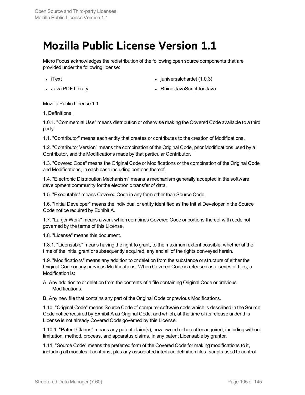# **Mozilla Public License Version 1.1**

Micro Focus acknowledges the redistribution of the following open source components that are provided under the following license:

- $\cdot$  iText
- Java PDF Library
- $\bullet$  juniversalchardet (1.0.3)
- Rhino JavaScript for Java

Mozilla Public License 1.1

1. Definitions.

1.0.1. "Commercial Use" means distribution or otherwise making the Covered Code available to a third party.

1.1. "Contributor" means each entity that creates or contributes to the creation of Modifications.

1.2. "Contributor Version" means the combination of the Original Code, prior Modifications used by a Contributor, and the Modifications made by that particular Contributor.

1.3. "Covered Code" means the Original Code or Modifications or the combination of the Original Code and Modifications, in each case including portions thereof.

1.4. "Electronic Distribution Mechanism" means a mechanism generally accepted in the software development community for the electronic transfer of data.

1.5. "Executable" means Covered Code in any form other than Source Code.

1.6. "Initial Developer" means the individual or entity identified as the Initial Developer in the Source Code notice required by Exhibit A.

1.7. "Larger Work" means a work which combines Covered Code or portions thereof with code not governed by the terms of this License.

1.8. "License" means this document.

1.8.1. "Licensable" means having the right to grant, to the maximum extent possible, whether at the time of the initial grant or subsequently acquired, any and all of the rights conveyed herein.

1.9. "Modifications" means any addition to or deletion from the substance or structure of either the Original Code or any previous Modifications. When Covered Code is released as a series of files, a Modification is:

A. Any addition to or deletion from the contents of a file containing Original Code or previous Modifications.

B. Any new file that contains any part of the Original Code or previous Modifications.

1.10. "Original Code" means Source Code of computer software code which is described in the Source Code notice required by Exhibit A as Original Code, and which, at the time of its release under this License is not already Covered Code governed by this License.

1.10.1. "Patent Claims" means any patent claim(s), now owned or hereafter acquired, including without limitation, method, process, and apparatus claims, in any patent Licensable by grantor.

1.11. "Source Code" means the preferred form of the Covered Code for making modifications to it, including all modules it contains, plus any associated interface definition files, scripts used to control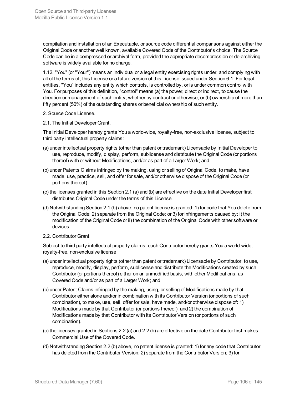compilation and installation of an Executable, or source code differential comparisons against either the Original Code or another well known, available Covered Code of the Contributor's choice. The Source Code can be in a compressed or archival form, provided the appropriate decompression or de-archiving software is widely available for no charge.

1.12. "You" (or "Your") means an individual or a legal entity exercising rights under, and complying with all of the terms of, this License or a future version of this License issued under Section 6.1. For legal entities, "You" includes any entity which controls, is controlled by, or is under common control with You. For purposes of this definition, "control" means (a) the power, direct or indirect, to cause the direction or management of such entity, whether by contract or otherwise, or (b) ownership of more than fifty percent (50%) of the outstanding shares or beneficial ownership of such entity.

- 2. Source Code License.
- 2.1. The Initial Developer Grant.

The Initial Developer hereby grants You a world-wide, royalty-free, non-exclusive license, subject to third party intellectual property claims:

- (a) under intellectual property rights (other than patent or trademark) Licensable by Initial Developer to use, reproduce, modify, display, perform, sublicense and distribute the Original Code (or portions thereof) with or without Modifications, and/or as part of a Larger Work; and
- (b) under Patents Claims infringed by the making, using or selling of Original Code, to make, have made, use, practice, sell, and offer for sale, and/or otherwise dispose of the Original Code (or portions thereof).
- (c) the licenses granted in this Section 2.1 (a) and (b) are effective on the date Initial Developer first distributes Original Code under the terms of this License.
- (d) Notwithstanding Section 2.1 (b) above, no patent license is granted: 1) for code that You delete from the Original Code; 2) separate from the Original Code; or 3) for infringements caused by: i) the modification of the Original Code or ii) the combination of the Original Code with other software or devices.
- 2.2. Contributor Grant.

Subject to third party intellectual property claims, each Contributor hereby grants You a world-wide, royalty-free, non-exclusive license

- (a) under intellectual property rights (other than patent or trademark) Licensable by Contributor, to use, reproduce, modify, display, perform, sublicense and distribute the Modifications created by such Contributor (or portions thereof) either on an unmodified basis, with other Modifications, as Covered Code and/or as part of a Larger Work; and
- (b) under Patent Claims infringed by the making, using, or selling of Modifications made by that Contributor either alone and/or in combination with its Contributor Version (or portions of such combination), to make, use, sell, offer for sale, have made, and/or otherwise dispose of: 1) Modifications made by that Contributor (or portions thereof); and 2) the combination of Modifications made by that Contributor with its Contributor Version (or portions of such combination).
- (c) the licenses granted in Sections 2.2 (a) and 2.2 (b) are effective on the date Contributor first makes Commercial Use of the Covered Code.
- (d) Notwithstanding Section 2.2 (b) above, no patent license is granted: 1) for any code that Contributor has deleted from the Contributor Version; 2) separate from the Contributor Version; 3) for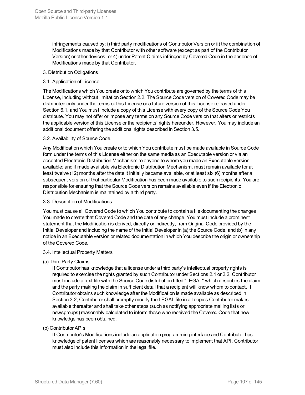infringements caused by: i) third party modifications of Contributor Version or ii) the combination of Modifications made by that Contributor with other software (except as part of the Contributor Version) or other devices; or 4) under Patent Claims infringed by Covered Code in the absence of Modifications made by that Contributor.

- 3. Distribution Obligations.
- 3.1. Application of License.

The Modifications which You create or to which You contribute are governed by the terms of this License, including without limitation Section 2.2. The Source Code version of Covered Code may be distributed only under the terms of this License or a future version of this License released under Section 6.1, and You must include a copy of this License with every copy of the Source Code You distribute. You may not offer or impose any terms on any Source Code version that alters or restricts the applicable version of this License or the recipients' rights hereunder. However, You may include an additional document offering the additional rights described in Section 3.5.

3.2. Availability of Source Code.

Any Modification which You create or to which You contribute must be made available in Source Code form under the terms of this License either on the same media as an Executable version or via an accepted Electronic Distribution Mechanism to anyone to whom you made an Executable version available; and if made available via Electronic Distribution Mechanism, must remain available for at least twelve (12) months after the date it initially became available, or at least six (6) months after a subsequent version of that particular Modification has been made available to such recipients. You are responsible for ensuring that the Source Code version remains available even if the Electronic Distribution Mechanism is maintained by a third party.

3.3. Description of Modifications.

You must cause all Covered Code to which You contribute to contain a file documenting the changes You made to create that Covered Code and the date of any change. You must include a prominent statement that the Modification is derived, directly or indirectly, from Original Code provided by the Initial Developer and including the name of the Initial Developer in (a) the Source Code, and (b) in any notice in an Executable version or related documentation in which You describe the origin or ownership of the Covered Code.

# 3.4. Intellectual Property Matters

(a) Third Party Claims

If Contributor has knowledge that a license under a third party's intellectual property rights is required to exercise the rights granted by such Contributor under Sections 2.1 or 2.2, Contributor must include a text file with the Source Code distribution titled "LEGAL" which describes the claim and the party making the claim in sufficient detail that a recipient will know whom to contact. If Contributor obtains such knowledge after the Modification is made available as described in Section 3.2, Contributor shall promptly modify the LEGAL file in all copies Contributor makes available thereafter and shall take other steps (such as notifying appropriate mailing lists or newsgroups) reasonably calculated to inform those who received the Covered Code that new knowledge has been obtained.

(b) Contributor APIs

If Contributor's Modifications include an application programming interface and Contributor has knowledge of patent licenses which are reasonably necessary to implement that API, Contributor must also include this information in the legal file.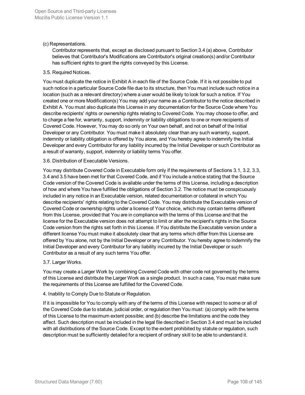# (c) Representations.

Contributor represents that, except as disclosed pursuant to Section 3.4 (a) above, Contributor believes that Contributor's Modifications are Contributor's original creation(s) and/or Contributor has sufficient rights to grant the rights conveyed by this License.

# 3.5. Required Notices.

You must duplicate the notice in Exhibit A in each file of the Source Code. If it is not possible to put such notice in a particular Source Code file due to its structure, then You must include such notice in a location (such as a relevant directory) where a user would be likely to look for such a notice. If You created one or more Modification(s) You may add your name as a Contributor to the notice described in Exhibit A. You must also duplicate this License in any documentation for the Source Code where You describe recipients' rights or ownership rights relating to Covered Code. You may choose to offer, and to charge a fee for, warranty, support, indemnity or liability obligations to one or more recipients of Covered Code. However, You may do so only on Your own behalf, and not on behalf of the Initial Developer or any Contributor. You must make it absolutely clear than any such warranty, support, indemnity or liability obligation is offered by You alone, and You hereby agree to indemnify the Initial Developer and every Contributor for any liability incurred by the Initial Developer or such Contributor as a result of warranty, support, indemnity or liability terms You offer.

# 3.6. Distribution of Executable Versions.

You may distribute Covered Code in Executable form only if the requirements of Sections 3.1, 3.2, 3.3, 3.4 and 3.5 have been met for that Covered Code, and if You include a notice stating that the Source Code version of the Covered Code is available under the terms of this License, including a description of how and where You have fulfilled the obligations of Section 3.2. The notice must be conspicuously included in any notice in an Executable version, related documentation or collateral in which You describe recipients' rights relating to the Covered Code. You may distribute the Executable version of Covered Code or ownership rights under a license of Your choice, which may contain terms different from this License, provided that You are in compliance with the terms of this License and that the license for the Executable version does not attempt to limit or alter the recipient's rights in the Source Code version from the rights set forth in this License. If You distribute the Executable version under a different license You must make it absolutely clear that any terms which differ from this License are offered by You alone, not by the Initial Developer or any Contributor. You hereby agree to indemnify the Initial Developer and every Contributor for any liability incurred by the Initial Developer or such Contributor as a result of any such terms You offer.

#### 3.7. Larger Works.

You may create a Larger Work by combining Covered Code with other code not governed by the terms of this License and distribute the Larger Work as a single product. In such a case, You must make sure the requirements of this License are fulfilled for the Covered Code.

# 4. Inability to Comply Due to Statute or Regulation.

If it is impossible for You to comply with any of the terms of this License with respect to some or all of the Covered Code due to statute, judicial order, or regulation then You must: (a) comply with the terms of this License to the maximum extent possible; and (b) describe the limitations and the code they affect. Such description must be included in the legal file described in Section 3.4 and must be included with all distributions of the Source Code. Except to the extent prohibited by statute or regulation, such description must be sufficiently detailed for a recipient of ordinary skill to be able to understand it.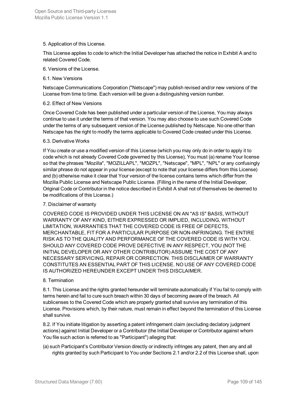## 5. Application of this License.

This License applies to code to which the Initial Developer has attached the notice in Exhibit A and to related Covered Code.

6. Versions of the License.

## 6.1. New Versions

Netscape Communications Corporation ("Netscape") may publish revised and/or new versions of the License from time to time. Each version will be given a distinguishing version number.

## 6.2. Effect of New Versions

Once Covered Code has been published under a particular version of the License, You may always continue to use it under the terms of that version. You may also choose to use such Covered Code under the terms of any subsequent version of the License published by Netscape. No one other than Netscape has the right to modify the terms applicable to Covered Code created under this License.

## 6.3. Derivative Works

If You create or use a modified version of this License (which you may only do in order to apply it to code which is not already Covered Code governed by this License), You must (a) rename Your license so that the phrases "Mozilla", "MOZILLAPL", "MOZPL", "Netscape", "MPL", "NPL" or any confusingly similar phrase do not appear in your license (except to note that your license differs from this License) and (b) otherwise make it clear that Your version of the license contains terms which differ from the Mozilla Public License and Netscape Public License. (Filling in the name of the Initial Developer, Original Code or Contributor in the notice described in Exhibit A shall not of themselves be deemed to be modifications of this License.)

## 7. Disclaimer of warranty

COVERED CODE IS PROVIDED UNDER THIS LICENSE ON AN "AS IS" BASIS, WITHOUT WARRANTY OF ANY KIND, EITHER EXPRESSED OR IMPLIED, INCLUDING, WITHOUT LIMITATION, WARRANTIES THAT THE COVERED CODE IS FREE OF DEFECTS, MERCHANTABLE, FIT FOR A PARTICULAR PURPOSE OR NON-INFRINGING. THE ENTIRE RISK AS TO THE QUALITY AND PERFORMANCE OF THE COVERED CODE IS WITH YOU. SHOULD ANY COVERED CODE PROVE DEFECTIVE IN ANY RESPECT, YOU (NOT THE INITIAL DEVELOPER OR ANY OTHER CONTRIBUTOR) ASSUME THE COST OF ANY NECESSARY SERVICING, REPAIR OR CORRECTION. THIS DISCLAIMER OF WARRANTY CONSTITUTES AN ESSENTIAL PART OF THIS LICENSE. NO USE OF ANY COVERED CODE IS AUTHORIZED HEREUNDER EXCEPT UNDER THIS DISCLAIMER.

## 8. Termination

8.1. This License and the rights granted hereunder will terminate automatically if You fail to comply with terms herein and fail to cure such breach within 30 days of becoming aware of the breach. All sublicenses to the Covered Code which are properly granted shall survive any termination of this License. Provisions which, by their nature, must remain in effect beyond the termination of this License shall survive.

8.2. If You initiate litigation by asserting a patent infringement claim (excluding declatory judgment actions) against Initial Developer or a Contributor (the Initial Developer or Contributor against whom You file such action is referred to as "Participant") alleging that:

(a) such Participant's Contributor Version directly or indirectly infringes any patent, then any and all rights granted by such Participant to You under Sections 2.1 and/or 2.2 of this License shall, upon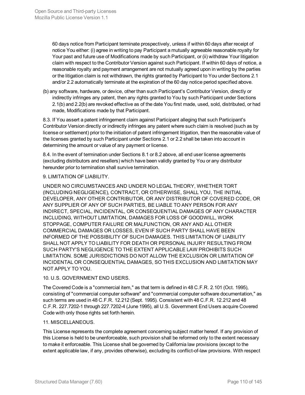60 days notice from Participant terminate prospectively, unless if within 60 days after receipt of notice You either: (i) agree in writing to pay Participant a mutually agreeable reasonable royalty for Your past and future use of Modifications made by such Participant, or (ii) withdraw Your litigation claim with respect to the Contributor Version against such Participant. If within 60 days of notice, a reasonable royalty and payment arrangement are not mutually agreed upon in writing by the parties or the litigation claim is not withdrawn, the rights granted by Participant to You under Sections 2.1 and/or 2.2 automatically terminate at the expiration of the 60 day notice period specified above.

(b) any software, hardware, or device, other than such Participant's Contributor Version, directly or indirectly infringes any patent, then any rights granted to You by such Participant under Sections 2.1(b) and 2.2(b) are revoked effective as of the date You first made, used, sold, distributed, or had made, Modifications made by that Participant.

8.3. If You assert a patent infringement claim against Participant alleging that such Participant's Contributor Version directly or indirectly infringes any patent where such claim is resolved (such as by license or settlement) prior to the initiation of patent infringement litigation, then the reasonable value of the licenses granted by such Participant under Sections 2.1 or 2.2 shall be taken into account in determining the amount or value of any payment or license.

8.4. In the event of termination under Sections 8.1 or 8.2 above, all end user license agreements (excluding distributors and resellers) which have been validly granted by You or any distributor hereunder prior to termination shall survive termination.

## 9. LIMITATION OF LIABILITY.

UNDER NO CIRCUMSTANCES AND UNDER NO LEGAL THEORY, WHETHER TORT (INCLUDING NEGLIGENCE), CONTRACT, OR OTHERWISE, SHALL YOU, THE INITIAL DEVELOPER, ANY OTHER CONTRIBUTOR, OR ANY DISTRIBUTOR OF COVERED CODE, OR ANY SUPPLIER OF ANY OF SUCH PARTIES, BE LIABLE TO ANY PERSON FOR ANY INDIRECT, SPECIAL, INCIDENTAL, OR CONSEQUENTIAL DAMAGES OF ANY CHARACTER INCLUDING, WITHOUT LIMITATION, DAMAGES FOR LOSS OF GOODWILL, WORK STOPPAGE, COMPUTER FAILURE OR MALFUNCTION, OR ANY AND ALL OTHER COMMERCIAL DAMAGES OR LOSSES, EVEN IF SUCH PARTY SHALL HAVE BEEN INFORMED OF THE POSSIBILITY OF SUCH DAMAGES. THIS LIMITATION OF LIABILITY SHALL NOT APPLY TO LIABILITY FOR DEATH OR PERSONAL INJURY RESULTING FROM SUCH PARTY'S NEGLIGENCE TO THE EXTENT APPLICABLE LAW PROHIBITS SUCH LIMITATION. SOME JURISDICTIONS DO NOT ALLOW THE EXCLUSION OR LIMITATION OF INCIDENTAL OR CONSEQUENTIAL DAMAGES, SO THIS EXCLUSION AND LIMITATION MAY NOT APPLY TO YOU.

## 10. U.S. GOVERNMENT END USERS.

The Covered Code is a "commercial item," as that term is defined in 48 C.F.R. 2.101 (Oct. 1995), consisting of "commercial computer software" and "commercial computer software documentation," as such terms are used in 48 C.F.R. 12.212 (Sept. 1995). Consistent with 48 C.F.R. 12.212 and 48 C.F.R. 227.7202-1 through 227.7202-4 (June 1995), all U.S. Government End Users acquire Covered Code with only those rights set forth herein.

## 11. MISCELLANEOUS.

This License represents the complete agreement concerning subject matter hereof. If any provision of this License is held to be unenforceable, such provision shall be reformed only to the extent necessary to make it enforceable. This License shall be governed by California law provisions (except to the extent applicable law, if any, provides otherwise), excluding its conflict-of-law provisions. With respect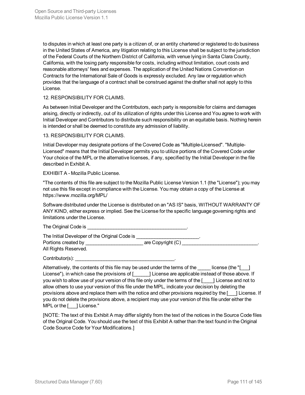to disputes in which at least one party is a citizen of, or an entity chartered or registered to do business in the United States of America, any litigation relating to this License shall be subject to the jurisdiction of the Federal Courts of the Northern District of California, with venue lying in Santa Clara County, California, with the losing party responsible for costs, including without limitation, court costs and reasonable attorneys' fees and expenses. The application of the United Nations Convention on Contracts for the International Sale of Goods is expressly excluded. Any law or regulation which provides that the language of a contract shall be construed against the drafter shall not apply to this License.

12. RESPONSIBILITY FOR CLAIMS.

As between Initial Developer and the Contributors, each party is responsible for claims and damages arising, directly or indirectly, out of its utilization of rights under this License and You agree to work with Initial Developer and Contributors to distribute such responsibility on an equitable basis. Nothing herein is intended or shall be deemed to constitute any admission of liability.

13. RESPONSIBILITY FOR CLAIMS.

Initial Developer may designate portions of the Covered Code as "Multiple-Licensed". "Multiple-Licensed" means that the Initial Developer permits you to utilize portions of the Covered Code under Your choice of the MPL or the alternative licenses, if any, specified by the Initial Developer in the file described in Exhibit A.

EXHIBIT A - Mozilla Public License.

"The contents of this file are subject to the Mozilla Public License Version 1.1 (the "License"); you may not use this file except in compliance with the License. You may obtain a copy of the License at https://www.mozilla.org/MPL/

Software distributed under the License is distributed on an "AS IS" basis, WITHOUT WARRANTY OF ANY KIND, either express or implied. See the License for the specific language governing rights and limitations under the License.

The Original Code is

The Initial Developer of the Original Code is \_\_\_\_\_\_\_\_\_\_\_\_\_\_\_\_\_\_\_\_\_\_\_\_\_\_\_\_\_.

All Rights Reserved.

Portions created by \_\_\_\_\_\_\_\_\_\_\_\_\_\_\_\_\_\_\_\_\_\_ are Copyright (C) \_\_\_\_\_\_\_\_\_\_\_\_\_\_\_\_\_\_\_\_\_\_\_\_\_\_\_\_\_.

Contributor(s):

Alternatively, the contents of this file may be used under the terms of the  $\Box$  license (the  $\Box$ License"), in which case the provisions of [1, [2] License are applicable instead of those above. If you wish to allow use of your version of this file only under the terms of the [\_\_\_\_] License and not to allow others to use your version of this file under the MPL, indicate your decision by deleting the provisions above and replace them with the notice and other provisions required by the [\_\_\_] License. If you do not delete the provisions above, a recipient may use your version of this file under either the MPL or the [  $\Box$  ] License."

[NOTE: The text of this Exhibit A may differ slightly from the text of the notices in the Source Code files of the Original Code. You should use the text of this Exhibit A rather than the text found in the Original Code Source Code for Your Modifications.]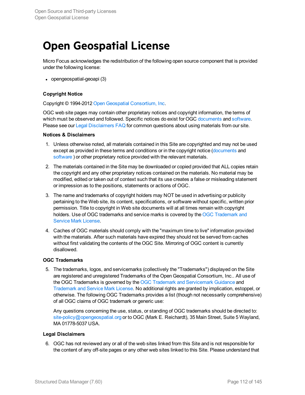# **Open Geospatial License**

Micro Focus acknowledges the redistribution of the following open source component that is provided under the following license:

• opengeospatial-geoapi (3)

## **Copyright Notice**

Copyright © 1994-2012 Open Geospatial [Consortium,](http://www.opengeospatial.org/) Inc.

OGC web site pages may contain other proprietary notices and copyright information, the terms of which must be observed and followed. Specific notices do exist for OGC [documents](http://www.opengeospatial.org/ogc/document) and [software](http://www.opengeospatial.org/ogc/software). Please see our Legal [Disclaimers](http://www.opengeospatial.org/ogc/legalfaq) FAQ for common questions about using materials from our site.

#### **Notices & Disclaimers**

- 1. Unless otherwise noted, all materials contained in this Site are copyrighted and may not be used except as provided in these terms and conditions or in the copyright notice ([documents](http://www.opengeospatial.org/ogc/document) and [software](http://www.opengeospatial.org/ogc/software) ) or other proprietary notice provided with the relevant materials.
- 2. The materials contained in the Site may be downloaded or copied provided that ALL copies retain the copyright and any other proprietary notices contained on the materials. No material may be modified, edited or taken out of context such that its use creates a false or misleading statement or impression as to the positions, statements or actions of OGC.
- 3. The name and trademarks of copyright holders may NOT be used in advertising or publicity pertaining to the Web site, its content, specifications, or software without specific, written prior permission. Title to copyright in Web site documents will at all times remain with copyright holders. Use of OGC trademarks and service marks is covered by the OGC [Trademark](http://www.opengeospatial.org/ogc/policies/trademark) and Service Mark [License](http://www.opengeospatial.org/ogc/policies/trademark).
- 4. Caches of OGC materials should comply with the "maximum time to live" information provided with the materials. After such materials have expired they should not be served from caches without first validating the contents of the OGC Site. Mirroring of OGC content is currently disallowed.

## **OGC Trademarks**

5. The trademarks, logos, and servicemarks (collectively the "Trademarks") displayed on the Site are registered and unregistered Trademarks of the Open Geospatial Consortium, Inc.. All use of the OGC Trademarks is governed by the OGC Trademark and [Servicemark](http://www.opengeospatial.org/ogc/guidanceltr) Guidance and [Trademark](http://www.opengeospatial.org/ogc/policies/trademark) and Service Mark License. No additional rights are granted by implication, estoppel, or otherwise. The following OGC Trademarks provides a list (though not necessarily comprehensive) of all OGC claims of OGC trademark or generic use:

Any questions concerning the use, status, or standing of OGC trademarks should be directed to: [site-policy@opengeospatial.org](mailto:site-policy@opengeospatial.org) or to OGC (Mark E. Reichardt), 35 Main Street, Suite 5 Wayland, MA 01778-5037 USA.

#### **Legal Disclaimers**

6. OGC has not reviewed any or all of the web sites linked from this Site and is not responsible for the content of any off-site pages or any other web sites linked to this Site. Please understand that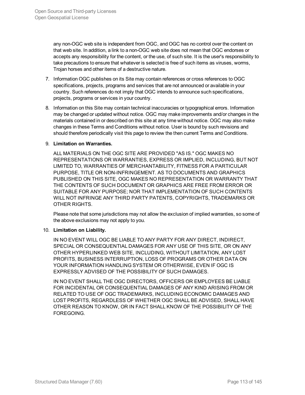any non-OGC web site is independent from OGC, and OGC has no control over the content on that web site. In addition, a link to a non-OGC web site does not mean that OGC endorses or accepts any responsibility for the content, or the use, of such site. It is the user's responsibility to take precautions to ensure that whatever is selected is free of such items as viruses, worms, Trojan horses and other items of a destructive nature.

- 7. Information OGC publishes on its Site may contain references or cross references to OGC specifications, projects, programs and services that are not announced or available in your country. Such references do not imply that OGC intends to announce such specifications, projects, programs or services in your country.
- 8. Information on this Site may contain technical inaccuracies or typographical errors. Information may be changed or updated without notice. OGC may make improvements and/or changes in the materials contained in or described on this site at any time without notice. OGC may also make changes in these Terms and Conditions without notice. User is bound by such revisions and should therefore periodically visit this page to review the then current Terms and Conditions.

## 9. **Limitation on Warranties.**

ALL MATERIALS ON THE OGC SITE ARE PROVIDED "AS IS." OGC MAKES NO REPRESENTATIONS OR WARRANTIES, EXPRESS OR IMPLIED, INCLUDING, BUT NOT LIMITED TO, WARRANTIES OF MERCHANTABILITY, FITNESS FOR A PARTICULAR PURPOSE, TITLE OR NON-INFRINGEMENT. AS TO DOCUMENTS AND GRAPHICS PUBLISHED ON THIS SITE, OGC MAKES NO REPRESENTATION OR WARRANTY THAT THE CONTENTS OF SUCH DOCUMENT OR GRAPHICS ARE FREE FROM ERROR OR SUITABLE FOR ANY PURPOSE; NOR THAT IMPLEMENTATION OF SUCH CONTENTS WILL NOT INFRINGE ANY THIRD PARTY PATENTS, COPYRIGHTS, TRADEMARKS OR OTHER RIGHTS.

Please note that some jurisdictions may not allow the exclusion of implied warranties, so some of the above exclusions may not apply to you.

## 10. **Limitation on Liability.**

IN NO EVENT WILL OGC BE LIABLE TO ANY PARTY FOR ANY DIRECT, INDIRECT, SPECIAL OR CONSEQUENTIAL DAMAGES FOR ANY USE OF THIS SITE, OR ON ANY OTHER HYPERLINKED WEB SITE, INCLUDING, WITHOUT LIMITATION, ANY LOST PROFITS, BUSINESS INTERRUPTION, LOSS OF PROGRAMS OR OTHER DATA ON YOUR INFORMATION HANDLING SYSTEM OR OTHERWISE, EVEN IF OGC IS EXPRESSLY ADVISED OF THE POSSIBILITY OF SUCH DAMAGES.

IN NO EVENT SHALL THE OGC DIRECTORS, OFFICERS OR EMPLOYEES BE LIABLE FOR INCIDENTAL OR CONSEQUENTIAL DAMAGES OF ANY KIND ARISING FROM OR RELATED TO USE OF OGC TRADEMARKS, INCLUDING ECONOMIC DAMAGES AND LOST PROFITS, REGARDLESS OF WHETHER OGC SHALL BE ADVISED, SHALL HAVE OTHER REASON TO KNOW, OR IN FACT SHALL KNOW OF THE POSSIBILITY OF THE FOREGOING.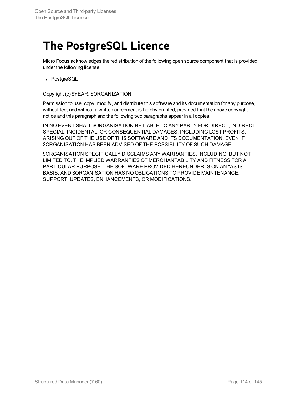# **The PostgreSQL Licence**

Micro Focus acknowledges the redistribution of the following open source component that is provided under the following license:

• PostgreSQL

## Copyright (c) \$YEAR, \$ORGANIZATION

Permission to use, copy, modify, and distribute this software and its documentation for any purpose, without fee, and without a written agreement is hereby granted, provided that the above copyright notice and this paragraph and the following two paragraphs appear in all copies.

IN NO EVENT SHALL \$ORGANISATION BE LIABLE TO ANY PARTY FOR DIRECT, INDIRECT, SPECIAL, INCIDENTAL, OR CONSEQUENTIAL DAMAGES, INCLUDING LOST PROFITS, ARISING OUT OF THE USE OF THIS SOFTWARE AND ITS DOCUMENTATION, EVEN IF \$ORGANISATION HAS BEEN ADVISED OF THE POSSIBILITY OF SUCH DAMAGE.

\$ORGANISATION SPECIFICALLY DISCLAIMS ANY WARRANTIES, INCLUDING, BUT NOT LIMITED TO, THE IMPLIED WARRANTIES OF MERCHANTABILITY AND FITNESS FOR A PARTICULAR PURPOSE. THE SOFTWARE PROVIDED HEREUNDER IS ON AN "AS IS" BASIS, AND \$ORGANISATION HAS NO OBLIGATIONS TO PROVIDE MAINTENANCE, SUPPORT, UPDATES, ENHANCEMENTS, OR MODIFICATIONS.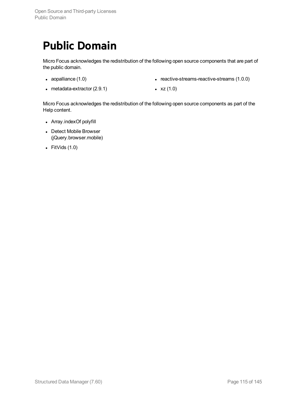# **Public Domain**

Micro Focus acknowledges the redistribution of the following open source components that are part of the public domain.

 $\bullet$  aopalliance  $(1.0)$ 

 $\bullet$  reactive-streams-reactive-streams  $(1.0.0)$ 

 $\bullet$  metadata-extractor (2.9.1)

•  $xz(1.0)$ 

Micro Focus acknowledges the redistribution of the following open source components as part of the Help content.

- Array.indexOf polyfill
- Detect Mobile Browser (jQuery.browser.mobile)
- $\bullet$  FitVids  $(1.0)$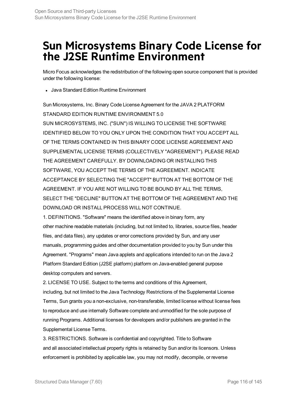## **Sun Microsystems Binary Code License for the J2SE Runtime Environment**

Micro Focus acknowledges the redistribution of the following open source component that is provided under the following license:

• Java Standard Edition Runtime Environment

Sun Microsystems, Inc. Binary Code License Agreement for the JAVA 2 PLATFORM STANDARD EDITION RUNTIME ENVIRONMENT 5.0 SUN MICROSYSTEMS, INC. ("SUN") IS WILLING TO LICENSE THE SOFTWARE IDENTIFIED BELOW TO YOU ONLY UPON THE CONDITION THAT YOU ACCEPT ALL OF THE TERMS CONTAINED IN THIS BINARY CODE LICENSE AGREEMENT AND SUPPLEMENTAL LICENSE TERMS (COLLECTIVELY "AGREEMENT"). PLEASE READ THE AGREEMENT CAREFULLY. BY DOWNLOADING OR INSTALLING THIS SOFTWARE, YOU ACCEPT THE TERMS OF THE AGREEMENT. INDICATE ACCEPTANCE BY SELECTING THE "ACCEPT" BUTTON AT THE BOTTOM OF THE AGREEMENT. IF YOU ARE NOT WILLING TO BE BOUND BY ALL THE TERMS, SELECT THE "DECLINE" BUTTON AT THE BOTTOM OF THE AGREEMENT AND THE DOWNLOAD OR INSTALL PROCESS WILL NOT CONTINUE.

1. DEFINITIONS. "Software" means the identified above in binary form, any other machine readable materials (including, but not limited to, libraries, source files, header files, and data files), any updates or error corrections provided by Sun, and any user manuals, programming guides and other documentation provided to you by Sun under this Agreement. "Programs" mean Java applets and applications intended to run on the Java 2 Platform Standard Edition (J2SE platform) platform on Java-enabled general purpose desktop computers and servers.

2. LICENSE TO USE. Subject to the terms and conditions of this Agreement, including, but not limited to the Java Technology Restrictions of the Supplemental License Terms, Sun grants you a non-exclusive, non-transferable, limited license without license fees to reproduce and use internally Software complete and unmodified for the sole purpose of running Programs. Additional licenses for developers and/or publishers are granted in the Supplemental License Terms.

3. RESTRICTIONS. Software is confidential and copyrighted. Title to Software and all associated intellectual property rights is retained by Sun and/or its licensors. Unless enforcement is prohibited by applicable law, you may not modify, decompile, or reverse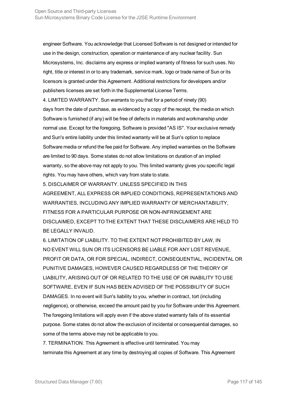engineer Software. You acknowledge that Licensed Software is not designed or intended for use in the design, construction, operation or maintenance of any nuclear facility. Sun Microsystems, Inc. disclaims any express or implied warranty of fitness for such uses. No right, title or interest in or to any trademark, service mark, logo or trade name of Sun or its licensors is granted under this Agreement. Additional restrictions for developers and/or publishers licenses are set forth in the Supplemental License Terms.

4. LIMITED WARRANTY. Sun warrants to you that for a period of ninety (90) days from the date of purchase, as evidenced by a copy of the receipt, the media on which Software is furnished (if any) will be free of defects in materials and workmanship under normal use. Except for the foregoing, Software is provided "AS IS". Your exclusive remedy and Sun's entire liability under this limited warranty will be at Sun's option to replace Software media or refund the fee paid for Software. Any implied warranties on the Software are limited to 90 days. Some states do not allow limitations on duration of an implied warranty, so the above may not apply to you. This limited warranty gives you specific legal rights. You may have others, which vary from state to state.

5. DISCLAIMER OF WARRANTY. UNLESS SPECIFIED IN THIS AGREEMENT, ALL EXPRESS OR IMPLIED CONDITIONS, REPRESENTATIONS AND WARRANTIES, INCLUDING ANY IMPLIED WARRANTY OF MERCHANTABILITY, FITNESS FOR A PARTICULAR PURPOSE OR NON-INFRINGEMENT ARE DISCLAIMED, EXCEPT TO THE EXTENT THAT THESE DISCLAIMERS ARE HELD TO BE LEGALLY INVALID.

6. LIMITATION OF LIABILITY. TO THE EXTENT NOT PROHIBITED BY LAW, IN NO EVENT WILL SUN OR ITS LICENSORS BE LIABLE FOR ANY LOST REVENUE, PROFIT OR DATA, OR FOR SPECIAL, INDIRECT, CONSEQUENTIAL, INCIDENTAL OR PUNITIVE DAMAGES, HOWEVER CAUSED REGARDLESS OF THE THEORY OF LIABILITY, ARISING OUT OF OR RELATED TO THE USE OF OR INABILITY TO USE SOFTWARE, EVEN IF SUN HAS BEEN ADVISED OF THE POSSIBILITY OF SUCH DAMAGES. In no event will Sun's liability to you, whether in contract, tort (including negligence), or otherwise, exceed the amount paid by you for Software under this Agreement. The foregoing limitations will apply even if the above stated warranty fails of its essential purpose. Some states do not allow the exclusion of incidental or consequential damages, so some of the terms above may not be applicable to you.

7. TERMINATION. This Agreement is effective until terminated. You may terminate this Agreement at any time by destroying all copies of Software. This Agreement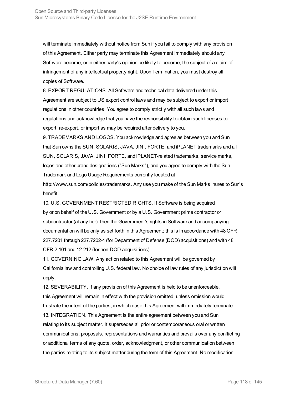will terminate immediately without notice from Sun if you fail to comply with any provision of this Agreement. Either party may terminate this Agreement immediately should any Software become, or in either party's opinion be likely to become, the subject of a claim of infringement of any intellectual property right. Upon Termination, you must destroy all copies of Software.

8. EXPORT REGULATIONS. All Software and technical data delivered under this Agreement are subject to US export control laws and may be subject to export or import regulations in other countries. You agree to comply strictly with all such laws and regulations and acknowledge that you have the responsibility to obtain such licenses to export, re-export, or import as may be required after delivery to you.

9. TRADEMARKS AND LOGOS. You acknowledge and agree as between you and Sun that Sun owns the SUN, SOLARIS, JAVA, JINI, FORTE, and iPLANET trademarks and all SUN, SOLARIS, JAVA, JINI, FORTE, and iPLANET-related trademarks, service marks, logos and other brand designations ("Sun Marks"), and you agree to comply with the Sun Trademark and Logo Usage Requirements currently located at

http://www.sun.com/policies/trademarks. Any use you make of the Sun Marks inures to Sun's benefit.

10. U.S. GOVERNMENT RESTRICTED RIGHTS. If Software is being acquired by or on behalf of the U.S. Government or by a U.S. Government prime contractor or subcontractor (at any tier), then the Government's rights in Software and accompanying documentation will be only as set forth in this Agreement; this is in accordance with 48 CFR 227.7201 through 227.7202-4 (for Department of Defense (DOD) acquisitions) and with 48 CFR 2.101 and 12.212 (for non-DOD acquisitions).

11. GOVERNING LAW. Any action related to this Agreement will be governed by California law and controlling U.S. federal law. No choice of law rules of any jurisdiction will apply.

12. SEVERABILITY. If any provision of this Agreement is held to be unenforceable, this Agreement will remain in effect with the provision omitted, unless omission would frustrate the intent of the parties, in which case this Agreement will immediately terminate. 13. INTEGRATION. This Agreement is the entire agreement between you and Sun relating to its subject matter. It supersedes all prior or contemporaneous oral or written communications, proposals, representations and warranties and prevails over any conflicting or additional terms of any quote, order, acknowledgment, or other communication between the parties relating to its subject matter during the term of this Agreement. No modification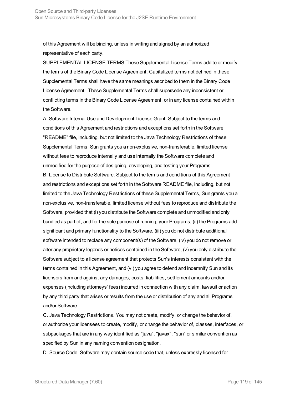of this Agreement will be binding, unless in writing and signed by an authorized representative of each party.

SUPPLEMENTAL LICENSE TERMS These Supplemental License Terms add to or modify the terms of the Binary Code License Agreement. Capitalized terms not defined in these Supplemental Terms shall have the same meanings ascribed to them in the Binary Code License Agreement . These Supplemental Terms shall supersede any inconsistent or conflicting terms in the Binary Code License Agreement, or in any license contained within the Software.

A. Software Internal Use and Development License Grant. Subject to the terms and conditions of this Agreement and restrictions and exceptions set forth in the Software "README" file, including, but not limited to the Java Technology Restrictions of these Supplemental Terms, Sun grants you a non-exclusive, non-transferable, limited license without fees to reproduce internally and use internally the Software complete and unmodified for the purpose of designing, developing, and testing your Programs.

B. License to Distribute Software. Subject to the terms and conditions of this Agreement and restrictions and exceptions set forth in the Software README file, including, but not limited to the Java Technology Restrictions of these Supplemental Terms, Sun grants you a non-exclusive, non-transferable, limited license without fees to reproduce and distribute the Software, provided that (i) you distribute the Software complete and unmodified and only bundled as part of, and for the sole purpose of running, your Programs, (ii) the Programs add significant and primary functionality to the Software, (iii) you do not distribute additional software intended to replace any component(s) of the Software, (iv) you do not remove or alter any proprietary legends or notices contained in the Software, (v) you only distribute the Software subject to a license agreement that protects Sun's interests consistent with the terms contained in this Agreement, and (vi) you agree to defend and indemnify Sun and its licensors from and against any damages, costs, liabilities, settlement amounts and/or expenses (including attorneys' fees) incurred in connection with any claim, lawsuit or action by any third party that arises or results from the use or distribution of any and all Programs and/or Software.

C. Java Technology Restrictions. You may not create, modify, or change the behavior of, or authorize your licensees to create, modify, or change the behavior of, classes, interfaces, or subpackages that are in any way identified as "java", "javax", "sun" or similar convention as specified by Sun in any naming convention designation.

D. Source Code. Software may contain source code that, unless expressly licensed for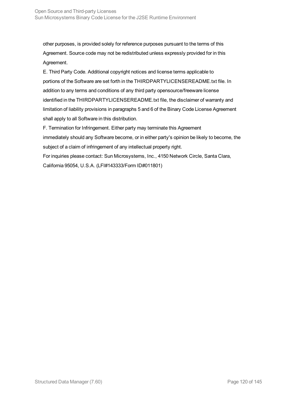other purposes, is provided solely for reference purposes pursuant to the terms of this Agreement. Source code may not be redistributed unless expressly provided for in this Agreement.

E. Third Party Code. Additional copyright notices and license terms applicable to portions of the Software are set forth in the THIRDPARTYLICENSEREADME.txt file. In addition to any terms and conditions of any third party opensource/freeware license identified in the THIRDPARTYLICENSEREADME.txt file, the disclaimer of warranty and limitation of liability provisions in paragraphs 5 and 6 of the Binary Code License Agreement shall apply to all Software in this distribution.

F. Termination for Infringement. Either party may terminate this Agreement immediately should any Software become, or in either party's opinion be likely to become, the subject of a claim of infringement of any intellectual property right.

For inquiries please contact: Sun Microsystems, Inc., 4150 Network Circle, Santa Clara, California 95054, U.S.A. (LFI#143333/Form ID#011801)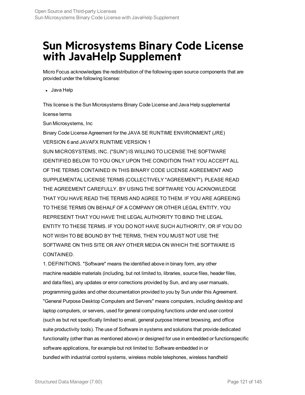## **Sun Microsystems Binary Code License with JavaHelp Supplement**

Micro Focus acknowledges the redistribution of the following open source components that are provided under the following license:

• Java Help

This license is the Sun Microsystems Binary Code License and Java Help supplemental license terms

Sun Microsystems, Inc

Binary Code License Agreement for the JAVA SE RUNTIME ENVIRONMENT (JRE) VERSION 6 and JAVAFX RUNTIME VERSION 1

SUN MICROSYSTEMS, INC. ("SUN") IS WILLING TO LICENSE THE SOFTWARE IDENTIFIED BELOW TO YOU ONLY UPON THE CONDITION THAT YOU ACCEPT ALL OF THE TERMS CONTAINED IN THIS BINARY CODE LICENSE AGREEMENT AND SUPPLEMENTAL LICENSE TERMS (COLLECTIVELY "AGREEMENT"). PLEASE READ THE AGREEMENT CAREFULLY. BY USING THE SOFTWARE YOU ACKNOWLEDGE THAT YOU HAVE READ THE TERMS AND AGREE TO THEM. IF YOU ARE AGREEING TO THESE TERMS ON BEHALF OF A COMPANY OR OTHER LEGAL ENTITY, YOU REPRESENT THAT YOU HAVE THE LEGAL AUTHORITY TO BIND THE LEGAL ENTITY TO THESE TERMS. IF YOU DO NOT HAVE SUCH AUTHORITY, OR IF YOU DO NOT WISH TO BE BOUND BY THE TERMS, THEN YOU MUST NOT USE THE SOFTWARE ON THIS SITE OR ANY OTHER MEDIA ON WHICH THE SOFTWARE IS CONTAINED.

1. DEFINITIONS. "Software" means the identified above in binary form, any other machine readable materials (including, but not limited to, libraries, source files, header files, and data files), any updates or error corrections provided by Sun, and any user manuals, programming guides and other documentation provided to you by Sun under this Agreement. "General Purpose Desktop Computers and Servers" means computers, including desktop and laptop computers, or servers, used for general computing functions under end user control (such as but not specifically limited to email, general purpose Internet browsing, and office suite productivity tools). The use of Software in systems and solutions that provide dedicated functionality (other than as mentioned above) or designed for use in embedded or functionspecific software applications, for example but not limited to: Software embedded in or bundled with industrial control systems, wireless mobile telephones, wireless handheld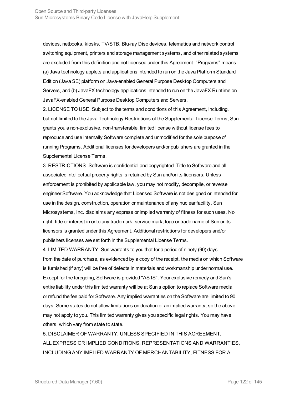devices, netbooks, kiosks, TV/STB, Blu-ray Disc devices, telematics and network control switching equipment, printers and storage management systems, and other related systems are excluded from this definition and not licensed under this Agreement. "Programs" means (a) Java technology applets and applications intended to run on the Java Platform Standard Edition (Java SE) platform on Java-enabled General Purpose Desktop Computers and Servers, and (b) JavaFX technology applications intended to run on the JavaFX Runtime on JavaFX-enabled General Purpose Desktop Computers and Servers.

2. LICENSE TO USE. Subject to the terms and conditions of this Agreement, including, but not limited to the Java Technology Restrictions of the Supplemental License Terms, Sun grants you a non-exclusive, non-transferable, limited license without license fees to reproduce and use internally Software complete and unmodified for the sole purpose of running Programs. Additional licenses for developers and/or publishers are granted in the Supplemental License Terms.

3. RESTRICTIONS. Software is confidential and copyrighted. Title to Software and all associated intellectual property rights is retained by Sun and/or its licensors. Unless enforcement is prohibited by applicable law, you may not modify, decompile, or reverse engineer Software. You acknowledge that Licensed Software is not designed or intended for use in the design, construction, operation or maintenance of any nuclear facility. Sun Microsystems, Inc. disclaims any express or implied warranty of fitness for such uses. No right, title or interest in or to any trademark, service mark, logo or trade name of Sun or its licensors is granted under this Agreement. Additional restrictions for developers and/or publishers licenses are set forth in the Supplemental License Terms.

4. LIMITED WARRANTY. Sun warrants to you that for a period of ninety (90) days from the date of purchase, as evidenced by a copy of the receipt, the media on which Software is furnished (if any) will be free of defects in materials and workmanship under normal use. Except for the foregoing, Software is provided "AS IS". Your exclusive remedy and Sun's entire liability under this limited warranty will be at Sun's option to replace Software media or refund the fee paid for Software. Any implied warranties on the Software are limited to 90 days. Some states do not allow limitations on duration of an implied warranty, so the above may not apply to you. This limited warranty gives you specific legal rights. You may have others, which vary from state to state.

5. DISCLAIMER OF WARRANTY. UNLESS SPECIFIED IN THIS AGREEMENT, ALL EXPRESS OR IMPLIED CONDITIONS, REPRESENTATIONS AND WARRANTIES, INCLUDING ANY IMPLIED WARRANTY OF MERCHANTABILITY, FITNESS FOR A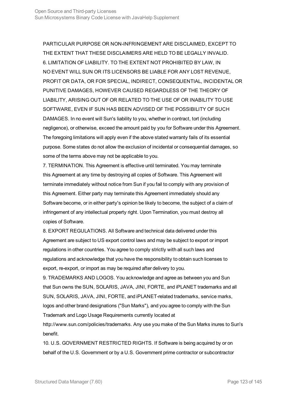PARTICULAR PURPOSE OR NON-INFRINGEMENT ARE DISCLAIMED, EXCEPT TO THE EXTENT THAT THESE DISCLAIMERS ARE HELD TO BE LEGALLY INVALID. 6. LIMITATION OF LIABILITY. TO THE EXTENT NOT PROHIBITED BY LAW, IN NO EVENT WILL SUN OR ITS LICENSORS BE LIABLE FOR ANY LOST REVENUE, PROFIT OR DATA, OR FOR SPECIAL, INDIRECT, CONSEQUENTIAL, INCIDENTAL OR PUNITIVE DAMAGES, HOWEVER CAUSED REGARDLESS OF THE THEORY OF LIABILITY, ARISING OUT OF OR RELATED TO THE USE OF OR INABILITY TO USE SOFTWARE, EVEN IF SUN HAS BEEN ADVISED OF THE POSSIBILITY OF SUCH DAMAGES. In no event will Sun's liability to you, whether in contract, tort (including negligence), or otherwise, exceed the amount paid by you for Software under this Agreement. The foregoing limitations will apply even if the above stated warranty fails of its essential purpose. Some states do not allow the exclusion of incidental or consequential damages, so some of the terms above may not be applicable to you.

7. TERMINATION. This Agreement is effective until terminated. You may terminate this Agreement at any time by destroying all copies of Software. This Agreement will terminate immediately without notice from Sun if you fail to comply with any provision of this Agreement. Either party may terminate this Agreement immediately should any Software become, or in either party's opinion be likely to become, the subject of a claim of infringement of any intellectual property right. Upon Termination, you must destroy all copies of Software.

8. EXPORT REGULATIONS. All Software and technical data delivered under this Agreement are subject to US export control laws and may be subject to export or import regulations in other countries. You agree to comply strictly with all such laws and regulations and acknowledge that you have the responsibility to obtain such licenses to export, re-export, or import as may be required after delivery to you.

9. TRADEMARKS AND LOGOS. You acknowledge and agree as between you and Sun that Sun owns the SUN, SOLARIS, JAVA, JINI, FORTE, and iPLANET trademarks and all SUN, SOLARIS, JAVA, JINI, FORTE, and iPLANET-related trademarks, service marks, logos and other brand designations ("Sun Marks"), and you agree to comply with the Sun Trademark and Logo Usage Requirements currently located at

http://www.sun.com/policies/trademarks. Any use you make of the Sun Marks inures to Sun's benefit.

10. U.S. GOVERNMENT RESTRICTED RIGHTS. If Software is being acquired by or on behalf of the U.S. Government or by a U.S. Government prime contractor or subcontractor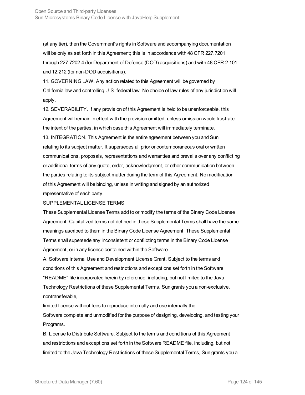(at any tier), then the Government's rights in Software and accompanying documentation will be only as set forth in this Agreement; this is in accordance with 48 CFR 227.7201 through 227.7202-4 (for Department of Defense (DOD) acquisitions) and with 48 CFR 2.101 and 12.212 (for non-DOD acquisitions).

11. GOVERNING LAW. Any action related to this Agreement will be governed by California law and controlling U.S. federal law. No choice of law rules of any jurisdiction will apply.

12. SEVERABILITY. If any provision of this Agreement is held to be unenforceable, this Agreement will remain in effect with the provision omitted, unless omission would frustrate the intent of the parties, in which case this Agreement will immediately terminate. 13. INTEGRATION. This Agreement is the entire agreement between you and Sun relating to its subject matter. It supersedes all prior or contemporaneous oral or written communications, proposals, representations and warranties and prevails over any conflicting or additional terms of any quote, order, acknowledgment, or other communication between the parties relating to its subject matter during the term of this Agreement. No modification of this Agreement will be binding, unless in writing and signed by an authorized representative of each party.

## SUPPLEMENTAL LICENSE TERMS

These Supplemental License Terms add to or modify the terms of the Binary Code License Agreement. Capitalized terms not defined in these Supplemental Terms shall have the same meanings ascribed to them in the Binary Code License Agreement. These Supplemental Terms shall supersede any inconsistent or conflicting terms in the Binary Code License Agreement, or in any license contained within the Software.

A. Software Internal Use and Development License Grant. Subject to the terms and conditions of this Agreement and restrictions and exceptions set forth in the Software "README" file incorporated herein by reference, including, but not limited to the Java Technology Restrictions of these Supplemental Terms, Sun grants you a non-exclusive, nontransferable,

limited license without fees to reproduce internally and use internally the Software complete and unmodified for the purpose of designing, developing, and testing your Programs.

B. License to Distribute Software. Subject to the terms and conditions of this Agreement and restrictions and exceptions set forth in the Software README file, including, but not limited to the Java Technology Restrictions of these Supplemental Terms, Sun grants you a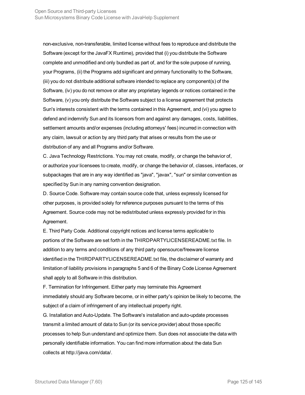non-exclusive, non-transferable, limited license without fees to reproduce and distribute the Software (except for the JavaFX Runtime), provided that (i) you distribute the Software complete and unmodified and only bundled as part of, and for the sole purpose of running, your Programs, (ii) the Programs add significant and primary functionality to the Software, (iii) you do not distribute additional software intended to replace any component(s) of the Software, (iv) you do not remove or alter any proprietary legends or notices contained in the Software, (v) you only distribute the Software subject to a license agreement that protects Sun's interests consistent with the terms contained in this Agreement, and (vi) you agree to defend and indemnify Sun and its licensors from and against any damages, costs, liabilities, settlement amounts and/or expenses (including attorneys' fees) incurred in connection with any claim, lawsuit or action by any third party that arises or results from the use or distribution of any and all Programs and/or Software.

C. Java Technology Restrictions. You may not create, modify, or change the behavior of, or authorize your licensees to create, modify, or change the behavior of, classes, interfaces, or subpackages that are in any way identified as "java", "javax", "sun" or similar convention as specified by Sun in any naming convention designation.

D. Source Code. Software may contain source code that, unless expressly licensed for other purposes, is provided solely for reference purposes pursuant to the terms of this Agreement. Source code may not be redistributed unless expressly provided for in this Agreement.

E. Third Party Code. Additional copyright notices and license terms applicable to portions of the Software are set forth in the THIRDPARTYLICENSEREADME.txt file. In addition to any terms and conditions of any third party opensource/freeware license identified in the THIRDPARTYLICENSEREADME.txt file, the disclaimer of warranty and limitation of liability provisions in paragraphs 5 and 6 of the Binary Code License Agreement shall apply to all Software in this distribution.

F. Termination for Infringement. Either party may terminate this Agreement immediately should any Software become, or in either party's opinion be likely to become, the subject of a claim of infringement of any intellectual property right.

G. Installation and Auto-Update. The Software's installation and auto-update processes transmit a limited amount of data to Sun (or its service provider) about those specific processes to help Sun understand and optimize them. Sun does not associate the data with personally identifiable information. You can find more information about the data Sun collects at http://java.com/data/.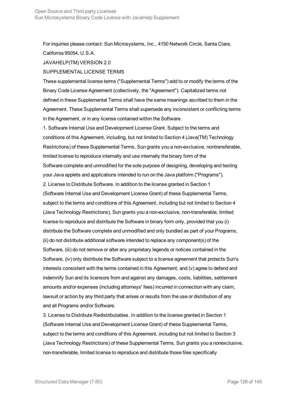For inquiries please contact: Sun Microsystems, Inc., 4150 Network Circle, Santa Clara, California 95054, U.S.A.

JAVAHELP(TM) VERSION 2.0

## SUPPLEMENTAL LICENSE TERMS

These supplemental license terms ("Supplemental Terms") add to or modify the terms of the Binary Code License Agreement (collectively, the "Agreement"). Capitalized terms not defined in these Supplemental Terms shall have the same meanings ascribed to them in the Agreement. These Supplemental Terms shall supersede any inconsistent or conflicting terms in the Agreement, or in any license contained within the Software.

1. Software Internal Use and Development License Grant. Subject to the terms and conditions of this Agreement, including, but not limited to Section 4 (Java(TM) Technology Restrictions) of these Supplemental Terms, Sun grants you a non-exclusive, nontransferable, limited license to reproduce internally and use internally the binary form of the Software complete and unmodified for the sole purpose of designing, developing and testing your Java applets and applications intended to run on the Java platform ("Programs"). 2. License to Distribute Software. In addition to the license granted in Section 1 (Software Internal Use and Development License Grant) of these Supplemental Terms, subject to the terms and conditions of this Agreement, including but not limited to Section 4 (Java Technology Restrictions), Sun grants you a non-exclusive, non-transferable, limited license to reproduce and distribute the Software in binary form only, provided that you (i) distribute the Software complete and unmodified and only bundled as part of your Programs, (ii) do not distribute additional software intended to replace any component(s) of the Software, (iii) do not remove or alter any proprietary legends or notices contained in the Software, (iv) only distribute the Software subject to a license agreement that protects Sun's interests consistent with the terms contained in this Agreement, and (v) agree to defend and indemnify Sun and its licensors from and against any damages, costs, liabilities, settlement amounts and/or expenses (including attorneys' fees) incurred in connection with any claim, lawsuit or action by any third party that arises or results from the use or distribution of any and all Programs and/or Software.

3. License to Distribute Redistributables. In addition to the license granted in Section 1 (Software Internal Use and Development License Grant) of these Supplemental Terms, subject to the terms and conditions of this Agreement, including but not limited to Section 3 (Java Technology Restrictions) of these Supplemental Terms, Sun grants you a nonexclusive, non-transferable, limited license to reproduce and distribute those files specifically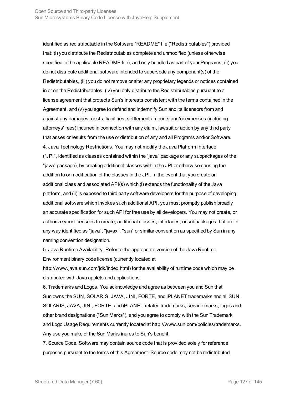identified as redistributable in the Software "README" file ("Redistributables") provided that: (i) you distribute the Redistributables complete and unmodified (unless otherwise specified in the applicable README file), and only bundled as part of your Programs, (ii) you do not distribute additional software intended to supersede any component(s) of the Redistributables, (iii) you do not remove or alter any proprietary legends or notices contained in or on the Redistributables, (iv) you only distribute the Redistributables pursuant to a license agreement that protects Sun's interests consistent with the terms contained in the Agreement, and (v) you agree to defend and indemnify Sun and its licensors from and against any damages, costs, liabilities, settlement amounts and/or expenses (including attorneys' fees) incurred in connection with any claim, lawsuit or action by any third party that arises or results from the use or distribution of any and all Programs and/or Software. 4. Java Technology Restrictions. You may not modify the Java Platform Interface ("JPI", identified as classes contained within the "java" package or any subpackages of the "java" package), by creating additional classes within the JPI or otherwise causing the addition to or modification of the classes in the JPI. In the event that you create an additional class and associated API(s) which (i) extends the functionality of the Java platform, and (ii) is exposed to third party software developers for the purpose of developing additional software which invokes such additional API, you must promptly publish broadly an accurate specification for such API for free use by all developers. You may not create, or authorize your licensees to create, additional classes, interfaces, or subpackages that are in any way identified as "java", "javax", "sun" or similar convention as specified by Sun in any naming convention designation.

5. Java Runtime Availability. Refer to the appropriate version of the Java Runtime Environment binary code license (currently located at

http://www.java.sun.com/jdk/index.html) for the availability of runtime code which may be distributed with Java applets and applications.

6. Trademarks and Logos. You acknowledge and agree as between you and Sun that Sun owns the SUN, SOLARIS, JAVA, JINI, FORTE, and iPLANET trademarks and all SUN, SOLARIS, JAVA, JINI, FORTE, and iPLANET-related trademarks, service marks, logos and other brand designations ("Sun Marks"), and you agree to comply with the Sun Trademark and Logo Usage Requirements currently located at http://www.sun.com/policies/trademarks. Any use you make of the Sun Marks inures to Sun's benefit.

7. Source Code. Software may contain source code that is provided solely for reference purposes pursuant to the terms of this Agreement. Source code may not be redistributed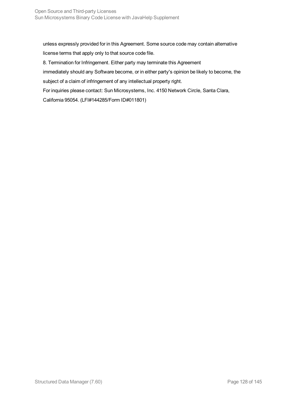unless expressly provided for in this Agreement. Some source code may contain alternative license terms that apply only to that source code file.

8. Termination for Infringement. Either party may terminate this Agreement

immediately should any Software become, or in either party's opinion be likely to become, the

subject of a claim of infringement of any intellectual property right.

For inquiries please contact: Sun Microsystems, Inc. 4150 Network Circle, Santa Clara,

California 95054. (LFI#144285/Form ID#011801)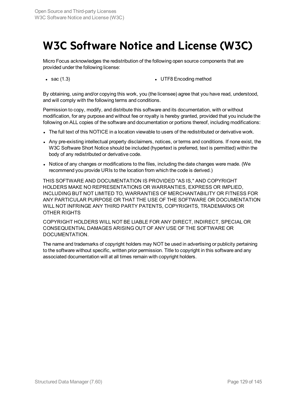# **W3C Software Notice and License (W3C)**

Micro Focus acknowledges the redistribution of the following open source components that are provided under the following license:

- 
- sac (1.3) **later in the Community Community Community Community Community Community Community Community Community Community Community Community Community Community Community Community Community Community Community Commun**

By obtaining, using and/or copying this work, you (the licensee) agree that you have read, understood, and will comply with the following terms and conditions.

Permission to copy, modify, and distribute this software and its documentation, with or without modification, for any purpose and without fee or royalty is hereby granted, provided that you include the following on ALL copies of the software and documentation or portions thereof, including modifications:

- The full text of this NOTICE in a location viewable to users of the redistributed or derivative work.
- Any pre-existing intellectual property disclaimers, notices, or terms and conditions. If none exist, the W3C Software Short Notice should be included (hypertext is preferred, text is permitted) within the body of any redistributed or derivative code.
- Notice of any changes or modifications to the files, including the date changes were made. (We recommend you provide URIs to the location from which the code is derived.)

THIS SOFTWARE AND DOCUMENTATION IS PROVIDED "AS IS," AND COPYRIGHT HOLDERS MAKE NO REPRESENTATIONS OR WARRANTIES, EXPRESS OR IMPLIED, INCLUDING BUT NOT LIMITED TO, WARRANTIES OF MERCHANTABILITY OR FITNESS FOR ANY PARTICULAR PURPOSE OR THAT THE USE OF THE SOFTWARE OR DOCUMENTATION WILL NOT INFRINGE ANY THIRD PARTY PATENTS, COPYRIGHTS, TRADEMARKS OR OTHER RIGHTS

COPYRIGHT HOLDERS WILL NOT BE LIABLE FOR ANY DIRECT, INDIRECT, SPECIAL OR CONSEQUENTIAL DAMAGES ARISING OUT OF ANY USE OF THE SOFTWARE OR DOCUMENTATION.

The name and trademarks of copyright holders may NOT be used in advertising or publicity pertaining to the software without specific, written prior permission. Title to copyright in this software and any associated documentation will at all times remain with copyright holders.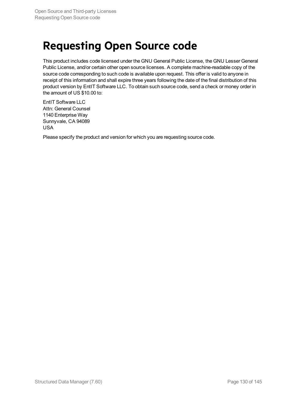# **Requesting Open Source code**

This product includes code licensed under the GNU General Public License, the GNU Lesser General Public License, and/or certain other open source licenses. A complete machine-readable copy of the source code corresponding to such code is available upon request. This offer is valid to anyone in receipt of this information and shall expire three years following the date of the final distribution of this product version by EntIT Software LLC. To obtain such source code, send a check or money order in the amount of US \$10.00 to:

EntIT Software LLC Attn: General Counsel 1140 Enterprise Way Sunnyvale, CA 94089 USA

Please specify the product and version for which you are requesting source code.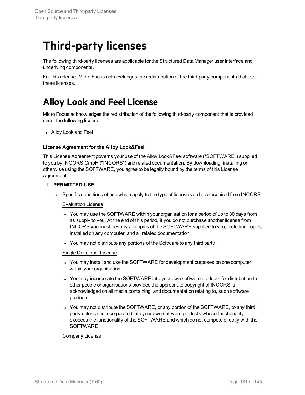# **Third-party licenses**

The following third-party licenses are applicable for the Structured Data Manager user interface and underlying components.

For this release, Micro Focus acknowledges the redistribution of the third-party components that use these licenses.

## **Alloy Look and Feel License**

Micro Focus acknowledges the redistribution of the following third-party component that is provided under the following license:

• Alloy Look and Feel

## **License Agreement for the Alloy Look&Feel**

This License Agreement governs your use of the Alloy Look&Feel software ("SOFTWARE") supplied to you by INCORS GmbH ("INCORS") and related documentation. By downloading, installing or otherwise using the SOFTWARE, you agree to be legally bound by the terms of this License Agreement.

## 1. **PERMITTED USE**

a. Specific conditions of use which apply to the type of license you have acquired from INCORS

## Evaluation License

- You may use the SOFTWARE within your organisation for a period of up to 30 days from its supply to you. At the end of this period, if you do not purchase another license from INCORS you must destroy all copies of the SOFTWARE supplied to you, including copies installed on any computer, and all related documentation.
- You may not distribute any portions of the Software to any third party

## Single Developer License

- You may install and use the SOFTWARE for development purposes on one computer within your organisation.
- You may incorporate the SOFTWARE into your own software products for distribution to other people or organisations provided the appropriate copyright of INCORS is acknowledged on all media containing, and documentation relating to, such software products.
- You may not distribute the SOFTWARE, or any portion of the SOFTWARE, to any third party unless it is incorporated into your own software products whose functionality exceeds the functionality of the SOFTWARE and which do not compete directly with the SOFTWARE.

## Company License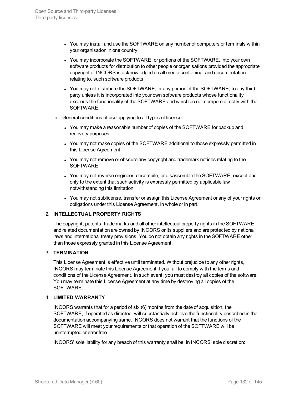- You may install and use the SOFTWARE on any number of computers or terminals within your organisation in one country.
- You may incorporate the SOFTWARE, or portions of the SOFTWARE, into your own software products for distribution to other people or organisations provided the appropriate copyright of INCORS is acknowledged on all media containing, and documentation relating to, such software products.
- You may not distribute the SOFTWARE, or any portion of the SOFTWARE, to any third party unless it is incorporated into your own software products whose functionality exceeds the functionality of the SOFTWARE and which do not compete directly with the SOFTWARE.
- b. General conditions of use applying to all types of license.
	- You may make a reasonable number of copies of the SOFTWARE for backup and recovery purposes.
	- You may not make copies of the SOFTWARE additional to those expressly permitted in this License Agreement.
	- You may not remove or obscure any copyright and trademark notices relating to the SOFTWARE.
	- You may not reverse engineer, decompile, or disassemble the SOFTWARE, except and only to the extent that such activity is expressly permitted by applicable law notwithstanding this limitation.
	- You may not sublicense, transfer or assign this License Agreement or any of your rights or obligations under this License Agreement, in whole or in part.

## 2. **INTELLECTUAL PROPERTY RIGHTS**

The copyright, patents, trade marks and all other intellectual property rights in the SOFTWARE and related documentation are owned by INCORS or its suppliers and are protected by national laws and international treaty provisions. You do not obtain any rights in the SOFTWARE other than those expressly granted in this License Agreement.

## 3. **TERMINATION**

This License Agreement is effective until terminated. Without prejudice to any other rights, INCORS may terminate this License Agreement if you fail to comply with the terms and conditions of the License Agreement. In such event, you must destroy all copies of the software. You may terminate this License Agreement at any time by destroying all copies of the SOFTWARE.

## 4. **LIMITED WARRANTY**

INCORS warrants that for a period of six (6) months from the date of acquisition, the SOFTWARE, if operated as directed, will substantially achieve the functionality described in the documentation accompanying same. INCORS does not warrant that the functions of the SOFTWARE will meet your requirements or that operation of the SOFTWARE will be uninterrupted or error free.

INCORS' sole liability for any breach of this warranty shall be, in INCORS' sole discretion: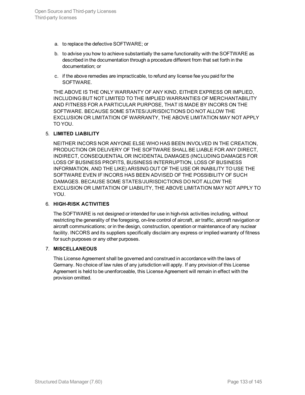- a. to replace the defective SOFTWARE; or
- b. to advise you how to achieve substantially the same functionality with the SOFTWARE as described in the documentation through a procedure different from that set forth in the documentation; or
- c. if the above remedies are impracticable, to refund any license fee you paid for the SOFTWARE.

THE ABOVE IS THE ONLY WARRANTY OF ANY KIND, EITHER EXPRESS OR IMPLIED, INCLUDING BUT NOT LIMITED TO THE IMPLIED WARRANTIES OF MERCHANTABILITY AND FITNESS FOR A PARTICULAR PURPOSE, THAT IS MADE BY INCORS ON THE SOFTWARE. BECAUSE SOME STATES/JURISDICTIONS DO NOT ALLOW THE EXCLUSION OR LIMITATION OF WARRANTY, THE ABOVE LIMITATION MAY NOT APPLY TO YOU.

## 5. **LIMITED LIABILITY**

NEITHER INCORS NOR ANYONE ELSE WHO HAS BEEN INVOLVED IN THE CREATION, PRODUCTION OR DELIVERY OF THE SOFTWARE SHALL BE LIABLE FOR ANY DIRECT, INDIRECT, CONSEQUENTIAL OR INCIDENTAL DAMAGES (INCLUDING DAMAGES FOR LOSS OF BUSINESS PROFITS, BUSINESS INTERRUPTION, LOSS OF BUSINESS INFORMATION, AND THE LIKE) ARISING OUT OF THE USE OR INABILITY TO USE THE SOFTWARE EVEN IF INCORS HAS BEEN ADVISED OF THE POSSIBILITY OF SUCH DAMAGES. BECAUSE SOME STATES/JURISDICTIONS DO NOT ALLOW THE EXCLUSION OR LIMITATION OF LIABILITY, THE ABOVE LIMITATION MAY NOT APPLY TO YOU.

## 6. **HIGH-RISK ACTIVITIES**

The SOFTWARE is not designed or intended for use in high-risk activities including, without restricting the generality of the foregoing, on-line control of aircraft, air traffic, aircraft navigation or aircraft communications; or in the design, construction, operation or maintenance of any nuclear facility. INCORS and its suppliers specifically disclaim any express or implied warranty of fitness for such purposes or any other purposes.

## 7. **MISCELLANEOUS**

This License Agreement shall be governed and construed in accordance with the laws of Germany. No choice of law rules of any jurisdiction will apply. If any provision of this License Agreement is held to be unenforceable, this License Agreement will remain in effect with the provision omitted.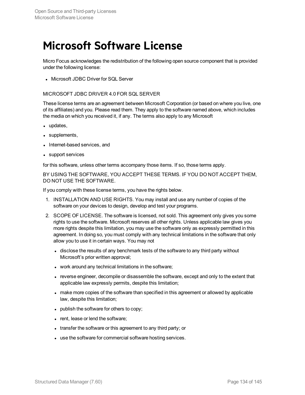# **Microsoft Software License**

Micro Focus acknowledges the redistribution of the following open source component that is provided under the following license:

• Microsoft JDBC Driver for SQL Server

## MICROSOFT JDBC DRIVER 4.0 FOR SQL SERVER

These license terms are an agreement between Microsoft Corporation (or based on where you live, one of its affiliates) and you. Please read them. They apply to the software named above, which includes the media on which you received it, if any. The terms also apply to any Microsoft

- updates,
- supplements,
- Internet-based services, and
- support services

for this software, unless other terms accompany those items. If so, those terms apply.

BY USING THE SOFTWARE, YOU ACCEPT THESE TERMS. IF YOU DO NOT ACCEPT THEM, DO NOT USE THE SOFTWARE.

If you comply with these license terms, you have the rights below.

- 1. INSTALLATION AND USE RIGHTS. You may install and use any number of copies of the software on your devices to design, develop and test your programs.
- 2. SCOPE OF LICENSE. The software is licensed, not sold. This agreement only gives you some rights to use the software. Microsoft reserves all other rights. Unless applicable law gives you more rights despite this limitation, you may use the software only as expressly permitted in this agreement. In doing so, you must comply with any technical limitations in the software that only allow you to use it in certain ways. You may not
	- disclose the results of any benchmark tests of the software to any third party without Microsoft's prior written approval;
	- work around any technical limitations in the software;
	- reverse engineer, decompile or disassemble the software, except and only to the extent that applicable law expressly permits, despite this limitation;
	- make more copies of the software than specified in this agreement or allowed by applicable law, despite this limitation;
	- publish the software for others to copy;
	- rent, lease or lend the software;
	- transfer the software or this agreement to any third party; or
	- . use the software for commercial software hosting services.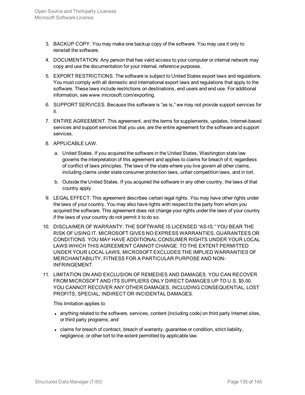- 3. BACKUP COPY. You may make one backup copy of the software. You may use it only to reinstall the software.
- 4. DOCUMENTATION. Any person that has valid access to your computer or internal network may copy and use the documentation for your internal, reference purposes.
- 5. EXPORT RESTRICTIONS. The software is subject to United States export laws and regulations. You must comply with all domestic and international export laws and regulations that apply to the software. These laws include restrictions on destinations, end users and end use. For additional information, see www.microsoft.com/exporting.
- 6. SUPPORT SERVICES. Because this software is "as is," we may not provide support services for it.
- 7. ENTIRE AGREEMENT. This agreement, and the terms for supplements, updates, Internet-based services and support services that you use, are the entire agreement for the software and support services.
- 8. APPLICABLE LAW.
	- a. United States. If you acquired the software in the United States, Washington state law governs the interpretation of this agreement and applies to claims for breach of it, regardless of conflict of laws principles. The laws of the state where you live govern all other claims, including claims under state consumer protection laws, unfair competition laws, and in tort.
	- b. Outside the United States. If you acquired the software in any other country, the laws of that country apply.
- 9. LEGAL EFFECT. This agreement describes certain legal rights. You may have other rights under the laws of your country. You may also have rights with respect to the party from whom you acquired the software. This agreement does not change your rights under the laws of your country if the laws of your country do not permit it to do so.
- 10. DISCLAIMER OF WARRANTY. THE SOFTWARE IS LICENSED "AS-IS." YOU BEAR THE RISK OF USING IT. MICROSOFT GIVES NO EXPRESS WARRANTIES, GUARANTEES OR CONDITIONS. YOU MAY HAVE ADDITIONAL CONSUMER RIGHTS UNDER YOUR LOCAL LAWS WHICH THIS AGREEMENT CANNOT CHANGE. TO THE EXTENT PERMITTED UNDER YOUR LOCAL LAWS, MICROSOFT EXCLUDES THE IMPLIED WARRANTIES OF MERCHANTABILITY, FITNESS FOR A PARTICULAR PURPOSE AND NON-INFRINGEMENT.
- 11. LIMITATION ON AND EXCLUSION OF REMEDIES AND DAMAGES. YOU CAN RECOVER FROM MICROSOFT AND ITS SUPPLIERS ONLY DIRECT DAMAGES UP TO U.S. \$5.00. YOU CANNOT RECOVER ANY OTHER DAMAGES, INCLUDING CONSEQUENTIAL, LOST PROFITS, SPECIAL, INDIRECT OR INCIDENTAL DAMAGES.

This limitation applies to

- anything related to the software, services, content (including code) on third party Internet sites, or third party programs; and
- claims for breach of contract, breach of warranty, guarantee or condition, strict liability, negligence, or other tort to the extent permitted by applicable law.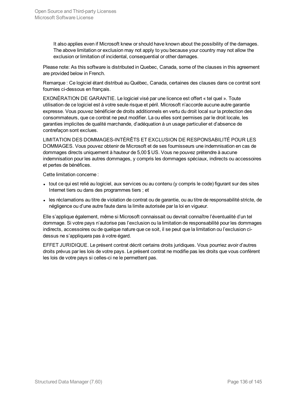It also applies even if Microsoft knew or should have known about the possibility of the damages. The above limitation or exclusion may not apply to you because your country may not allow the exclusion or limitation of incidental, consequential or other damages.

Please note: As this software is distributed in Quebec, Canada, some of the clauses in this agreement are provided below in French.

Remarque : Ce logiciel étant distribué au Québec, Canada, certaines des clauses dans ce contrat sont fournies ci-dessous en français.

EXONÉRATION DE GARANTIE. Le logiciel visé par une licence est offert « tel quel ». Toute utilisation de ce logiciel est à votre seule risque et péril. Microsoft n'accorde aucune autre garantie expresse. Vous pouvez bénéficier de droits additionnels en vertu du droit local sur la protection des consommateurs, que ce contrat ne peut modifier. La ou elles sont permises par le droit locale, les garanties implicites de qualité marchande, d'adéquation à un usage particulier et d'absence de contrefaçon sont exclues.

LIMITATION DES DOMMAGES-INTÉRÊTS ET EXCLUSION DE RESPONSABILITÉ POUR LES DOMMAGES. Vous pouvez obtenir de Microsoft et de ses fournisseurs une indemnisation en cas de dommages directs uniquement à hauteur de 5,00 \$ US. Vous ne pouvez prétendre à aucune indemnisation pour les autres dommages, y compris les dommages spéciaux, indirects ou accessoires et pertes de bénéfices.

Cette limitation concerne :

- tout ce qui est relié au logiciel, aux services ou au contenu (y compris le code) figurant sur des sites Internet tiers ou dans des programmes tiers ; et
- les réclamations au titre de violation de contrat ou de garantie, ou au titre de responsabilité stricte, de négligence ou d'une autre faute dans la limite autorisée par la loi en vigueur.

Elle s'applique également, même si Microsoft connaissait ou devrait connaître l'éventualité d'un tel dommage. Si votre pays n'autorise pas l'exclusion ou la limitation de responsabilité pour les dommages indirects, accessoires ou de quelque nature que ce soit, il se peut que la limitation ou l'exclusion cidessus ne s'appliquera pas à votre égard.

EFFET JURIDIQUE. Le présent contrat décrit certains droits juridiques. Vous pourriez avoir d'autres droits prévus par les lois de votre pays. Le présent contrat ne modifie pas les droits que vous confèrent les lois de votre pays si celles-ci ne le permettent pas.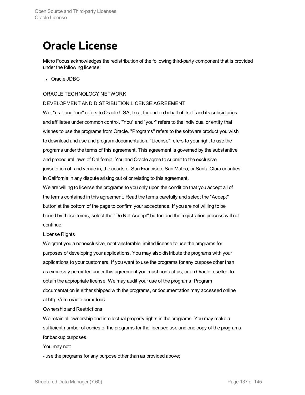# **Oracle License**

Micro Focus acknowledges the redistribution of the following third-party component that is provided under the following license:

• Oracle JDBC

## ORACLE TECHNOLOGY NETWORK

## DEVELOPMENT AND DISTRIBUTION LICENSE AGREEMENT

We, "us," and "our" refers to Oracle USA, Inc., for and on behalf of itself and its subsidiaries and affiliates under common control. "You" and "your" refers to the individual or entity that wishes to use the programs from Oracle. "Programs" refers to the software product you wish to download and use and program documentation. "License" refers to your right to use the programs under the terms of this agreement. This agreement is governed by the substantive and procedural laws of California. You and Oracle agree to submit to the exclusive jurisdiction of, and venue in, the courts of San Francisco, San Mateo, or Santa Clara counties in California in any dispute arising out of or relating to this agreement.

We are willing to license the programs to you only upon the condition that you accept all of the terms contained in this agreement. Read the terms carefully and select the "Accept" button at the bottom of the page to confirm your acceptance. If you are not willing to be bound by these terms, select the "Do Not Accept" button and the registration process will not continue.

## License Rights

We grant you a nonexclusive, nontransferable limited license to use the programs for purposes of developing your applications. You may also distribute the programs with your applications to your customers. If you want to use the programs for any purpose other than as expressly permitted under this agreement you must contact us, or an Oracle reseller, to obtain the appropriate license. We may audit your use of the programs. Program documentation is either shipped with the programs, or documentation may accessed online at http://otn.oracle.com/docs.

## Ownership and Restrictions

We retain all ownership and intellectual property rights in the programs. You may make a sufficient number of copies of the programs for the licensed use and one copy of the programs for backup purposes.

You may not:

- use the programs for any purpose other than as provided above;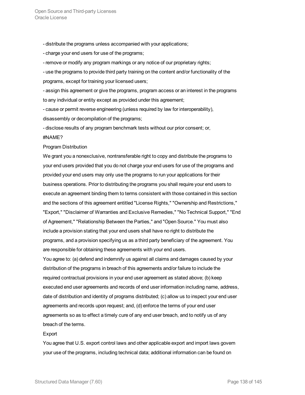- distribute the programs unless accompanied with your applications;

- charge your end users for use of the programs;

- remove or modify any program markings or any notice of our proprietary rights;

- use the programs to provide third party training on the content and/or functionality of the programs, except for training your licensed users;

- assign this agreement or give the programs, program access or an interest in the programs to any individual or entity except as provided under this agreement;

- cause or permit reverse engineering (unless required by law for interoperability), disassembly or decompilation of the programs;

- disclose results of any program benchmark tests without our prior consent; or,

## #NAME?

Program Distribution

We grant you a nonexclusive, nontransferable right to copy and distribute the programs to your end users provided that you do not charge your end users for use of the programs and provided your end users may only use the programs to run your applications for their business operations. Prior to distributing the programs you shall require your end users to execute an agreement binding them to terms consistent with those contained in this section and the sections of this agreement entitled "License Rights," "Ownership and Restrictions," "Export," "Disclaimer of Warranties and Exclusive Remedies," "No Technical Support," "End of Agreement," "Relationship Between the Parties," and "Open Source." You must also include a provision stating that your end users shall have no right to distribute the programs, and a provision specifying us as a third party beneficiary of the agreement. You are responsible for obtaining these agreements with your end users.

You agree to: (a) defend and indemnify us against all claims and damages caused by your distribution of the programs in breach of this agreements and/or failure to include the required contractual provisions in your end user agreement as stated above; (b) keep executed end user agreements and records of end user information including name, address, date of distribution and identity of programs distributed; (c) allow us to inspect your end user agreements and records upon request; and, (d) enforce the terms of your end user agreements so as to effect a timely cure of any end user breach, and to notify us of any breach of the terms.

## Export

You agree that U.S. export control laws and other applicable export and import laws govern your use of the programs, including technical data; additional information can be found on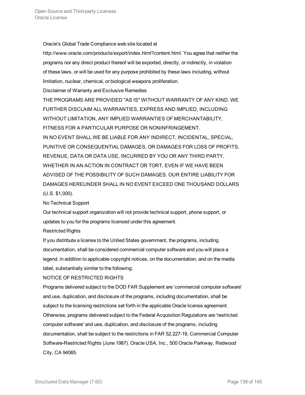Oracle's Global Trade Compliance web site located at

http://www.oracle.com/products/export/index.html?content.html. You agree that neither the programs nor any direct product thereof will be exported, directly, or indirectly, in violation of these laws, or will be used for any purpose prohibited by these laws including, without limitation, nuclear, chemical, or biological weapons proliferation. Disclaimer of Warranty and Exclusive Remedies THE PROGRAMS ARE PROVIDED "AS IS" WITHOUT WARRANTY OF ANY KIND. WE FURTHER DISCLAIM ALL WARRANTIES, EXPRESS AND IMPLIED, INCLUDING WITHOUT LIMITATION, ANY IMPLIED WARRANTIES OF MERCHANTABILITY, FITNESS FOR A PARTICULAR PURPOSE OR NONINFRINGEMENT. IN NO EVENT SHALL WE BE LIABLE FOR ANY INDIRECT, INCIDENTAL, SPECIAL, PUNITIVE OR CONSEQUENTIAL DAMAGES, OR DAMAGES FOR LOSS OF PROFITS, REVENUE, DATA OR DATA USE, INCURRED BY YOU OR ANY THIRD PARTY, WHETHER IN AN ACTION IN CONTRACT OR TORT, EVEN IF WE HAVE BEEN ADVISED OF THE POSSIBILITY OF SUCH DAMAGES. OUR ENTIRE LIABILITY FOR DAMAGES HEREUNDER SHALL IN NO EVENT EXCEED ONE THOUSAND DOLLARS (U.S. \$1,000).

No Technical Support

Our technical support organization will not provide technical support, phone support, or updates to you for the programs licensed under this agreement.

Restricted Rights

If you distribute a license to the United States government, the programs, including documentation, shall be considered commercial computer software and you will place a legend, in addition to applicable copyright notices, on the documentation, and on the media label, substantially similar to the following:

## NOTICE OF RESTRICTED RIGHTS

Programs delivered subject to the DOD FAR Supplement are 'commercial computer software' and use, duplication, and disclosure of the programs, including documentation, shall be subject to the licensing restrictions set forth in the applicable Oracle license agreement. Otherwise, programs delivered subject to the Federal Acquisition Regulations are 'restricted computer software' and use, duplication, and disclosure of the programs, including documentation, shall be subject to the restrictions in FAR 52.227-19, Commercial Computer Software-Restricted Rights (June 1987). Oracle USA, Inc., 500 Oracle Parkway, Redwood City, CA 94065.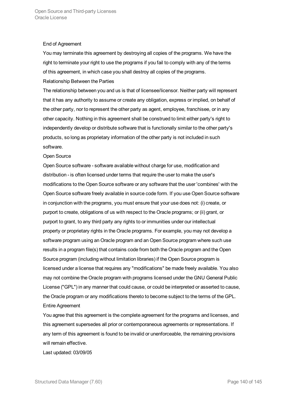#### End of Agreement

You may terminate this agreement by destroying all copies of the programs. We have the right to terminate your right to use the programs if you fail to comply with any of the terms of this agreement, in which case you shall destroy all copies of the programs.

Relationship Between the Parties

The relationship between you and us is that of licensee/licensor. Neither party will represent that it has any authority to assume or create any obligation, express or implied, on behalf of the other party, nor to represent the other party as agent, employee, franchisee, or in any other capacity. Nothing in this agreement shall be construed to limit either party's right to independently develop or distribute software that is functionally similar to the other party's products, so long as proprietary information of the other party is not included in such software.

#### Open Source

Open Source software - software available without charge for use, modification and distribution - is often licensed under terms that require the user to make the user's modifications to the Open Source software or any software that the user 'combines' with the Open Source software freely available in source code form. If you use Open Source software in conjunction with the programs, you must ensure that your use does not: (i) create, or purport to create, obligations of us with respect to the Oracle programs; or (ii) grant, or purport to grant, to any third party any rights to or immunities under our intellectual property or proprietary rights in the Oracle programs. For example, you may not develop a software program using an Oracle program and an Open Source program where such use results in a program file(s) that contains code from both the Oracle program and the Open Source program (including without limitation libraries) if the Open Source program is licensed under a license that requires any "modifications" be made freely available. You also may not combine the Oracle program with programs licensed under the GNU General Public License ("GPL") in any manner that could cause, or could be interpreted or asserted to cause, the Oracle program or any modifications thereto to become subject to the terms of the GPL. Entire Agreement

You agree that this agreement is the complete agreement for the programs and licenses, and this agreement supersedes all prior or contemporaneous agreements or representations. If any term of this agreement is found to be invalid or unenforceable, the remaining provisions will remain effective.

Last updated: 03/09/05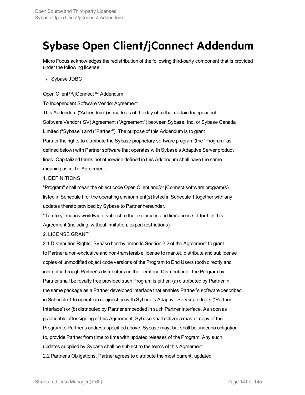# **Sybase Open Client/jConnect Addendum**

Micro Focus acknowledges the redistribution of the following third-party component that is provided under the following license:

• Sybase JDBC

## Open Client™/jConnect™ Addendum

To Independent Software Vendor Agreement

This Addendum ("Addendum") is made as of the day of to that certain Independent Software Vendor (ISV) Agreement ("Agreement") between Sybase, Inc. or Sybase Canada Limited ("Sybase") and ("Partner"). The purpose of this Addendum is to grant Partner the rights to distribute the Sybase proprietary software program (the "Program" as defined below) with Partner software that operates with Sybase's Adaptive Server product lines. Capitalized terms not otherwise defined in this Addendum shall have the same meaning as in the Agreement.

## 1. DEFINITIONS

"Program" shall mean the object code Open Client and/or jConnect software program(s) listed in Schedule I for the operating environment(s) listed in Schedule 1 together with any updates thereto provided by Sybase to Partner hereunder.

"Territory" means worldwide, subject to the exclusions and limitations set forth in this Agreement (including, without limitation, export restrictions).

## 2. LICENSE GRANT

2.1 Distribution Rights. Sybase hereby amends Section 2.2 of the Agreement to grant to Partner a non-exclusive and non-transferable license to market, distribute and sublicense copies of unmodified object code versions of the Program to End Users (both directly and indirectly through Partner's distributors) in the Territory. Distribution of the Program by Partner shall be royalty free provided such Program is either: (a) distributed by Partner in the same package as a Partner developed interface that enables Partner's software described in Schedule 1 to operate in conjunction with Sybase's Adaptive Server products ("Partner Interface") or (b) distributed by Partner embedded in such Partner Interface. As soon as practicable after signing of this Agreement, Sybase shall deliver a master copy of the Program to Partner's address specified above. Sybase may, but shall be under no obligation to, provide Partner from time to time with updated releases of the Program. Any such updates supplied by Sybase shall be subject to the terms of this Agreement. 2.2 Partner's Obligations. Partner agrees to distribute the most current, updated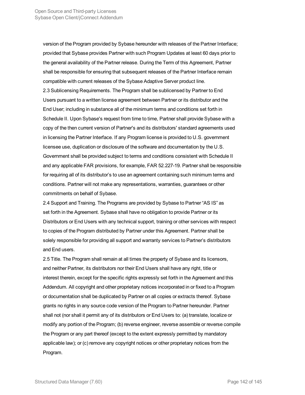version of the Program provided by Sybase hereunder with releases of the Partner Interface; provided that Sybase provides Partner with such Program Updates at least 60 days prior to the general availability of the Partner release. During the Term of this Agreement, Partner shall be responsible for ensuring that subsequent releases of the Partner Interface remain compatible with current releases of the Sybase Adaptive Server product line. 2.3 Sublicensing Requirements. The Program shall be sublicensed by Partner to End Users pursuant to a written license agreement between Partner or its distributor and the End User; including in substance all of the minimum terms and conditions set forth in Schedule II. Upon Sybase's request from time to time, Partner shall provide Sybase with a copy of the then current version of Partner's and its distributors' standard agreements used in licensing the Partner Interface. If any Program license is provided to U.S. government licensee use, duplication or disclosure of the software and documentation by the U.S. Government shall be provided subject to terms and conditions consistent with Schedule II and any applicable FAR provisions, for example, FAR 52.227-19. Partner shall be responsible for requiring all of its distributor's to use an agreement containing such minimum terms and conditions. Partner will not make any representations, warranties, guarantees or other commitments on behalf of Sybase.

2.4 Support and Training. The Programs are provided by Sybase to Partner "AS IS" as set forth in the Agreement. Sybase shall have no obligation to provide Partner or its Distributors or End Users with any technical support, training or other services with respect to copies of the Program distributed by Partner under this Agreement. Partner shall be solely responsible for providing all support and warranty services to Partner's distributors and End users.

2.5 Title. The Program shall remain at all times the property of Sybase and its licensors, and neither Partner, its distributors nor their End Users shall have any right, title or interest therein, except for the specific rights expressly set forth in the Agreement and this Addendum. All copyright and other proprietary notices incorporated in or fixed to a Program or documentation shall be duplicated by Partner on all copies or extracts thereof. Sybase grants no rights in any source code version of the Program to Partner hereunder. Partner shall not (nor shall it permit any of its distributors or End Users to: (a) translate, localize or modify any portion of the Program; (b) reverse engineer, reverse assemble or reverse compile the Program or any part thereof (except to the extent expressly permitted by mandatory applicable law); or (c) remove any copyright notices or other proprietary notices from the Program.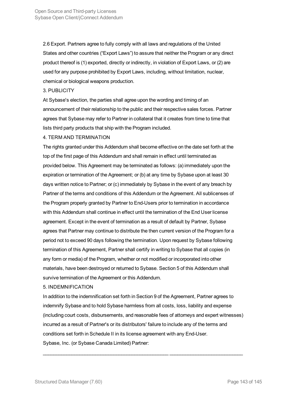2.6 Export. Partners agree to fully comply with all laws and regulations of the United States and other countries ("Export Laws") to assure that neither the Program or any direct product thereof is (1) exported, directly or indirectly, in violation of Export Laws, or (2) are used for any purpose prohibited by Export Laws, including, without limitation, nuclear, chemical or biological weapons production.

## 3. PUBLICITY

At Sybase's election, the parties shall agree upon the wording and timing of an announcement of their relationship to the public and their respective sales forces. Partner agrees that Sybase may refer to Partner in collateral that it creates from time to time that lists third party products that ship with the Program included.

## 4. TERM AND TERMINATION

The rights granted under this Addendum shall become effective on the date set forth at the top of the first page of this Addendum and shall remain in effect until terminated as provided below. This Agreement may be terminated as follows: (a) immediately upon the expiration or termination of the Agreement; or (b) at any time by Sybase upon at least 30 days written notice to Partner; or (c) immediately by Sybase in the event of any breach by Partner of the terms and conditions of this Addendum or the Agreement. All sublicenses of the Program properly granted by Partner to End-Users prior to termination in accordance with this Addendum shall continue in effect until the termination of the End User license agreement. Except in the event of termination as a result of default by Partner, Sybase agrees that Partner may continue to distribute the then current version of the Program for a period not to exceed 90 days following the termination. Upon request by Sybase following termination of this Agreement, Partner shall certify in writing to Sybase that all copies (in any form or media) of the Program, whether or not modified or incorporated into other materials, have been destroyed or returned to Sybase. Section 5 of this Addendum shall survive termination of the Agreement or this Addendum.

## 5. INDEMNIFICATION

In addition to the indemnification set forth in Section 9 of the Agreement, Partner agrees to indemnify Sybase and to hold Sybase harmless from all costs, loss, liability and expense (including court costs, disbursements, and reasonable fees of attorneys and expert witnesses) incurred as a result of Partner's or its distributors' failure to include any of the terms and conditions set forth in Schedule II in its license agreement with any End-User. Sybase, Inc. (or Sybase Canada Limited) Partner:

\_\_\_\_\_\_\_\_\_\_\_\_\_\_\_\_\_\_\_\_\_\_\_\_\_\_\_\_\_\_\_\_\_\_\_\_\_\_\_\_\_\_\_\_\_\_\_\_ \_\_\_\_\_\_\_\_\_\_\_\_\_\_\_\_\_\_\_\_\_\_\_\_\_\_\_\_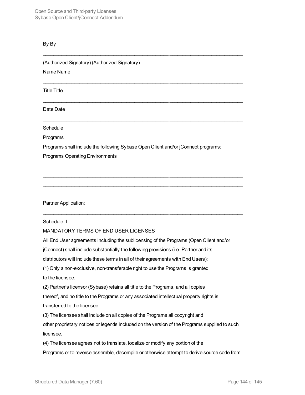## By By

(Authorized Signatory) (Authorized Signatory) Name Name

Title Title

Date Date

Schedule I

Programs

Programs shall include the following Sybase Open Client and/or jConnect programs:

\_\_\_\_\_\_\_\_\_\_\_\_\_\_\_\_\_\_\_\_\_\_\_\_\_\_\_\_\_\_\_\_\_\_\_\_\_\_\_\_\_\_\_\_\_\_\_\_ \_\_\_\_\_\_\_\_\_\_\_\_\_\_\_\_\_\_\_\_\_\_\_\_\_\_\_\_

\_\_\_\_\_\_\_\_\_\_\_\_\_\_\_\_\_\_\_\_\_\_\_\_\_\_\_\_\_\_\_\_\_\_\_\_\_\_\_\_\_\_\_\_\_\_\_\_ \_\_\_\_\_\_\_\_\_\_\_\_\_\_\_\_\_\_\_\_\_\_\_\_\_\_\_\_

\_\_\_\_\_\_\_\_\_\_\_\_\_\_\_\_\_\_\_\_\_\_\_\_\_\_\_\_\_\_\_\_\_\_\_\_\_\_\_\_\_\_\_\_\_\_\_\_ \_\_\_\_\_\_\_\_\_\_\_\_\_\_\_\_\_\_\_\_\_\_\_\_\_\_\_\_

\_\_\_\_\_\_\_\_\_\_\_\_\_\_\_\_\_\_\_\_\_\_\_\_\_\_\_\_\_\_\_\_\_\_\_\_\_\_\_\_\_\_\_\_\_\_\_\_ \_\_\_\_\_\_\_\_\_\_\_\_\_\_\_\_\_\_\_\_\_\_\_\_\_\_\_\_

\_\_\_\_\_\_\_\_\_\_\_\_\_\_\_\_\_\_\_\_\_\_\_\_\_\_\_\_\_\_\_\_\_\_\_\_\_\_\_\_\_\_\_\_\_\_\_\_ \_\_\_\_\_\_\_\_\_\_\_\_\_\_\_\_\_\_\_\_\_\_\_\_\_\_\_\_ \_\_\_\_\_\_\_\_\_\_\_\_\_\_\_\_\_\_\_\_\_\_\_\_\_\_\_\_\_\_\_\_\_\_\_\_\_\_\_\_\_\_\_\_\_\_\_\_ \_\_\_\_\_\_\_\_\_\_\_\_\_\_\_\_\_\_\_\_\_\_\_\_\_\_\_\_ \_\_\_\_\_\_\_\_\_\_\_\_\_\_\_\_\_\_\_\_\_\_\_\_\_\_\_\_\_\_\_\_\_\_\_\_\_\_\_\_\_\_\_\_\_\_\_\_ \_\_\_\_\_\_\_\_\_\_\_\_\_\_\_\_\_\_\_\_\_\_\_\_\_\_\_\_ \_\_\_\_\_\_\_\_\_\_\_\_\_\_\_\_\_\_\_\_\_\_\_\_\_\_\_\_\_\_\_\_\_\_\_\_\_\_\_\_\_\_\_\_\_\_\_\_ \_\_\_\_\_\_\_\_\_\_\_\_\_\_\_\_\_\_\_\_\_\_\_\_\_\_\_\_

\_\_\_\_\_\_\_\_\_\_\_\_\_\_\_\_\_\_\_\_\_\_\_\_\_\_\_\_\_\_\_\_\_\_\_\_\_\_\_\_\_\_\_\_\_\_\_\_ \_\_\_\_\_\_\_\_\_\_\_\_\_\_\_\_\_\_\_\_\_\_\_\_\_\_\_\_

Programs Operating Environments

Partner Application:

Schedule II

## MANDATORY TERMS OF END USER LICENSES

All End User agreements including the sublicensing of the Programs (Open Client and/or

jConnect) shall include substantially the following provisions (i.e. Partner and its

distributors will include these terms in all of their agreements with End Users):

(1) Only a non-exclusive, non-transferable right to use the Programs is granted to the licensee.

(2) Partner's licensor (Sybase) retains all title to the Programs, and all copies

thereof, and no title to the Programs or any associated intellectual property rights is transferred to the licensee.

(3) The licensee shall include on all copies of the Programs all copyright and

other proprietary notices or legends included on the version of the Programs supplied to such licensee.

(4) The licensee agrees not to translate, localize or modify any portion of the Programs or to reverse assemble, decompile or otherwise attempt to derive source code from